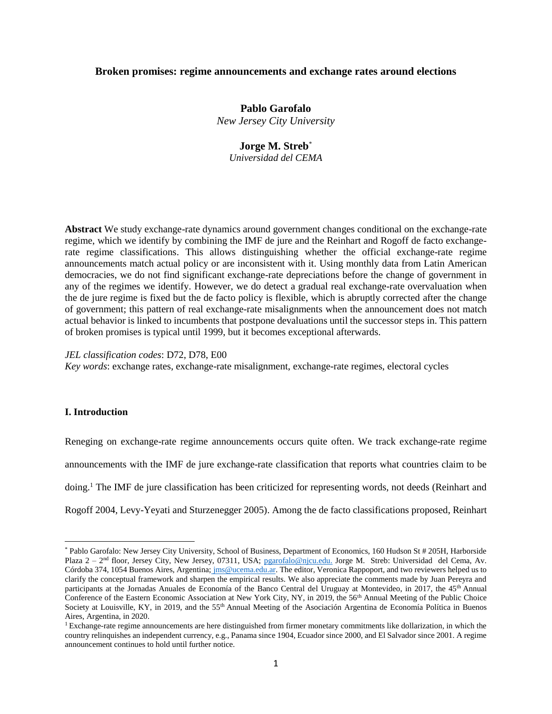# **Broken promises: regime announcements and exchange rates around elections**

**Pablo Garofalo** *New Jersey City University*

# **Jorge M. Streb**\*

*Universidad del CEMA*

**Abstract** We study exchange-rate dynamics around government changes conditional on the exchange-rate regime, which we identify by combining the IMF de jure and the Reinhart and Rogoff de facto exchangerate regime classifications. This allows distinguishing whether the official exchange-rate regime announcements match actual policy or are inconsistent with it. Using monthly data from Latin American democracies, we do not find significant exchange-rate depreciations before the change of government in any of the regimes we identify. However, we do detect a gradual real exchange-rate overvaluation when the de jure regime is fixed but the de facto policy is flexible, which is abruptly corrected after the change of government; this pattern of real exchange-rate misalignments when the announcement does not match actual behavior is linked to incumbents that postpone devaluations until the successor steps in. This pattern of broken promises is typical until 1999, but it becomes exceptional afterwards.

*JEL classification codes*: D72, D78, E00

*Key words*: exchange rates, exchange-rate misalignment, exchange-rate regimes, electoral cycles

# **I. Introduction**

 $\overline{\phantom{a}}$ 

Reneging on exchange-rate regime announcements occurs quite often. We track exchange-rate regime announcements with the IMF de jure exchange-rate classification that reports what countries claim to be doing. <sup>1</sup> The IMF de jure classification has been criticized for representing words, not deeds (Reinhart and Rogoff 2004, Levy-Yeyati and Sturzenegger 2005). Among the de facto classifications proposed, Reinhart

<sup>\*</sup> Pablo Garofalo: New Jersey City University, School of Business, Department of Economics, 160 Hudson St # 205H, Harborside Plaza 2 – 2<sup>nd</sup> floor, Jersey City, New Jersey, 07311, USA; [pgarofalo@njcu.edu.](mailto:pgarofalo@njcu.edu) Jorge M. Streb: Universidad del Cema, Av. Córdoba 374, 1054 Buenos Aires, Argentina; [jms@ucema.edu.ar.](mailto:jms@ucema.edu.ar) The editor, Veronica Rappoport, and two reviewers helped us to clarify the conceptual framework and sharpen the empirical results. We also appreciate the comments made by Juan Pereyra and participants at the Jornadas Anuales de Economía of the Banco Central del Uruguay at Montevideo, in 2017, the 45<sup>th</sup> Annual Conference of the Eastern Economic Association at New York City, NY, in 2019, the 56th Annual Meeting of the Public Choice Society at Louisville, KY, in 2019, and the 55<sup>th</sup> Annual Meeting of the Asociación Argentina de Economía Política in Buenos Aires, Argentina, in 2020.

<sup>1</sup> Exchange-rate regime announcements are here distinguished from firmer monetary commitments like dollarization, in which the country relinquishes an independent currency, e.g., Panama since 1904, Ecuador since 2000, and El Salvador since 2001. A regime announcement continues to hold until further notice.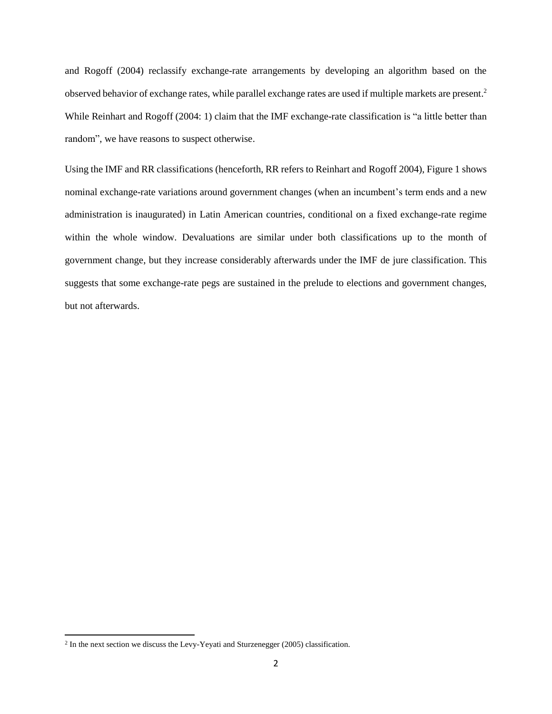and Rogoff (2004) reclassify exchange-rate arrangements by developing an algorithm based on the observed behavior of exchange rates, while parallel exchange rates are used if multiple markets are present. 2 While Reinhart and Rogoff (2004: 1) claim that the IMF exchange-rate classification is "a little better than random", we have reasons to suspect otherwise.

Using the IMF and RR classifications (henceforth, RR refers to Reinhart and Rogoff 2004), Figure 1 shows nominal exchange-rate variations around government changes (when an incumbent's term ends and a new administration is inaugurated) in Latin American countries, conditional on a fixed exchange-rate regime within the whole window. Devaluations are similar under both classifications up to the month of government change, but they increase considerably afterwards under the IMF de jure classification. This suggests that some exchange-rate pegs are sustained in the prelude to elections and government changes, but not afterwards.

<sup>&</sup>lt;sup>2</sup> In the next section we discuss the Levy-Yeyati and Sturzenegger (2005) classification.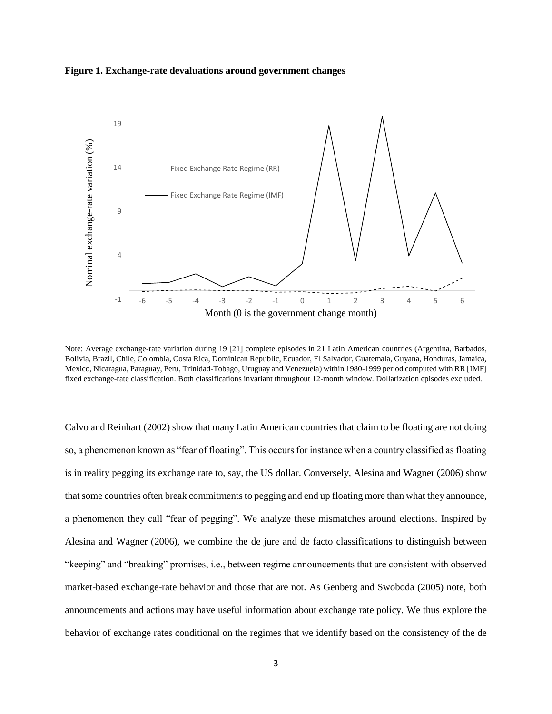



Note: Average exchange-rate variation during 19 [21] complete episodes in 21 Latin American countries (Argentina, Barbados, Bolivia, Brazil, Chile, Colombia, Costa Rica, Dominican Republic, Ecuador, El Salvador, Guatemala, Guyana, Honduras, Jamaica, Mexico, Nicaragua, Paraguay, Peru, Trinidad-Tobago, Uruguay and Venezuela) within 1980-1999 period computed with RR [IMF] fixed exchange-rate classification. Both classifications invariant throughout 12-month window. Dollarization episodes excluded.

Calvo and Reinhart (2002) show that many Latin American countries that claim to be floating are not doing so, a phenomenon known as "fear of floating". This occurs for instance when a country classified as floating is in reality pegging its exchange rate to, say, the US dollar. Conversely, Alesina and Wagner (2006) show that some countries often break commitments to pegging and end up floating more than what they announce, a phenomenon they call "fear of pegging". We analyze these mismatches around elections. Inspired by Alesina and Wagner (2006), we combine the de jure and de facto classifications to distinguish between "keeping" and "breaking" promises, i.e., between regime announcements that are consistent with observed market-based exchange-rate behavior and those that are not. As Genberg and Swoboda (2005) note, both announcements and actions may have useful information about exchange rate policy. We thus explore the behavior of exchange rates conditional on the regimes that we identify based on the consistency of the de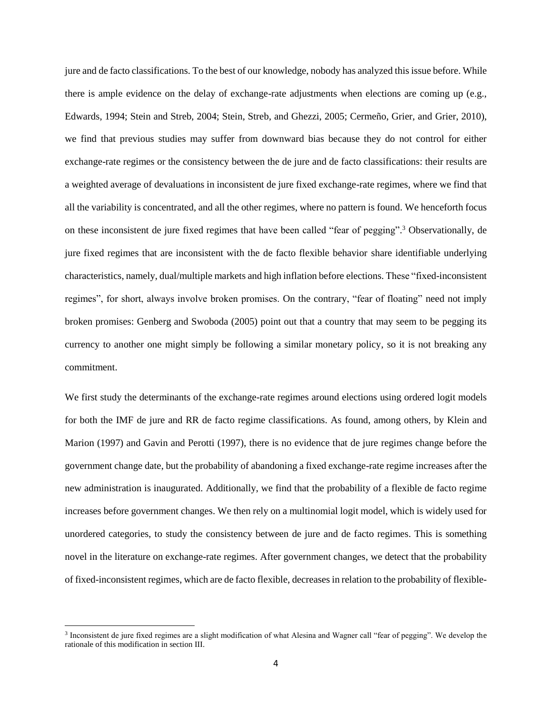jure and de facto classifications. To the best of our knowledge, nobody has analyzed this issue before. While there is ample evidence on the delay of exchange-rate adjustments when elections are coming up (e.g., Edwards, 1994; Stein and Streb, 2004; Stein, Streb, and Ghezzi, 2005; Cermeño, Grier, and Grier, 2010), we find that previous studies may suffer from downward bias because they do not control for either exchange-rate regimes or the consistency between the de jure and de facto classifications: their results are a weighted average of devaluations in inconsistent de jure fixed exchange-rate regimes, where we find that all the variability is concentrated, and all the other regimes, where no pattern is found. We henceforth focus on these inconsistent de jure fixed regimes that have been called "fear of pegging". <sup>3</sup> Observationally, de jure fixed regimes that are inconsistent with the de facto flexible behavior share identifiable underlying characteristics, namely, dual/multiple markets and high inflation before elections. These "fixed-inconsistent regimes", for short, always involve broken promises. On the contrary, "fear of floating" need not imply broken promises: Genberg and Swoboda (2005) point out that a country that may seem to be pegging its currency to another one might simply be following a similar monetary policy, so it is not breaking any commitment.

We first study the determinants of the exchange-rate regimes around elections using ordered logit models for both the IMF de jure and RR de facto regime classifications. As found, among others, by Klein and Marion (1997) and Gavin and Perotti (1997), there is no evidence that de jure regimes change before the government change date, but the probability of abandoning a fixed exchange-rate regime increases after the new administration is inaugurated. Additionally, we find that the probability of a flexible de facto regime increases before government changes. We then rely on a multinomial logit model, which is widely used for unordered categories, to study the consistency between de jure and de facto regimes. This is something novel in the literature on exchange-rate regimes. After government changes, we detect that the probability of fixed-inconsistent regimes, which are de facto flexible, decreases in relation to the probability of flexible-

 $\overline{a}$ 

<sup>3</sup> Inconsistent de jure fixed regimes are a slight modification of what Alesina and Wagner call "fear of pegging". We develop the rationale of this modification in section III.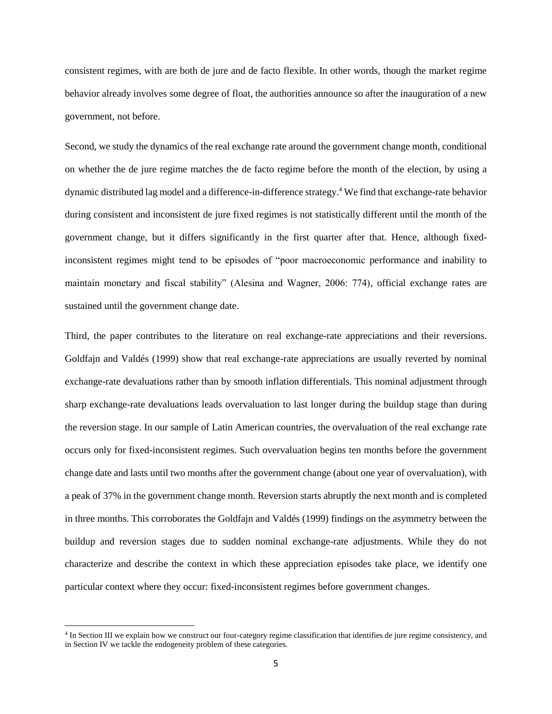consistent regimes, with are both de jure and de facto flexible. In other words, though the market regime behavior already involves some degree of float, the authorities announce so after the inauguration of a new government, not before.

Second, we study the dynamics of the real exchange rate around the government change month, conditional on whether the de jure regime matches the de facto regime before the month of the election, by using a dynamic distributed lag model and a difference-in-difference strategy. <sup>4</sup> We find that exchange-rate behavior during consistent and inconsistent de jure fixed regimes is not statistically different until the month of the government change, but it differs significantly in the first quarter after that. Hence, although fixedinconsistent regimes might tend to be episodes of "poor macroeconomic performance and inability to maintain monetary and fiscal stability" (Alesina and Wagner, 2006: 774), official exchange rates are sustained until the government change date.

Third, the paper contributes to the literature on real exchange-rate appreciations and their reversions. Goldfajn and Valdés (1999) show that real exchange-rate appreciations are usually reverted by nominal exchange-rate devaluations rather than by smooth inflation differentials. This nominal adjustment through sharp exchange-rate devaluations leads overvaluation to last longer during the buildup stage than during the reversion stage. In our sample of Latin American countries, the overvaluation of the real exchange rate occurs only for fixed-inconsistent regimes. Such overvaluation begins ten months before the government change date and lasts until two months after the government change (about one year of overvaluation), with a peak of 37% in the government change month. Reversion starts abruptly the next month and is completed in three months. This corroborates the Goldfajn and Valdés (1999) findings on the asymmetry between the buildup and reversion stages due to sudden nominal exchange-rate adjustments. While they do not characterize and describe the context in which these appreciation episodes take place, we identify one particular context where they occur: fixed-inconsistent regimes before government changes.

 $\overline{a}$ 

<sup>&</sup>lt;sup>4</sup> In Section III we explain how we construct our four-category regime classification that identifies de jure regime consistency, and in Section IV we tackle the endogeneity problem of these categories.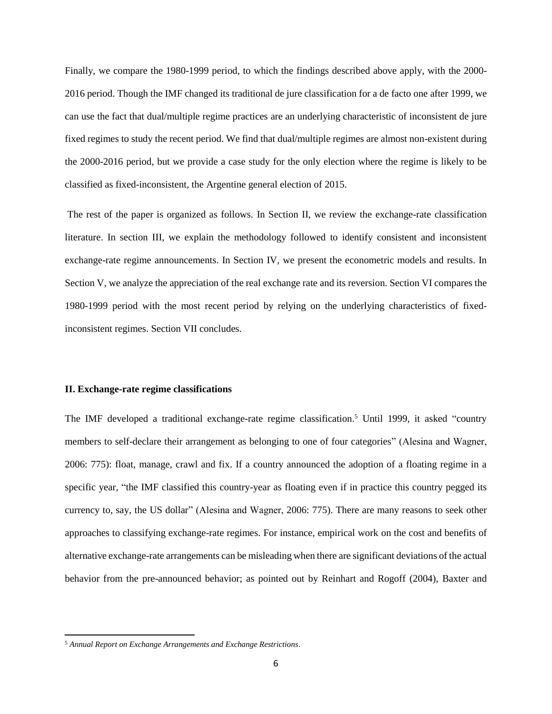Finally, we compare the 1980-1999 period, to which the findings described above apply, with the 2000- 2016 period. Though the IMF changed its traditional de jure classification for a de facto one after 1999, we can use the fact that dual/multiple regime practices are an underlying characteristic of inconsistent de jure fixed regimes to study the recent period. We find that dual/multiple regimes are almost non-existent during the 2000-2016 period, but we provide a case study for the only election where the regime is likely to be classified as fixed-inconsistent, the Argentine general election of 2015.

The rest of the paper is organized as follows. In Section II, we review the exchange-rate classification literature. In section III, we explain the methodology followed to identify consistent and inconsistent exchange-rate regime announcements. In Section IV, we present the econometric models and results. In Section V, we analyze the appreciation of the real exchange rate and its reversion. Section VI compares the 1980-1999 period with the most recent period by relying on the underlying characteristics of fixedinconsistent regimes. Section VII concludes.

### **II. Exchange-rate regime classifications**

The IMF developed a traditional exchange-rate regime classification.<sup>5</sup> Until 1999, it asked "country members to self-declare their arrangement as belonging to one of four categories" (Alesina and Wagner, 2006: 775): float, manage, crawl and fix. If a country announced the adoption of a floating regime in a specific year, "the IMF classified this country-year as floating even if in practice this country pegged its currency to, say, the US dollar" (Alesina and Wagner, 2006: 775). There are many reasons to seek other approaches to classifying exchange-rate regimes. For instance, empirical work on the cost and benefits of alternative exchange-rate arrangements can be misleading when there are significant deviations of the actual behavior from the pre-announced behavior; as pointed out by Reinhart and Rogoff (2004), Baxter and

 $\overline{\phantom{a}}$ 

<sup>5</sup> *Annual Report on Exchange Arrangements and Exchange Restrictions*.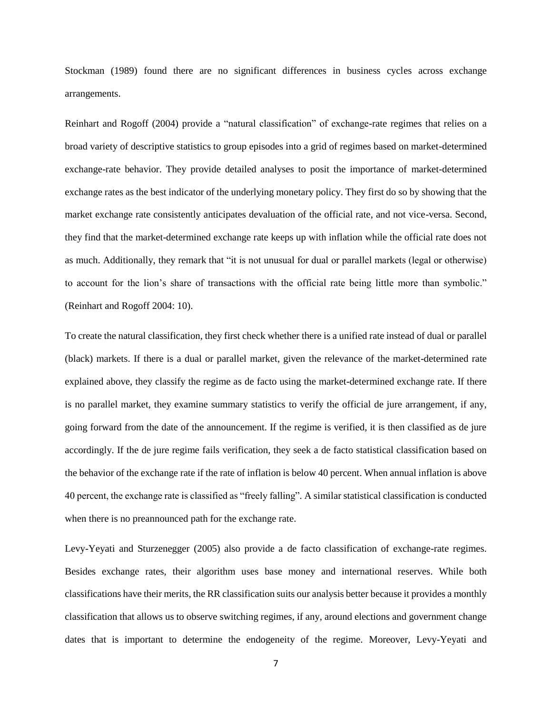Stockman (1989) found there are no significant differences in business cycles across exchange arrangements.

Reinhart and Rogoff (2004) provide a "natural classification" of exchange-rate regimes that relies on a broad variety of descriptive statistics to group episodes into a grid of regimes based on market-determined exchange-rate behavior. They provide detailed analyses to posit the importance of market-determined exchange rates as the best indicator of the underlying monetary policy. They first do so by showing that the market exchange rate consistently anticipates devaluation of the official rate, and not vice-versa. Second, they find that the market-determined exchange rate keeps up with inflation while the official rate does not as much. Additionally, they remark that "it is not unusual for dual or parallel markets (legal or otherwise) to account for the lion's share of transactions with the official rate being little more than symbolic." (Reinhart and Rogoff 2004: 10).

To create the natural classification, they first check whether there is a unified rate instead of dual or parallel (black) markets. If there is a dual or parallel market, given the relevance of the market-determined rate explained above, they classify the regime as de facto using the market-determined exchange rate. If there is no parallel market, they examine summary statistics to verify the official de jure arrangement, if any, going forward from the date of the announcement. If the regime is verified, it is then classified as de jure accordingly. If the de jure regime fails verification, they seek a de facto statistical classification based on the behavior of the exchange rate if the rate of inflation is below 40 percent. When annual inflation is above 40 percent, the exchange rate is classified as "freely falling"*.* A similar statistical classification is conducted when there is no preannounced path for the exchange rate.

Levy-Yeyati and Sturzenegger (2005) also provide a de facto classification of exchange-rate regimes. Besides exchange rates, their algorithm uses base money and international reserves. While both classifications have their merits, the RR classification suits our analysis better because it provides a monthly classification that allows us to observe switching regimes, if any, around elections and government change dates that is important to determine the endogeneity of the regime. Moreover, Levy-Yeyati and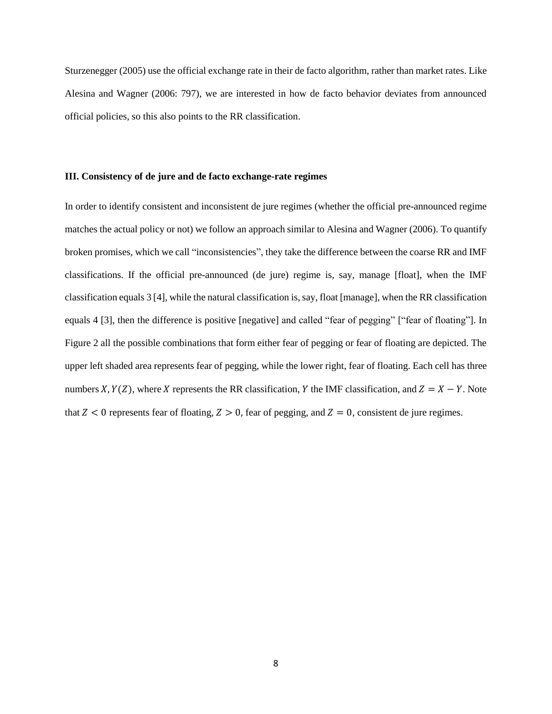Sturzenegger (2005) use the official exchange rate in their de facto algorithm, rather than market rates. Like Alesina and Wagner (2006: 797), we are interested in how de facto behavior deviates from announced official policies, so this also points to the RR classification.

### **III. Consistency of de jure and de facto exchange-rate regimes**

In order to identify consistent and inconsistent de jure regimes (whether the official pre-announced regime matches the actual policy or not) we follow an approach similar to Alesina and Wagner (2006). To quantify broken promises, which we call "inconsistencies", they take the difference between the coarse RR and IMF classifications. If the official pre-announced (de jure) regime is, say, manage [float], when the IMF classification equals 3 [4], while the natural classification is, say, float [manage], when the RR classification equals 4 [3], then the difference is positive [negative] and called "fear of pegging" ["fear of floating"]. In Figure 2 all the possible combinations that form either fear of pegging or fear of floating are depicted. The upper left shaded area represents fear of pegging, while the lower right, fear of floating. Each cell has three numbers X,  $Y(Z)$ , where X represents the RR classification, Y the IMF classification, and  $Z = X - Y$ . Note that  $Z < 0$  represents fear of floating,  $Z > 0$ , fear of pegging, and  $Z = 0$ , consistent de jure regimes.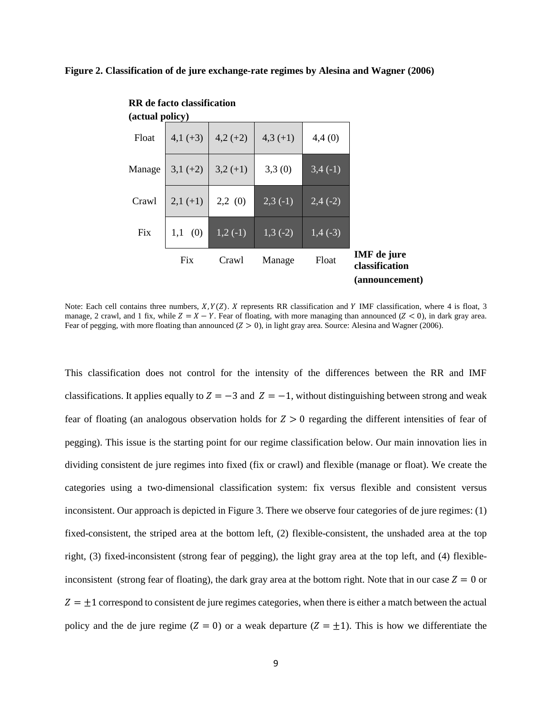### **Figure 2. Classification of de jure exchange-rate regimes by Alesina and Wagner (2006)**

| (actual policy) |            |            |            |            |                                                        |
|-----------------|------------|------------|------------|------------|--------------------------------------------------------|
| Float           | $4,1(+3)$  | $4,2(+2)$  | $4,3(+1)$  | 4,4(0)     |                                                        |
| Manage          | $3,1 (+2)$ | $3,2(+1)$  | 3,3(0)     | 3,4(1)     |                                                        |
| Crawl           | $2,1(+1)$  | 2,2(0)     | $2,3(-1)$  | $2,4( -2)$ |                                                        |
| Fix             | (0)<br>1,1 | $1,2( -1)$ | $1,3( -2)$ | $1,4( -3)$ |                                                        |
|                 | Fix        | Crawl      | Manage     | Float      | <b>IMF</b> de jure<br>classification<br>(announcement) |

**RR de facto classification** 

Note: Each cell contains three numbers,  $X, Y(Z)$ .  $X$  represents RR classification and  $Y$  IMF classification, where 4 is float, 3 manage, 2 crawl, and 1 fix, while  $Z = X - Y$ . Fear of floating, with more managing than announced ( $Z < 0$ ), in dark gray area. Fear of pegging, with more floating than announced  $(Z > 0)$ , in light gray area. Source: Alesina and Wagner (2006).

This classification does not control for the intensity of the differences between the RR and IMF classifications. It applies equally to  $Z = -3$  and  $Z = -1$ , without distinguishing between strong and weak fear of floating (an analogous observation holds for  $Z > 0$  regarding the different intensities of fear of pegging). This issue is the starting point for our regime classification below. Our main innovation lies in dividing consistent de jure regimes into fixed (fix or crawl) and flexible (manage or float). We create the categories using a two-dimensional classification system: fix versus flexible and consistent versus inconsistent. Our approach is depicted in Figure 3. There we observe four categories of de jure regimes: (1) fixed-consistent, the striped area at the bottom left, (2) flexible-consistent, the unshaded area at the top right*,* (3) fixed-inconsistent (strong fear of pegging), the light gray area at the top left, and (4) flexibleinconsistent (strong fear of floating), the dark gray area at the bottom right. Note that in our case  $Z = 0$  or  $Z = \pm 1$  correspond to consistent de jure regimes categories, when there is either a match between the actual policy and the de jure regime ( $Z = 0$ ) or a weak departure ( $Z = \pm 1$ ). This is how we differentiate the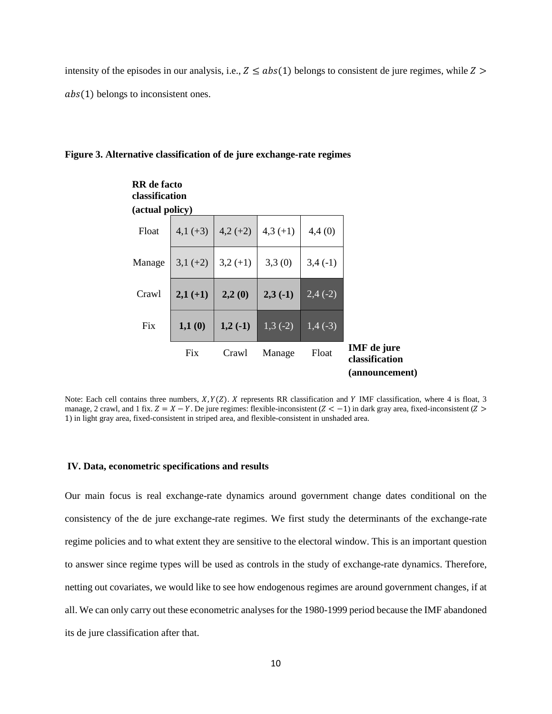intensity of the episodes in our analysis, i.e.,  $Z \leq abs(1)$  belongs to consistent de jure regimes, while  $Z >$  $abs(1)$  belongs to inconsistent ones.

### **Figure 3. Alternative classification of de jure exchange-rate regimes**



Note: Each cell contains three numbers,  $X, Y(Z)$ . *X* represents RR classification and *Y* IMF classification, where 4 is float, 3 manage, 2 crawl, and 1 fix.  $Z = X - Y$ . De jure regimes: flexible-inconsistent  $(Z < -1)$  in dark gray area, fixed-inconsistent  $(Z > -1)$ 1) in light gray area, fixed-consistent in striped area, and flexible-consistent in unshaded area.

#### **IV. Data, econometric specifications and results**

Our main focus is real exchange-rate dynamics around government change dates conditional on the consistency of the de jure exchange-rate regimes. We first study the determinants of the exchange-rate regime policies and to what extent they are sensitive to the electoral window. This is an important question to answer since regime types will be used as controls in the study of exchange-rate dynamics. Therefore, netting out covariates, we would like to see how endogenous regimes are around government changes, if at all. We can only carry out these econometric analyses for the 1980-1999 period because the IMF abandoned its de jure classification after that.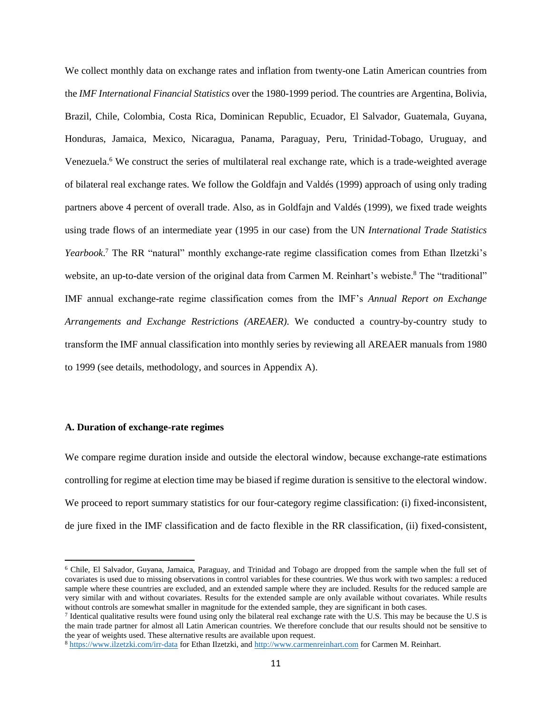We collect monthly data on exchange rates and inflation from twenty-one Latin American countries from the *IMF International Financial Statistics* over the 1980-1999 period. The countries are Argentina, Bolivia, Brazil, Chile, Colombia, Costa Rica, Dominican Republic, Ecuador, El Salvador, Guatemala, Guyana, Honduras, Jamaica, Mexico, Nicaragua, Panama, Paraguay, Peru, Trinidad-Tobago, Uruguay, and Venezuela. <sup>6</sup> We construct the series of multilateral real exchange rate, which is a trade-weighted average of bilateral real exchange rates. We follow the Goldfajn and Valdés (1999) approach of using only trading partners above 4 percent of overall trade. Also, as in Goldfajn and Valdés (1999), we fixed trade weights using trade flows of an intermediate year (1995 in our case) from the UN *International Trade Statistics*  Yearbook.<sup>7</sup> The RR "natural" monthly exchange-rate regime classification comes from Ethan Ilzetzki's website, an up-to-date version of the original data from Carmen M. Reinhart's webiste.<sup>8</sup> The "traditional" IMF annual exchange-rate regime classification comes from the IMF's *Annual Report on Exchange Arrangements and Exchange Restrictions (AREAER)*. We conducted a country-by-country study to transform the IMF annual classification into monthly series by reviewing all AREAER manuals from 1980 to 1999 (see details, methodology, and sources in Appendix A).

### **A. Duration of exchange-rate regimes**

 $\overline{\phantom{a}}$ 

We compare regime duration inside and outside the electoral window, because exchange-rate estimations controlling for regime at election time may be biased if regime duration is sensitive to the electoral window. We proceed to report summary statistics for our four-category regime classification: (i) fixed-inconsistent, de jure fixed in the IMF classification and de facto flexible in the RR classification, (ii) fixed-consistent,

<sup>6</sup> Chile, El Salvador, Guyana, Jamaica, Paraguay, and Trinidad and Tobago are dropped from the sample when the full set of covariates is used due to missing observations in control variables for these countries. We thus work with two samples: a reduced sample where these countries are excluded, and an extended sample where they are included. Results for the reduced sample are very similar with and without covariates. Results for the extended sample are only available without covariates. While results without controls are somewhat smaller in magnitude for the extended sample, they are significant in both cases.

If Identical qualitative results were found using only the bilateral real exchange rate with the U.S. This may be because the U.S is the main trade partner for almost all Latin American countries. We therefore conclude that our results should not be sensitive to the year of weights used. These alternative results are available upon request.

<sup>8</sup> <https://www.ilzetzki.com/irr-data> for Ethan Ilzetzki, and [http://www.carmenreinhart.com](http://www.carmenreinhart.com/) for Carmen M. Reinhart.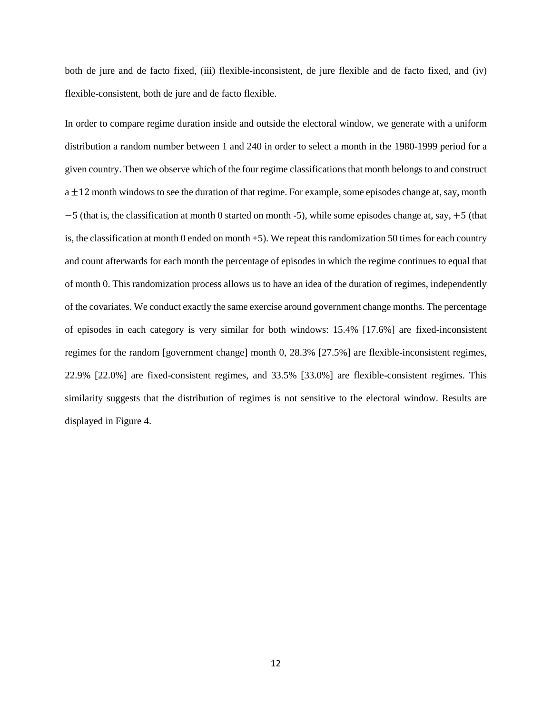both de jure and de facto fixed, (iii) flexible-inconsistent, de jure flexible and de facto fixed, and (iv) flexible-consistent, both de jure and de facto flexible.

In order to compare regime duration inside and outside the electoral window, we generate with a uniform distribution a random number between 1 and 240 in order to select a month in the 1980-1999 period for a given country. Then we observe which of the four regime classifications that month belongs to and construct  $a \pm 12$  month windows to see the duration of that regime. For example, some episodes change at, say, month −5 (that is, the classification at month 0 started on month -5), while some episodes change at, say, +5 (that is, the classification at month 0 ended on month +5). We repeat this randomization 50 times for each country and count afterwards for each month the percentage of episodes in which the regime continues to equal that of month 0. This randomization process allows us to have an idea of the duration of regimes, independently of the covariates. We conduct exactly the same exercise around government change months. The percentage of episodes in each category is very similar for both windows: 15.4% [17.6%] are fixed-inconsistent regimes for the random [government change] month 0, 28.3% [27.5%] are flexible-inconsistent regimes, 22.9% [22.0%] are fixed-consistent regimes, and 33.5% [33.0%] are flexible-consistent regimes. This similarity suggests that the distribution of regimes is not sensitive to the electoral window. Results are displayed in Figure 4.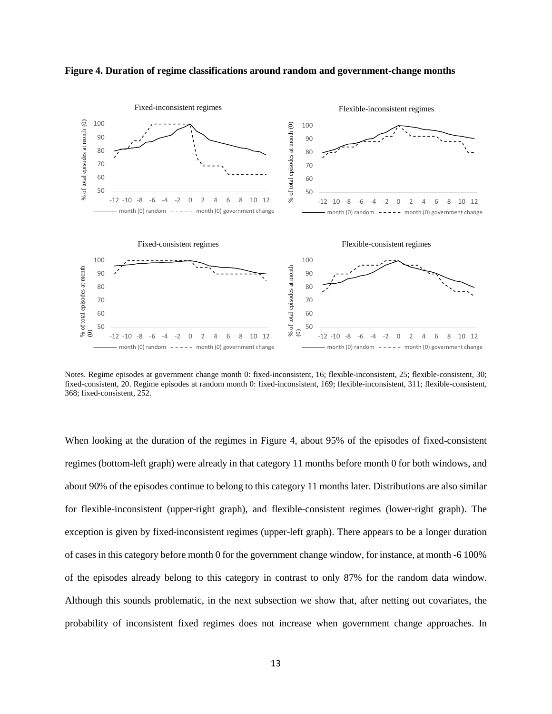

**Figure 4. Duration of regime classifications around random and government-change months**

Notes. Regime episodes at government change month 0: fixed-inconsistent, 16; flexible-inconsistent, 25; flexible-consistent, 30; fixed-consistent, 20. Regime episodes at random month 0: fixed-inconsistent, 169; flexible-inconsistent, 311; flexible-consistent, 368; fixed-consistent, 252.

When looking at the duration of the regimes in Figure 4, about 95% of the episodes of fixed-consistent regimes (bottom-left graph) were already in that category 11 months before month 0 for both windows, and about 90% of the episodes continue to belong to this category 11 months later. Distributions are also similar for flexible-inconsistent (upper-right graph), and flexible-consistent regimes (lower-right graph). The exception is given by fixed-inconsistent regimes (upper-left graph). There appears to be a longer duration of cases in this category before month 0 for the government change window, for instance, at month -6 100% of the episodes already belong to this category in contrast to only 87% for the random data window. Although this sounds problematic, in the next subsection we show that, after netting out covariates, the probability of inconsistent fixed regimes does not increase when government change approaches. In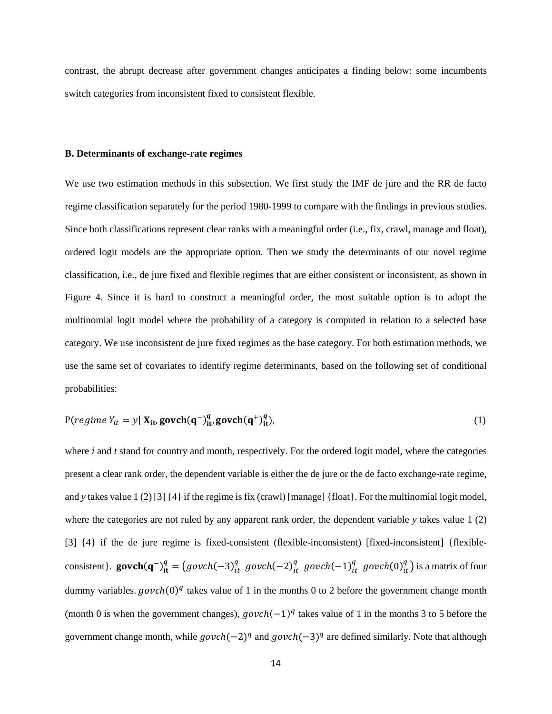contrast, the abrupt decrease after government changes anticipates a finding below: some incumbents switch categories from inconsistent fixed to consistent flexible.

# **B. Determinants of exchange-rate regimes**

We use two estimation methods in this subsection. We first study the IMF de jure and the RR de facto regime classification separately for the period 1980-1999 to compare with the findings in previous studies. Since both classifications represent clear ranks with a meaningful order (i.e., fix, crawl, manage and float), ordered logit models are the appropriate option. Then we study the determinants of our novel regime classification, i.e., de jure fixed and flexible regimes that are either consistent or inconsistent, as shown in Figure 4. Since it is hard to construct a meaningful order, the most suitable option is to adopt the multinomial logit model where the probability of a category is computed in relation to a selected base category. We use inconsistent de jure fixed regimes as the base category. For both estimation methods, we use the same set of covariates to identify regime determinants, based on the following set of conditional probabilities:

$$
P(\text{regime } Y_{it} = y | \mathbf{X}_{it}, \text{govch}(\mathbf{q}^{-})_{it}^{q}, \text{govch}(\mathbf{q}^{+})_{it}^{q}), \tag{1}
$$

where *i* and *t* stand for country and month, respectively. For the ordered logit model, where the categories present a clear rank order, the dependent variable is either the de jure or the de facto exchange-rate regime, and *y* takes value 1 (2) [3] {4} if the regime is fix (crawl) [manage] {float}. For the multinomial logit model, where the categories are not ruled by any apparent rank order, the dependent variable *y* takes value 1 (2) [3] {4} if the de jure regime is fixed-consistent (flexible-inconsistent) [fixed-inconsistent] {flexibleconsistent}. **govch** $(q^{-})_{it}^{q} = (govch(-3)_{it}^{q})$  $\frac{q}{it}$  govch(-2) $\frac{q}{it}$  $\frac{q}{it}$  govch $(-1)_{it}^q$  $\frac{q}{it}$  govch $(0)^q_{it}$  $\binom{q}{i}$  is a matrix of four dummy variables.  $govch(0)^q$  takes value of 1 in the months 0 to 2 before the government change month (month 0 is when the government changes),  $g \omega ch(-1)^q$  takes value of 1 in the months 3 to 5 before the government change month, while  $govch(-2)^q$  and  $govch(-3)^q$  are defined similarly. Note that although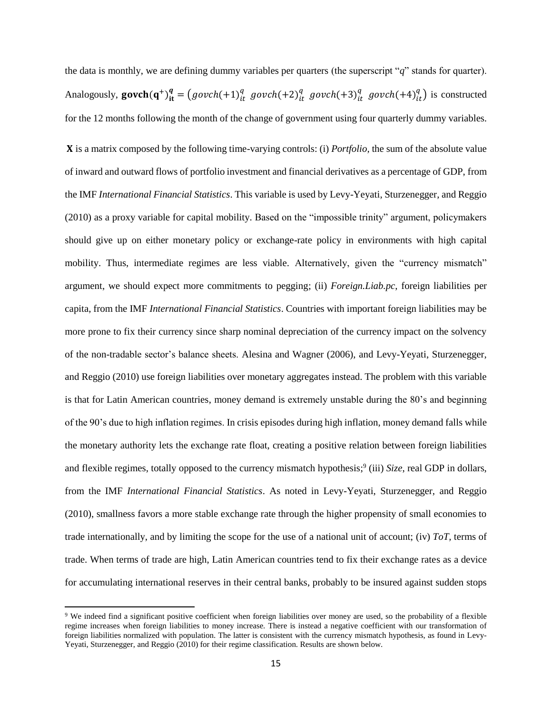the data is monthly, we are defining dummy variables per quarters (the superscript "*q*" stands for quarter). Analogously,  $\text{govch}(q^+)^q_{it} = (govch(+1)^q_{it})$  $\frac{q}{it}$  govch $(+2)_{it}^q$  $\frac{q}{it}$  govch $(+3)_{it}^q$  $\frac{q}{it}$  govch $(+4)_{it}^q$  $\binom{q}{it}$  is constructed for the 12 months following the month of the change of government using four quarterly dummy variables.

X is a matrix composed by the following time-varying controls: (i) *Portfolio*, the sum of the absolute value of inward and outward flows of portfolio investment and financial derivatives as a percentage of GDP, from the IMF *International Financial Statistics*. This variable is used by Levy-Yeyati, Sturzenegger, and Reggio (2010) as a proxy variable for capital mobility. Based on the "impossible trinity" argument, policymakers should give up on either monetary policy or exchange-rate policy in environments with high capital mobility. Thus, intermediate regimes are less viable. Alternatively, given the "currency mismatch" argument, we should expect more commitments to pegging; (ii) *Foreign.Liab.pc*, foreign liabilities per capita, from the IMF *International Financial Statistics*. Countries with important foreign liabilities may be more prone to fix their currency since sharp nominal depreciation of the currency impact on the solvency of the non-tradable sector's balance sheets. Alesina and Wagner (2006), and Levy-Yeyati, Sturzenegger, and Reggio (2010) use foreign liabilities over monetary aggregates instead. The problem with this variable is that for Latin American countries, money demand is extremely unstable during the 80's and beginning of the 90's due to high inflation regimes. In crisis episodes during high inflation, money demand falls while the monetary authority lets the exchange rate float, creating a positive relation between foreign liabilities and flexible regimes, totally opposed to the currency mismatch hypothesis;<sup>9</sup> (iii) *Size*, real GDP in dollars, from the IMF *International Financial Statistics*. As noted in Levy-Yeyati, Sturzenegger, and Reggio (2010), smallness favors a more stable exchange rate through the higher propensity of small economies to trade internationally, and by limiting the scope for the use of a national unit of account; (iv) *ToT,* terms of trade. When terms of trade are high, Latin American countries tend to fix their exchange rates as a device for accumulating international reserves in their central banks, probably to be insured against sudden stops

 $\overline{\phantom{a}}$ 

<sup>9</sup> We indeed find a significant positive coefficient when foreign liabilities over money are used, so the probability of a flexible regime increases when foreign liabilities to money increase. There is instead a negative coefficient with our transformation of foreign liabilities normalized with population. The latter is consistent with the currency mismatch hypothesis, as found in Levy-Yeyati, Sturzenegger, and Reggio (2010) for their regime classification. Results are shown below.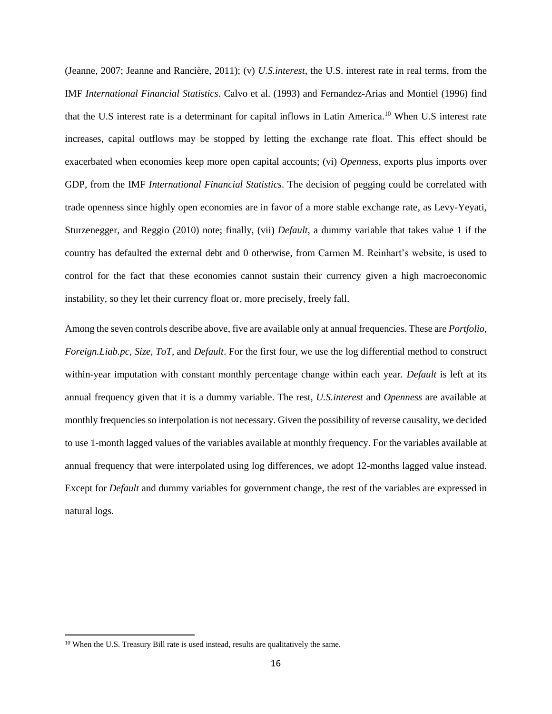(Jeanne, 2007; Jeanne and Rancière, 2011); (v) *U.S.interest*, the U.S. interest rate in real terms, from the IMF *International Financial Statistics*. Calvo et al. (1993) and Fernandez-Arias and Montiel (1996) find that the U.S interest rate is a determinant for capital inflows in Latin America.<sup>10</sup> When U.S interest rate increases, capital outflows may be stopped by letting the exchange rate float. This effect should be exacerbated when economies keep more open capital accounts; (vi) *Openness*, exports plus imports over GDP, from the IMF *International Financial Statistics*. The decision of pegging could be correlated with trade openness since highly open economies are in favor of a more stable exchange rate, as Levy-Yeyati, Sturzenegger, and Reggio (2010) note; finally, (vii) *Default*, a dummy variable that takes value 1 if the country has defaulted the external debt and 0 otherwise, from Carmen M. Reinhart's website, is used to control for the fact that these economies cannot sustain their currency given a high macroeconomic instability, so they let their currency float or, more precisely, freely fall.

Among the seven controls describe above, five are available only at annual frequencies. These are *Portfolio*, *Foreign.Liab.pc*, *Size*, *ToT*, and *Default*. For the first four, we use the log differential method to construct within-year imputation with constant monthly percentage change within each year. *Default* is left at its annual frequency given that it is a dummy variable. The rest, *U.S.interest* and *Openness* are available at monthly frequencies so interpolation is not necessary. Given the possibility of reverse causality, we decided to use 1-month lagged values of the variables available at monthly frequency. For the variables available at annual frequency that were interpolated using log differences, we adopt 12-months lagged value instead. Except for *Default* and dummy variables for government change, the rest of the variables are expressed in natural logs.

 $\overline{\phantom{a}}$ 

<sup>&</sup>lt;sup>10</sup> When the U.S. Treasury Bill rate is used instead, results are qualitatively the same.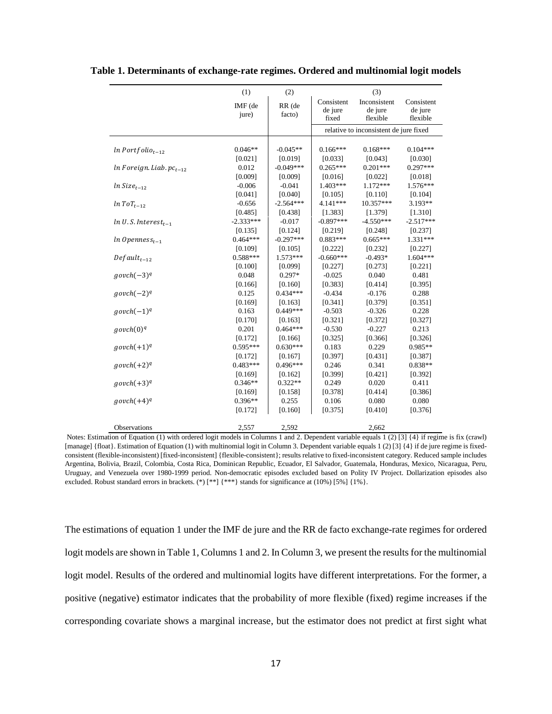|                                 | (1)                   | (2)                   |                                | (3)                                    |                                   |
|---------------------------------|-----------------------|-----------------------|--------------------------------|----------------------------------------|-----------------------------------|
|                                 | IMF (de<br>jure)      | RR (de<br>facto)      | Consistent<br>de jure<br>fixed | Inconsistent<br>de jure<br>flexible    | Consistent<br>de jure<br>flexible |
|                                 |                       |                       |                                | relative to inconsistent de jure fixed |                                   |
|                                 |                       |                       |                                |                                        |                                   |
| $ln$ Portfolio <sub>t-12</sub>  | $0.046**$             | $-0.045**$            | $0.166***$                     | $0.168***$                             | $0.104***$                        |
|                                 | [0.021]               | [0.019]               | [0.033]                        | [0.043]                                | [0.030]                           |
| $ln$ Foreign. Liab. $pc_{t-12}$ | 0.012                 | $-0.049***$           | $0.265***$                     | $0.201***$                             | $0.297***$                        |
|                                 | [0.009]               | [0.009]               | [0.016]                        | [0.022]                                | [0.018]                           |
| $ln Size_{t-12}$                | $-0.006$              | $-0.041$              | 1.403***                       | $1.172***$                             | 1.576***                          |
|                                 | [0.041]               | [0.040]               | [0.105]                        | [0.110]                                | [0.104]                           |
| $ln\ ToT_{t-12}$                | $-0.656$              | $-2.564***$           | 4.141***                       | 10.357***                              | 3.193**                           |
|                                 | [0.485]               | [0.438]               | [1.383]                        | [1.379]                                | [1.310]                           |
| $ln U.S. Interest_{t-1}$        | $-2.333***$           | $-0.017$              | $-0.897***$                    | $-4.550***$                            | $-2.517***$                       |
|                                 | [0.135]               | [0.124]               | [0.219]                        | [0.248]                                | [0.237]                           |
| $ln$ Openness <sub>t-1</sub>    | $0.464***$            | $-0.297***$           | $0.883***$                     | $0.665***$                             | $1.331***$                        |
|                                 | [0.109]               | [0.105]               | [0.222]                        | [0.232]                                | [0.227]                           |
| $Default_{t-12}$                | $0.588***$            | $1.573***$            | $-0.660***$                    | $-0.493*$                              | $1.604***$                        |
|                                 | [0.100]               | [0.099]               | [0.227]                        | [0.273]                                | [0.221]                           |
| $govch(-3)^q$                   | 0.048                 | $0.297*$              | $-0.025$                       | 0.040                                  | 0.481                             |
|                                 | [0.166]               | [0.160]               | [0.383]                        | [0.414]                                | [0.395]                           |
| $govch(-2)^q$                   | 0.125                 | $0.434***$            | $-0.434$                       | $-0.176$                               | 0.288                             |
|                                 | [0.169]               | [0.163]               | [0.341]                        | [0.379]                                | [0.351]                           |
| $govch(-1)^q$                   | 0.163                 | $0.449***$            | $-0.503$                       | $-0.326$                               | 0.228                             |
|                                 | [0.170]               | [0.163]               | [0.321]                        | [0.372]                                | [0.327]                           |
| govch(0) <sup>q</sup>           | 0.201                 | $0.464***$            | $-0.530$                       | $-0.227$                               | 0.213                             |
|                                 | [0.172]               | [0.166]               | [0.325]                        | [0.366]                                | [0.326]                           |
| $govch(+1)^q$                   | $0.595***$            | $0.630***$            | 0.183                          | 0.229                                  | 0.985**                           |
|                                 |                       |                       | [0.397]                        | [0.431]                                |                                   |
|                                 | [0.172]<br>$0.483***$ | [0.167]<br>$0.496***$ | 0.246                          | 0.341                                  | [0.387]                           |
| $govch(+2)^q$                   |                       |                       |                                |                                        | $0.838**$                         |
|                                 | [0.169]               | [0.162]               | [0.399]                        | [0.421]                                | [0.392]                           |
| $govch(+3)^q$                   | $0.346**$             | $0.322**$             | 0.249                          | 0.020                                  | 0.411                             |
|                                 | [0.169]               | [0.158]               | [0.378]                        | [0.414]                                | [0.386]                           |
| $govch(+4)^q$                   | $0.396**$             | 0.255                 | 0.106                          | 0.080                                  | 0.080                             |
|                                 | [0.172]               | [0.160]               | [0.375]                        | [0.410]                                | [0.376]                           |
| Observations                    | 2,557                 | 2,592                 |                                | 2,662                                  |                                   |

**Table 1. Determinants of exchange-rate regimes. Ordered and multinomial logit models**

Notes: Estimation of Equation (1) with ordered logit models in Columns 1 and 2. Dependent variable equals 1 (2) [3] {4} if regime is fix (crawl) [manage] {float}. Estimation of Equation (1) with multinomial logit in Column 3. Dependent variable equals 1 (2) [3] {4} if de jure regime is fixedconsistent (flexible-inconsistent) [fixed-inconsistent] {flexible-consistent}; results relative to fixed-inconsistent category. Reduced sample includes Argentina, Bolivia, Brazil, Colombia, Costa Rica, Dominican Republic, Ecuador, El Salvador, Guatemala, Honduras, Mexico, Nicaragua, Peru, Uruguay, and Venezuela over 1980-1999 period. Non-democratic episodes excluded based on Polity IV Project. Dollarization episodes also excluded. Robust standard errors in brackets. (\*) [\*\*] {\*\*\*} stands for significance at (10%) [5%] {1%}.

The estimations of equation 1 under the IMF de jure and the RR de facto exchange-rate regimes for ordered logit models are shown in Table 1, Columns 1 and 2. In Column 3, we present the results for the multinomial logit model. Results of the ordered and multinomial logits have different interpretations. For the former, a positive (negative) estimator indicates that the probability of more flexible (fixed) regime increases if the corresponding covariate shows a marginal increase, but the estimator does not predict at first sight what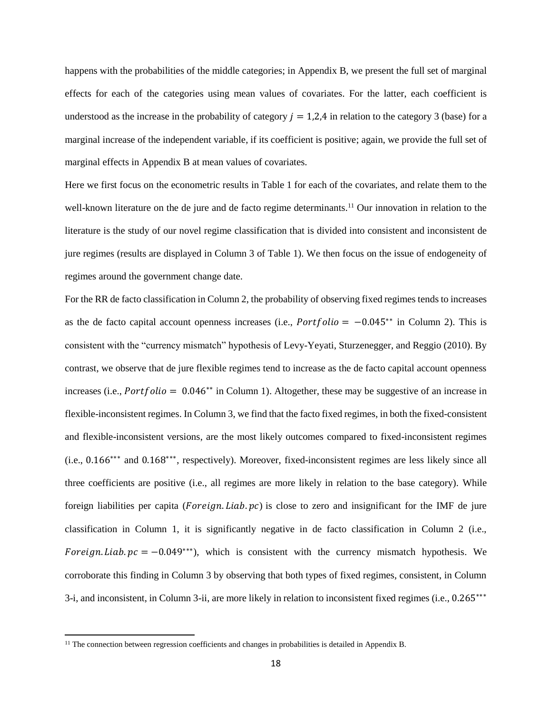happens with the probabilities of the middle categories; in Appendix B, we present the full set of marginal effects for each of the categories using mean values of covariates. For the latter, each coefficient is understood as the increase in the probability of category  $i = 1,2,4$  in relation to the category 3 (base) for a marginal increase of the independent variable, if its coefficient is positive; again, we provide the full set of marginal effects in Appendix B at mean values of covariates.

Here we first focus on the econometric results in Table 1 for each of the covariates, and relate them to the well-known literature on the de jure and de facto regime determinants.<sup>11</sup> Our innovation in relation to the literature is the study of our novel regime classification that is divided into consistent and inconsistent de jure regimes (results are displayed in Column 3 of Table 1). We then focus on the issue of endogeneity of regimes around the government change date.

For the RR de facto classification in Column 2, the probability of observing fixed regimes tends to increases as the de facto capital account openness increases (i.e.,  $Portfolio = -0.045^{**}$  in Column 2). This is consistent with the "currency mismatch" hypothesis of Levy-Yeyati, Sturzenegger, and Reggio (2010). By contrast, we observe that de jure flexible regimes tend to increase as the de facto capital account openness increases (i.e.,  $Portbolic = 0.046**$  in Column 1). Altogether, these may be suggestive of an increase in flexible-inconsistent regimes. In Column 3, we find that the facto fixed regimes, in both the fixed-consistent and flexible-inconsistent versions, are the most likely outcomes compared to fixed-inconsistent regimes (i.e., 0.166∗∗∗ and 0.168∗∗∗ , respectively). Moreover, fixed-inconsistent regimes are less likely since all three coefficients are positive (i.e., all regimes are more likely in relation to the base category). While foreign liabilities per capita ( $For eign. Liab. pc$ ) is close to zero and insignificant for the IMF de jure classification in Column 1, it is significantly negative in de facto classification in Column 2 (i.e., Foreign. Liab.  $pc = -0.049***$ , which is consistent with the currency mismatch hypothesis. We corroborate this finding in Column 3 by observing that both types of fixed regimes, consistent, in Column 3-i, and inconsistent, in Column 3-ii, are more likely in relation to inconsistent fixed regimes (i.e., 0.265∗∗∗

 $\overline{\phantom{a}}$ 

<sup>&</sup>lt;sup>11</sup> The connection between regression coefficients and changes in probabilities is detailed in Appendix B.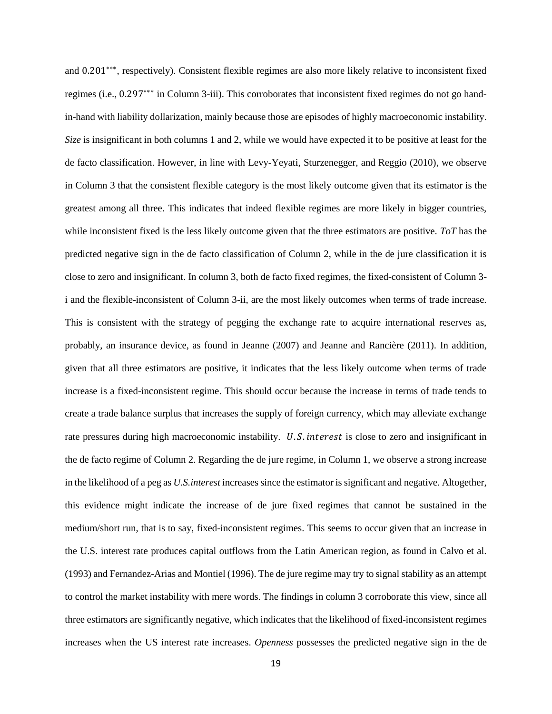and 0.201<sup>\*\*\*</sup>, respectively). Consistent flexible regimes are also more likely relative to inconsistent fixed regimes (i.e., 0.297∗∗∗ in Column 3-iii). This corroborates that inconsistent fixed regimes do not go handin-hand with liability dollarization, mainly because those are episodes of highly macroeconomic instability. *Size* is insignificant in both columns 1 and 2, while we would have expected it to be positive at least for the de facto classification. However, in line with Levy-Yeyati, Sturzenegger, and Reggio (2010), we observe in Column 3 that the consistent flexible category is the most likely outcome given that its estimator is the greatest among all three. This indicates that indeed flexible regimes are more likely in bigger countries, while inconsistent fixed is the less likely outcome given that the three estimators are positive. *ToT* has the predicted negative sign in the de facto classification of Column 2, while in the de jure classification it is close to zero and insignificant. In column 3, both de facto fixed regimes, the fixed-consistent of Column 3 i and the flexible-inconsistent of Column 3-ii, are the most likely outcomes when terms of trade increase. This is consistent with the strategy of pegging the exchange rate to acquire international reserves as, probably, an insurance device, as found in Jeanne (2007) and Jeanne and Rancière (2011). In addition, given that all three estimators are positive, it indicates that the less likely outcome when terms of trade increase is a fixed-inconsistent regime. This should occur because the increase in terms of trade tends to create a trade balance surplus that increases the supply of foreign currency, which may alleviate exchange rate pressures during high macroeconomic instability. U.S. interest is close to zero and insignificant in the de facto regime of Column 2. Regarding the de jure regime, in Column 1, we observe a strong increase in the likelihood of a peg as *U.S.interest* increases since the estimator is significant and negative. Altogether, this evidence might indicate the increase of de jure fixed regimes that cannot be sustained in the medium/short run, that is to say, fixed-inconsistent regimes. This seems to occur given that an increase in the U.S. interest rate produces capital outflows from the Latin American region, as found in Calvo et al. (1993) and Fernandez-Arias and Montiel (1996). The de jure regime may try to signal stability as an attempt to control the market instability with mere words. The findings in column 3 corroborate this view, since all three estimators are significantly negative, which indicates that the likelihood of fixed-inconsistent regimes increases when the US interest rate increases. *Openness* possesses the predicted negative sign in the de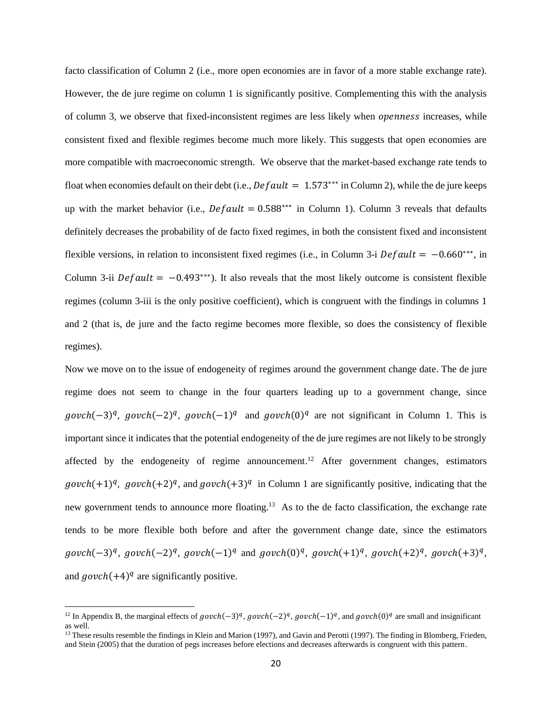facto classification of Column 2 (i.e., more open economies are in favor of a more stable exchange rate). However, the de jure regime on column 1 is significantly positive. Complementing this with the analysis of column 3, we observe that fixed-inconsistent regimes are less likely when *openness* increases, while consistent fixed and flexible regimes become much more likely. This suggests that open economies are more compatible with macroeconomic strength. We observe that the market-based exchange rate tends to float when economies default on their debt (i.e.,  $\text{Default} = 1.573***$  in Column 2), while the de jure keeps up with the market behavior (i.e.,  $Default = 0.588***$  in Column 1). Column 3 reveals that defaults definitely decreases the probability of de facto fixed regimes, in both the consistent fixed and inconsistent flexible versions, in relation to inconsistent fixed regimes (i.e., in Column 3-i  $Default = -0.660***$ , in Column 3-ii  $Default = -0.493***$ ). It also reveals that the most likely outcome is consistent flexible regimes (column 3-iii is the only positive coefficient), which is congruent with the findings in columns 1 and 2 (that is, de jure and the facto regime becomes more flexible, so does the consistency of flexible regimes).

Now we move on to the issue of endogeneity of regimes around the government change date. The de jure regime does not seem to change in the four quarters leading up to a government change, since  $govch(-3)^q$ ,  $govch(-2)^q$ ,  $govch(-1)^q$  and  $govch(0)^q$  are not significant in Column 1. This is important since it indicates that the potential endogeneity of the de jure regimes are not likely to be strongly affected by the endogeneity of regime announcement.<sup>12</sup> After government changes, estimators  $\text{growth}(+1)^q$ ,  $\text{growth}(+2)^q$ , and  $\text{growth}(+3)^q$  in Column 1 are significantly positive, indicating that the new government tends to announce more floating.<sup>13</sup> As to the de facto classification, the exchange rate tends to be more flexible both before and after the government change date, since the estimators  $g (obch(-3)^q, g (obch(-2)^q, g (obch(-1)^q, \text{and } g (obch(0)^q, g (obch(+1)^q, g (obch(+2)^q, g (obch(+3)^q, \text{a})))$ and  $govch(+4)^q$  are significantly positive.

l

<sup>&</sup>lt;sup>12</sup> In Appendix B, the marginal effects of  $govch(-3)^q$ ,  $govch(-2)^q$ ,  $govch(-1)^q$ , and  $govch(0)^q$  are small and insignificant as well.

<sup>&</sup>lt;sup>13</sup> These results resemble the findings in Klein and Marion (1997), and Gavin and Perotti (1997). The finding in Blomberg, Frieden, and Stein (2005) that the duration of pegs increases before elections and decreases afterwards is congruent with this pattern.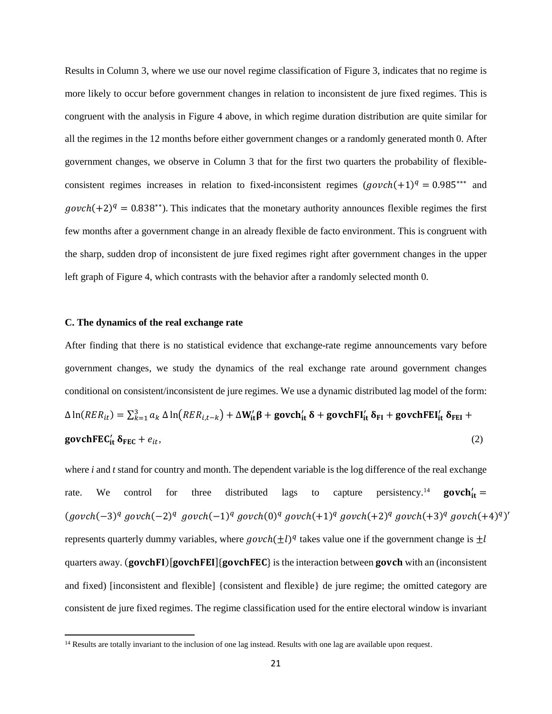Results in Column 3, where we use our novel regime classification of Figure 3, indicates that no regime is more likely to occur before government changes in relation to inconsistent de jure fixed regimes. This is congruent with the analysis in Figure 4 above, in which regime duration distribution are quite similar for all the regimes in the 12 months before either government changes or a randomly generated month 0. After government changes, we observe in Column 3 that for the first two quarters the probability of flexibleconsistent regimes increases in relation to fixed-inconsistent regimes  $(govch(+1)^q = 0.985^{***}$  and  $govch(+2)^q = 0.838^{**}$ ). This indicates that the monetary authority announces flexible regimes the first few months after a government change in an already flexible de facto environment. This is congruent with the sharp, sudden drop of inconsistent de jure fixed regimes right after government changes in the upper left graph of Figure 4, which contrasts with the behavior after a randomly selected month 0.

### **C. The dynamics of the real exchange rate**

 $\overline{\phantom{a}}$ 

After finding that there is no statistical evidence that exchange-rate regime announcements vary before government changes, we study the dynamics of the real exchange rate around government changes conditional on consistent/inconsistent de jure regimes. We use a dynamic distributed lag model of the form: Δ ln( $RER_{it}$ ) =  $\sum_{k=1}^{3} a_k$  Δ ln $\left(RER_{i,t-k}\right) + \Delta W_{it}'\beta +$  govch $_{it}'\delta +$  govchFl<sub>it</sub>  $\delta_{FI}$  + govchFEI<sub>it</sub>  $\delta_{FEI}$  + **govchFEC<sub>it</sub>**  $\delta_{\text{FEC}} + e_{it}$ , (2)

where *i* and *t* stand for country and month. The dependent variable is the log difference of the real exchange rate. We control for three distributed lags to capture persistency.<sup>14</sup> **govch**<sup>'</sup><sub>it</sub>  $(govch(-3)^q govch(-2)^q govch(-1)^q govch(0)^q govch(+1)^q govch(+2)^q govch(+3)^q govch(+4)^q)'$ represents quarterly dummy variables, where  $govch(\pm l)^q$  takes value one if the government change is  $\pm l$ quarters away.  $(govchFI)[govchFEI] {govchFEC}$  is the interaction between govch with an (inconsistent and fixed) [inconsistent and flexible] {consistent and flexible} de jure regime; the omitted category are consistent de jure fixed regimes. The regime classification used for the entire electoral window is invariant

<sup>&</sup>lt;sup>14</sup> Results are totally invariant to the inclusion of one lag instead. Results with one lag are available upon request.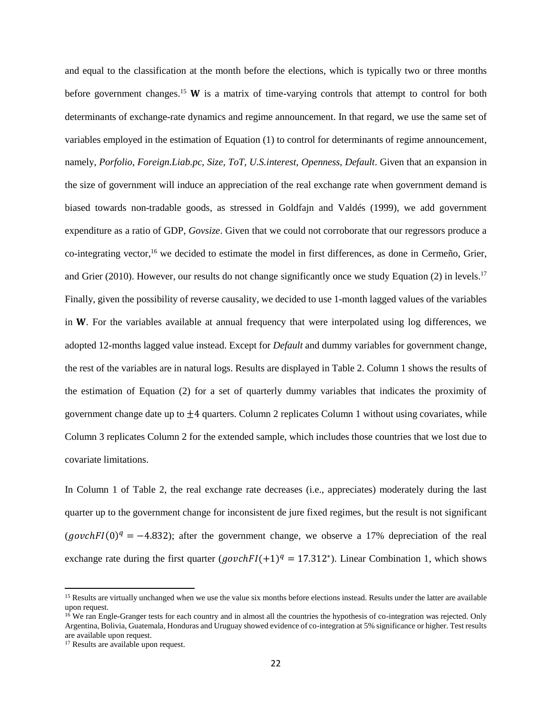and equal to the classification at the month before the elections, which is typically two or three months before government changes.<sup>15</sup> **W** is a matrix of time-varying controls that attempt to control for both determinants of exchange-rate dynamics and regime announcement. In that regard, we use the same set of variables employed in the estimation of Equation (1) to control for determinants of regime announcement, namely, *Porfolio*, *Foreign.Liab.pc*, *Size, ToT*, *U.S.interest*, *Openness*, *Default*. Given that an expansion in the size of government will induce an appreciation of the real exchange rate when government demand is biased towards non-tradable goods, as stressed in Goldfajn and Valdés (1999), we add government expenditure as a ratio of GDP, *Govsize*. Given that we could not corroborate that our regressors produce a co-integrating vector,<sup>16</sup> we decided to estimate the model in first differences, as done in Cermeño, Grier, and Grier (2010). However, our results do not change significantly once we study Equation (2) in levels.<sup>17</sup> Finally, given the possibility of reverse causality, we decided to use 1-month lagged values of the variables in  $W$ . For the variables available at annual frequency that were interpolated using log differences, we adopted 12-months lagged value instead. Except for *Default* and dummy variables for government change, the rest of the variables are in natural logs. Results are displayed in Table 2. Column 1 shows the results of the estimation of Equation (2) for a set of quarterly dummy variables that indicates the proximity of government change date up to  $\pm 4$  quarters. Column 2 replicates Column 1 without using covariates, while Column 3 replicates Column 2 for the extended sample, which includes those countries that we lost due to covariate limitations.

In Column 1 of Table 2, the real exchange rate decreases (i.e., appreciates) moderately during the last quarter up to the government change for inconsistent de jure fixed regimes, but the result is not significant (govchFI(0)<sup>q</sup> = -4.832); after the government change, we observe a 17% depreciation of the real exchange rate during the first quarter  $(govchFI(+1)^q = 17.312^*)$ . Linear Combination 1, which shows

 $\overline{\phantom{a}}$ 

<sup>&</sup>lt;sup>15</sup> Results are virtually unchanged when we use the value six months before elections instead. Results under the latter are available upon request.

<sup>&</sup>lt;sup>16</sup> We ran Engle-Granger tests for each country and in almost all the countries the hypothesis of co-integration was rejected. Only Argentina, Bolivia, Guatemala, Honduras and Uruguay showed evidence of co-integration at 5% significance or higher. Test results are available upon request.

<sup>&</sup>lt;sup>17</sup> Results are available upon request.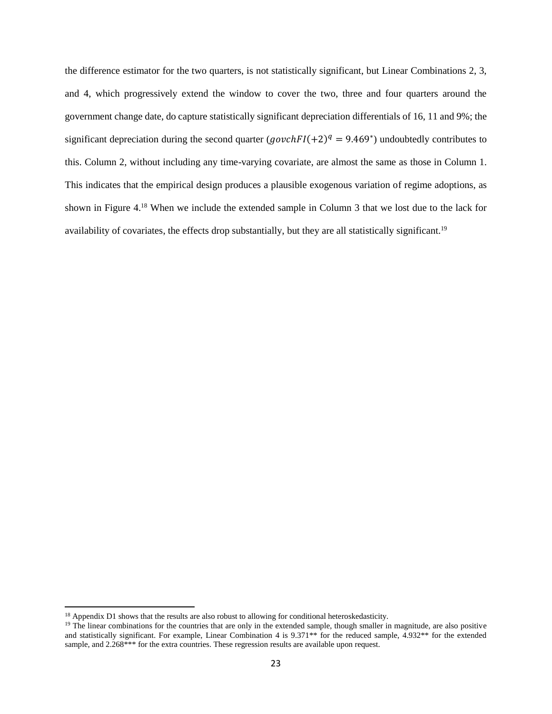the difference estimator for the two quarters, is not statistically significant, but Linear Combinations 2, 3, and 4, which progressively extend the window to cover the two, three and four quarters around the government change date, do capture statistically significant depreciation differentials of 16, 11 and 9%; the significant depreciation during the second quarter  $(govchFI(+2)^q = 9.469^*)$  undoubtedly contributes to this. Column 2, without including any time-varying covariate, are almost the same as those in Column 1. This indicates that the empirical design produces a plausible exogenous variation of regime adoptions, as shown in Figure 4.<sup>18</sup> When we include the extended sample in Column 3 that we lost due to the lack for availability of covariates, the effects drop substantially, but they are all statistically significant.<sup>19</sup>

 $\overline{\phantom{a}}$ 

<sup>&</sup>lt;sup>18</sup> Appendix D1 shows that the results are also robust to allowing for conditional heteroskedasticity.

<sup>&</sup>lt;sup>19</sup> The linear combinations for the countries that are only in the extended sample, though smaller in magnitude, are also positive and statistically significant. For example, Linear Combination 4 is 9.371\*\* for the reduced sample, 4.932\*\* for the extended sample, and 2.268\*\*\* for the extra countries. These regression results are available upon request.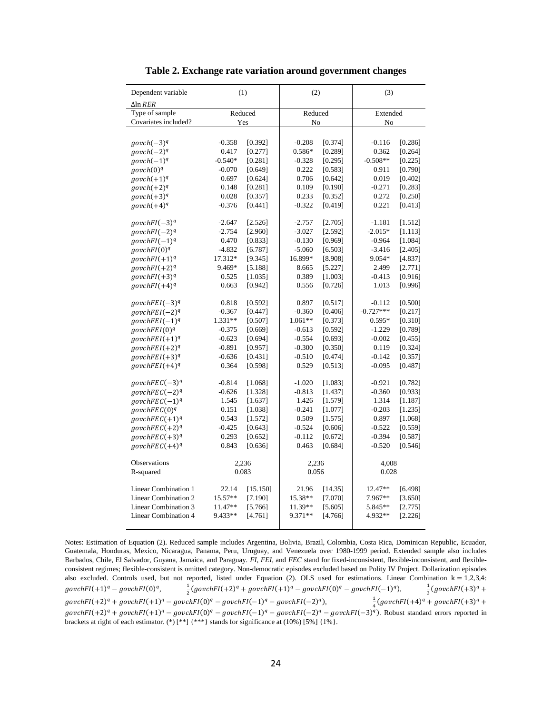| Dependent variable<br>∆ln <i>RER</i> |           | (1)      | (2)       |         | (3)         |         |  |
|--------------------------------------|-----------|----------|-----------|---------|-------------|---------|--|
| Type of sample                       |           | Reduced  | Reduced   |         | Extended    |         |  |
| Covariates included?                 |           | Yes      | No        |         | No          |         |  |
|                                      |           |          |           |         |             |         |  |
| $govch(-3)^q$                        | $-0.358$  | [0.392]  | $-0.208$  | [0.374] | $-0.116$    | [0.286] |  |
| $govch(-2)^q$                        | 0.417     | [0.277]  | 0.586*    | [0.289] | 0.362       | [0.264] |  |
| $govch(-1)^q$                        | $-0.540*$ | [0.281]  | $-0.328$  | [0.295] | $-0.508**$  | [0.225] |  |
| $govch(0)^q$                         | $-0.070$  | [0.649]  | 0.222     | [0.583] | 0.911       | [0.790] |  |
| $govch(+1)^q$                        | 0.697     | [0.624]  | 0.706     | [0.642] | 0.019       | [0.402] |  |
| $govch(+2)^q$                        | 0.148     | [0.281]  | 0.109     | [0.190] | $-0.271$    | [0.283] |  |
|                                      |           |          |           | [0.352] | 0.272       | [0.250] |  |
| $govch(+3)^q$                        | 0.028     | [0.357]  | 0.233     |         |             |         |  |
| $govch(+4)^q$                        | $-0.376$  | [0.441]  | $-0.322$  | [0.419] | 0.221       | [0.413] |  |
| $govchFI(-3)^{q}$                    | $-2.647$  | [2.526]  | $-2.757$  | [2.705] | $-1.181$    | [1.512] |  |
| $govchFI(-2)^{q}$                    | $-2.754$  | [2.960]  | $-3.027$  | [2.592] | $-2.015*$   | [1.113] |  |
| $govchFI(-1)^{q}$                    | 0.470     | [0.833]  | $-0.130$  | [0.969] | $-0.964$    | [1.084] |  |
| $govchFI(0)^q$                       | $-4.832$  | [6.787]  | $-5.060$  | [6.503] | $-3.416$    | [2.405] |  |
| $govchFI(+1)^q$                      | 17.312*   | [9.345]  | 16.899*   | [8.908] | 9.054*      | [4.837] |  |
| $govchFI(+2)^{q}$                    | 9.469*    | [5.188]  | 8.665     | [5.227] | 2.499       | [2.771] |  |
| $govchFI(+3)^{q}$                    | 0.525     | [1.035]  | 0.389     | [1.003] | $-0.413$    | [0.916] |  |
| $govchFI(+4)^q$                      | 0.663     | [0.942]  | 0.556     | [0.726] | 1.013       | [0.996] |  |
|                                      |           |          |           |         |             |         |  |
| govchFEI $(-3)^q$                    | 0.818     | [0.592]  | 0.897     | [0.517] | $-0.112$    | [0.500] |  |
| $govchFEI(-2)^{q}$                   | $-0.367$  | [0.447]  | $-0.360$  | [0.406] | $-0.727***$ | [0.217] |  |
| $govchFEI(-1)^q$                     | 1.331**   | [0.507]  | 1.061**   | [0.373] | $0.595*$    | [0.310] |  |
| $govchFEI(0)^q$                      | $-0.375$  | [0.669]  | $-0.613$  | [0.592] | $-1.229$    | [0.789] |  |
| $govchFEI(+1)^q$                     | $-0.623$  | [0.694]  | $-0.554$  | [0.693] | $-0.002$    | [0.455] |  |
| $govchFEI(+2)^q$                     | $-0.891$  | [0.957]  | $-0.300$  | [0.350] | 0.119       | [0.324] |  |
| $govchFEI(+3)^{q}$                   | $-0.636$  | [0.431]  | $-0.510$  | [0.474] | $-0.142$    | [0.357] |  |
| $govchFEI(+4)^q$                     | 0.364     | [0.598]  | 0.529     | [0.513] | $-0.095$    | [0.487] |  |
|                                      |           |          |           |         |             |         |  |
| $govchFEC(-3)^q$                     | $-0.814$  | [1.068]  | $-1.020$  | [1.083] | $-0.921$    | [0.782] |  |
| $govchFEC(-2)^q$                     | $-0.626$  | [1.328]  | $-0.813$  | [1.437] | $-0.360$    | [0.933] |  |
| $govchFEC(-1)^q$                     | 1.545     | [1.637]  | 1.426     | [1.579] | 1.314       | [1.187] |  |
| $govchFEC(0)^q$                      | 0.151     | [1.038]  | $-0.241$  | [1.077] | $-0.203$    | [1.235] |  |
| $govchFEC(+1)^q$                     | 0.543     | [1.572]  | 0.509     | [1.575] | 0.897       | [1.068] |  |
| $govchFEC(+2)^q$                     | $-0.425$  | [0.643]  | $-0.524$  | [0.606] | $-0.522$    | [0.559] |  |
| $govchFEC(+3)^q$                     | 0.293     | [0.652]  | $-0.112$  | [0.672] | $-0.394$    | [0.587] |  |
| $govchFEC(+4)^q$                     | 0.843     | [0.636]  | 0.463     | [0.684] | $-0.520$    | [0.546] |  |
| Observations                         |           | 2,236    | 2,236     |         | 4,008       |         |  |
| R-squared                            |           | 0.083    | 0.056     |         | 0.028       |         |  |
|                                      |           |          |           |         |             |         |  |
| Linear Combination 1                 | 22.14     | [15.150] | 21.96     | [14.35] | 12.47**     | [6.498] |  |
| <b>Linear Combination 2</b>          | 15.57**   | [7.190]  | 15.38**   | [7.070] | 7.967**     | [3.650] |  |
| <b>Linear Combination 3</b>          | 11.47**   | [5.766]  | 11.39**   | [5.605] | 5.845**     | [2.775] |  |
| <b>Linear Combination 4</b>          | 9.433**   | [4.761]  | $9.371**$ | [4.766] | 4.932**     | [2.226] |  |
|                                      |           |          |           |         |             |         |  |

**Table 2. Exchange rate variation around government changes**

Notes: Estimation of Equation (2). Reduced sample includes Argentina, Bolivia, Brazil, Colombia, Costa Rica, Dominican Republic, Ecuador, Guatemala, Honduras, Mexico, Nicaragua, Panama, Peru, Uruguay, and Venezuela over 1980-1999 period. Extended sample also includes Barbados, Chile, El Salvador, Guyana, Jamaica, and Paraguay. *FI*, *FEI*, and *FEC* stand for fixed-inconsistent, flexible-inconsistent, and flexibleconsistent regimes; flexible-consistent is omitted category. Non-democratic episodes excluded based on Polity IV Project. Dollarization episodes also excluded. Controls used, but not reported, listed under Equation (2). OLS used for estimations. Linear Combination  $k = 1,2,3,4$ :  $govchFl(+1)<sup>q</sup> - govchFl(0)<sup>q</sup>$ , 1  $\frac{1}{2}(govchFI(+2)^{q} + govchFI(+1)^{q} - govchFI(0)^{q} - govchFI(-1)^{q}),$   $\frac{1}{3}$  $\frac{1}{3}(govchFI(+3)^{q} +$  $govchFl(+2)^q + govch Fl(+1)^q - govchFl(0)$  $^{q}$  – govchFI(-1)<sup>q</sup> – govchFI(-2)<sup>q</sup>),  $\frac{1}{2}$  $\frac{1}{4}(govchFl(+4)^{q} + govchFl(+3)^{q} +$  $govchF I(+2)^q + govchF I(+1)^q - govchF I(0)^q - govchF I(-1)^q - govchF I(-2)^q - govchF I(-3)^q$ ). Robust standard errors reported in brackets at right of each estimator. (\*) [\*\*] {\*\*\*} stands for significance at (10%) [5%] {1%}.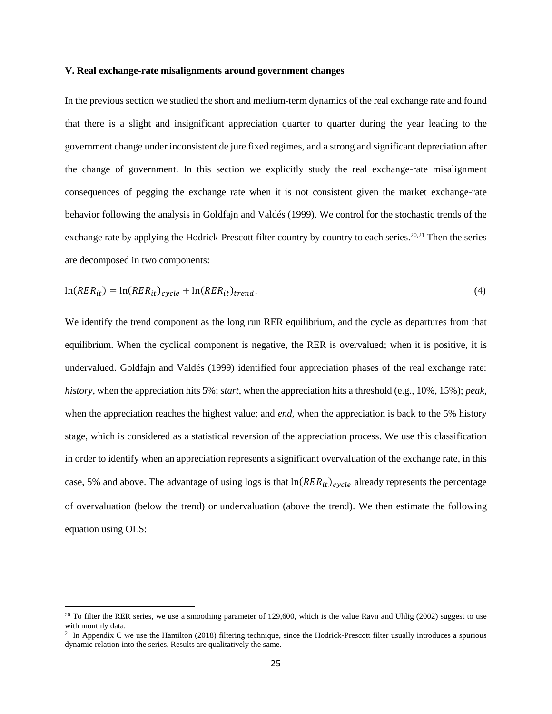#### **V. Real exchange-rate misalignments around government changes**

In the previous section we studied the short and medium-term dynamics of the real exchange rate and found that there is a slight and insignificant appreciation quarter to quarter during the year leading to the government change under inconsistent de jure fixed regimes, and a strong and significant depreciation after the change of government. In this section we explicitly study the real exchange-rate misalignment consequences of pegging the exchange rate when it is not consistent given the market exchange-rate behavior following the analysis in Goldfajn and Valdés (1999). We control for the stochastic trends of the exchange rate by applying the Hodrick-Prescott filter country by country to each series.<sup>20,21</sup> Then the series are decomposed in two components:

$$
\ln(RER_{it}) = \ln(RER_{it})_{cycle} + \ln(RER_{it})_{trend}.\tag{4}
$$

We identify the trend component as the long run RER equilibrium, and the cycle as departures from that equilibrium. When the cyclical component is negative, the RER is overvalued; when it is positive, it is undervalued. Goldfajn and Valdés (1999) identified four appreciation phases of the real exchange rate: *history*, when the appreciation hits 5%; *start*, when the appreciation hits a threshold (e.g., 10%, 15%); *peak*, when the appreciation reaches the highest value; and *end*, when the appreciation is back to the 5% history stage, which is considered as a statistical reversion of the appreciation process. We use this classification in order to identify when an appreciation represents a significant overvaluation of the exchange rate, in this case, 5% and above. The advantage of using logs is that  $\ln(RER_{it})_{cycle}$  already represents the percentage of overvaluation (below the trend) or undervaluation (above the trend). We then estimate the following equation using OLS:

 $\overline{\phantom{a}}$ 

 $20$  To filter the RER series, we use a smoothing parameter of 129,600, which is the value Ravn and Uhlig (2002) suggest to use with monthly data.

<sup>&</sup>lt;sup>21</sup> In Appendix C we use the Hamilton (2018) filtering technique, since the Hodrick-Prescott filter usually introduces a spurious dynamic relation into the series. Results are qualitatively the same.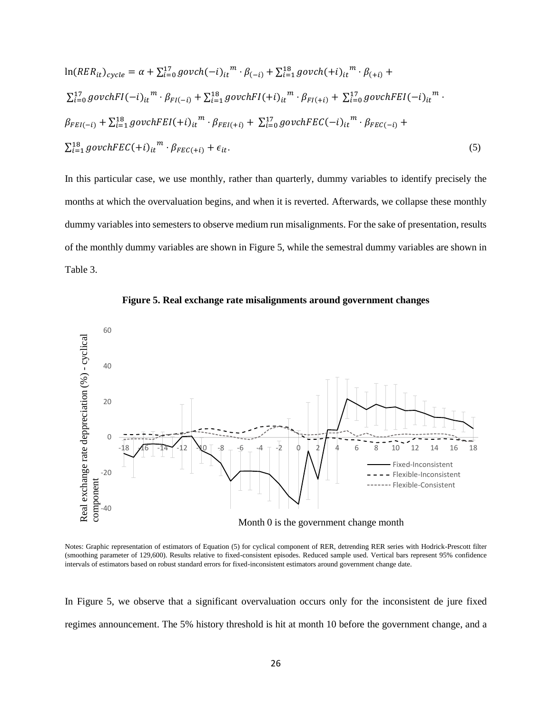$$
\ln(RER_{it})_{cycle} = \alpha + \sum_{i=0}^{17} govch(-i)_{it}^{m} \cdot \beta_{(-i)} + \sum_{i=1}^{18} govch(+i)_{it}^{m} \cdot \beta_{(+i)} +
$$
  
\n
$$
\sum_{i=0}^{17} govchFI(-i)_{it}^{m} \cdot \beta_{FI(-i)} + \sum_{i=1}^{18} govchFI(+i)_{it}^{m} \cdot \beta_{FI(+i)} + \sum_{i=0}^{17} govchFEI(-i)_{it}^{m} \cdot
$$
  
\n
$$
\beta_{FEI(-i)} + \sum_{i=1}^{18} govchFEI(+i)_{it}^{m} \cdot \beta_{FEI(+i)} + \sum_{i=0}^{17} govchFEC(-i)_{it}^{m} \cdot \beta_{FEC(-i)} +
$$
  
\n
$$
\sum_{i=1}^{18} govchFEC(+i)_{it}^{m} \cdot \beta_{FEC(+i)} + \epsilon_{it}.
$$
\n(5)

In this particular case, we use monthly, rather than quarterly, dummy variables to identify precisely the months at which the overvaluation begins, and when it is reverted. Afterwards, we collapse these monthly dummy variables into semesters to observe medium run misalignments. For the sake of presentation, results of the monthly dummy variables are shown in Figure 5, while the semestral dummy variables are shown in Table 3.





Notes: Graphic representation of estimators of Equation (5) for cyclical component of RER, detrending RER series with Hodrick-Prescott filter (smoothing parameter of 129,600). Results relative to fixed-consistent episodes. Reduced sample used. Vertical bars represent 95% confidence intervals of estimators based on robust standard errors for fixed-inconsistent estimators around government change date.

In Figure 5, we observe that a significant overvaluation occurs only for the inconsistent de jure fixed regimes announcement. The 5% history threshold is hit at month 10 before the government change, and a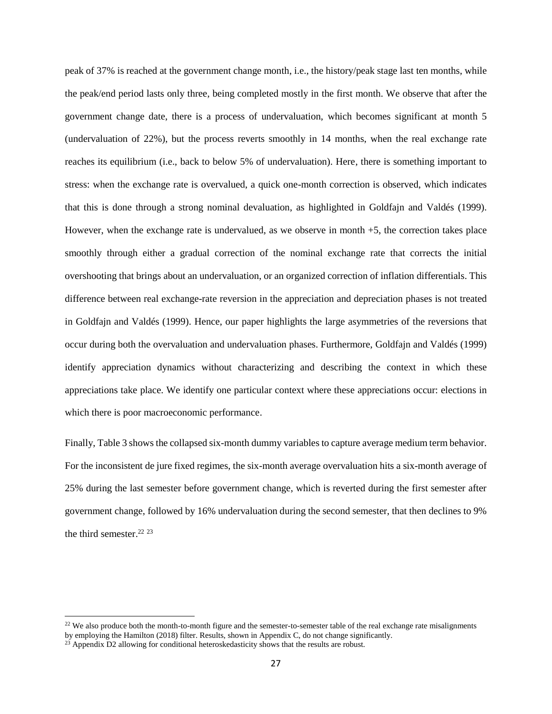peak of 37% is reached at the government change month, i.e., the history/peak stage last ten months, while the peak/end period lasts only three, being completed mostly in the first month. We observe that after the government change date, there is a process of undervaluation, which becomes significant at month 5 (undervaluation of 22%), but the process reverts smoothly in 14 months, when the real exchange rate reaches its equilibrium (i.e., back to below 5% of undervaluation). Here, there is something important to stress: when the exchange rate is overvalued, a quick one-month correction is observed, which indicates that this is done through a strong nominal devaluation, as highlighted in Goldfajn and Valdés (1999). However, when the exchange rate is undervalued, as we observe in month +5, the correction takes place smoothly through either a gradual correction of the nominal exchange rate that corrects the initial overshooting that brings about an undervaluation, or an organized correction of inflation differentials. This difference between real exchange-rate reversion in the appreciation and depreciation phases is not treated in Goldfajn and Valdés (1999). Hence, our paper highlights the large asymmetries of the reversions that occur during both the overvaluation and undervaluation phases. Furthermore, Goldfajn and Valdés (1999) identify appreciation dynamics without characterizing and describing the context in which these appreciations take place. We identify one particular context where these appreciations occur: elections in which there is poor macroeconomic performance.

Finally, Table 3 shows the collapsed six-month dummy variables to capture average medium term behavior. For the inconsistent de jure fixed regimes, the six-month average overvaluation hits a six-month average of 25% during the last semester before government change, which is reverted during the first semester after government change, followed by 16% undervaluation during the second semester, that then declines to 9% the third semester.<sup>22 23</sup>

l

 $22$  We also produce both the month-to-month figure and the semester-to-semester table of the real exchange rate misalignments by employing the Hamilton (2018) filter. Results, shown in Appendix C, do not change significantly.

 $^{23}$  Appendix D2 allowing for conditional heteroskedasticity shows that the results are robust.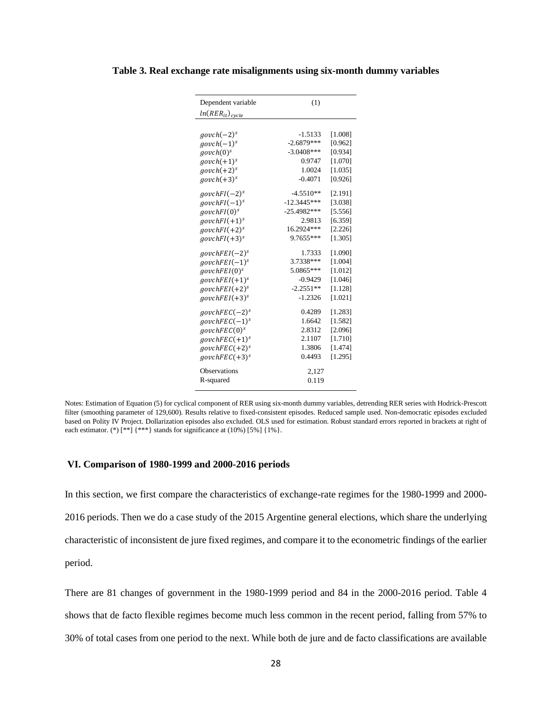|  | Table 3. Real exchange rate misalignments using six-month dummy variables |  |  |
|--|---------------------------------------------------------------------------|--|--|
|  |                                                                           |  |  |

| Dependent variable       | (1)           |         |
|--------------------------|---------------|---------|
| $ln(RER_{it})_{cycle}$   |               |         |
|                          |               |         |
| $govch(-2)^s$            | $-1.5133$     | [1.008] |
| $govch(-1)^s$            | $-2.6879***$  | [0.962] |
| govch(0) <sup>s</sup>    | $-3.0408***$  | [0.934] |
| $govch(+1)^s$            | 0.9747        | [1.070] |
| $govch(+2)^s$            | 1.0024        | [1.035] |
| $govch(+3)^s$            | $-0.4071$     | [0.926] |
| $govchFI(-2)^s$          | $-4.5510**$   | [2.191] |
| $govchFI(-1)^s$          | $-12.3445***$ | [3.038] |
| govchFI(0) <sup>s</sup>  | $-25.4982***$ | [5.556] |
| $govchFI(+1)^s$          | 2.9813        | [6.359] |
| $govchFI(+2)^s$          | 16.2924***    | [2.226] |
| $govchFI(+3)^s$          | 9.7655***     | [1.305] |
| $govchFEI(-2)^s$         | 1.7333        | [1.090] |
| $govchFEI(-1)^s$         | 3.7338***     | [1.004] |
| govchFEI(0) <sup>s</sup> | 5.0865***     | [1.012] |
| $govchFEI(+1)^s$         | $-0.9429$     | [1.046] |
| $govchFEI(+2)^s$         | $-2.2551**$   | [1.128] |
| $govchFEI(+3)^s$         | $-1.2326$     | [1.021] |
| $govchFEC(-2)^s$         | 0.4289        | [1.283] |
| $govchFEC(-1)^s$         | 1.6642        | [1.582] |
| govchFEC(0) <sup>s</sup> | 2.8312        | [2.096] |
| $govchFEC(+1)^s$         | 2.1107        | [1.710] |
| $govchFEC(+2)^s$         | 1.3806        | [1.474] |
| $govchFEC(+3)^s$         | 0.4493        | [1.295] |
| <b>Observations</b>      | 2,127         |         |
| R-squared                | 0.119         |         |
|                          |               |         |

Notes: Estimation of Equation (5) for cyclical component of RER using six-month dummy variables, detrending RER series with Hodrick-Prescott filter (smoothing parameter of 129,600). Results relative to fixed-consistent episodes. Reduced sample used. Non-democratic episodes excluded based on Polity IV Project. Dollarization episodes also excluded. OLS used for estimation. Robust standard errors reported in brackets at right of each estimator. (\*)  $[***]$  {\*\*\*} stands for significance at (10%) [5%] {1%}.

### **VI. Comparison of 1980-1999 and 2000-2016 periods**

In this section, we first compare the characteristics of exchange-rate regimes for the 1980-1999 and 2000- 2016 periods. Then we do a case study of the 2015 Argentine general elections, which share the underlying characteristic of inconsistent de jure fixed regimes, and compare it to the econometric findings of the earlier period.

There are 81 changes of government in the 1980-1999 period and 84 in the 2000-2016 period. Table 4 shows that de facto flexible regimes become much less common in the recent period, falling from 57% to 30% of total cases from one period to the next. While both de jure and de facto classifications are available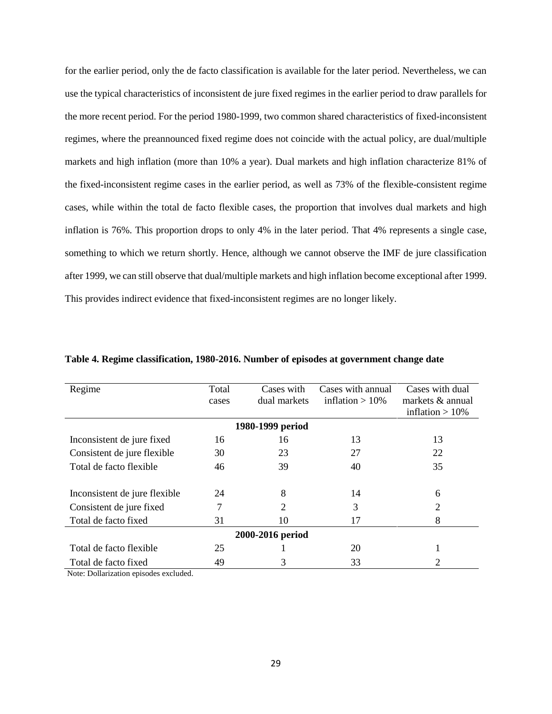for the earlier period, only the de facto classification is available for the later period. Nevertheless, we can use the typical characteristics of inconsistent de jure fixed regimes in the earlier period to draw parallels for the more recent period. For the period 1980-1999, two common shared characteristics of fixed-inconsistent regimes, where the preannounced fixed regime does not coincide with the actual policy, are dual/multiple markets and high inflation (more than 10% a year). Dual markets and high inflation characterize 81% of the fixed-inconsistent regime cases in the earlier period, as well as 73% of the flexible-consistent regime cases, while within the total de facto flexible cases, the proportion that involves dual markets and high inflation is 76%. This proportion drops to only 4% in the later period. That 4% represents a single case, something to which we return shortly. Hence, although we cannot observe the IMF de jure classification after 1999, we can still observe that dual/multiple markets and high inflation become exceptional after 1999. This provides indirect evidence that fixed-inconsistent regimes are no longer likely.

| Regime                        | Total | Cases with       | Cases with annual | Cases with dual     |  |
|-------------------------------|-------|------------------|-------------------|---------------------|--|
|                               | cases | dual markets     | inflation $>10\%$ | markets $\&$ annual |  |
|                               |       |                  |                   | inflation $>10\%$   |  |
|                               |       | 1980-1999 period |                   |                     |  |
| Inconsistent de jure fixed    | 16    | 16               | 13                | 13                  |  |
| Consistent de jure flexible   | 30    | 23               | 27                | 22                  |  |
| Total de facto flexible       | 46    | 39               | 40                | 35                  |  |
|                               |       |                  |                   |                     |  |
| Inconsistent de jure flexible | 24    | 8                | 14                | 6                   |  |
| Consistent de jure fixed      | 7     | 2                | 3                 | 2                   |  |
| Total de facto fixed          | 31    | 10               | 17                | 8                   |  |
| 2000-2016 period              |       |                  |                   |                     |  |
| Total de facto flexible       | 25    |                  | 20                |                     |  |
| Total de facto fixed          | 49    | 3                | 33                | 2                   |  |

**Table 4. Regime classification, 1980-2016. Number of episodes at government change date**

Note: Dollarization episodes excluded.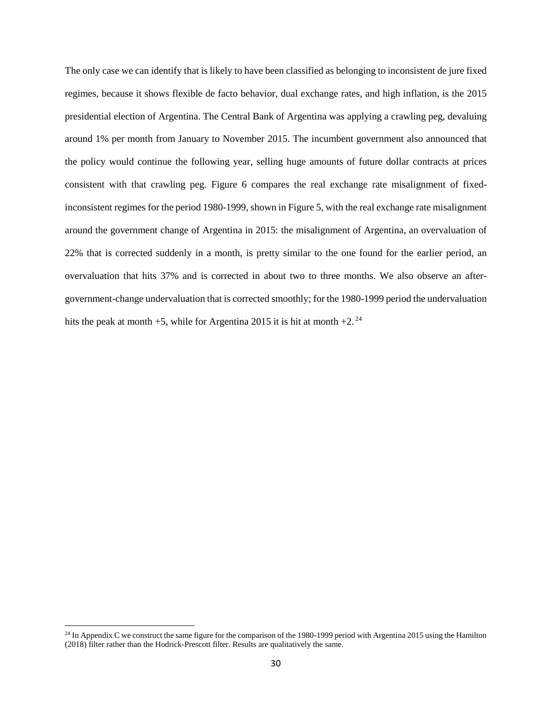The only case we can identify that is likely to have been classified as belonging to inconsistent de jure fixed regimes, because it shows flexible de facto behavior, dual exchange rates, and high inflation, is the 2015 presidential election of Argentina. The Central Bank of Argentina was applying a crawling peg, devaluing around 1% per month from January to November 2015. The incumbent government also announced that the policy would continue the following year, selling huge amounts of future dollar contracts at prices consistent with that crawling peg. Figure 6 compares the real exchange rate misalignment of fixedinconsistent regimes for the period 1980-1999, shown in Figure 5, with the real exchange rate misalignment around the government change of Argentina in 2015: the misalignment of Argentina, an overvaluation of 22% that is corrected suddenly in a month, is pretty similar to the one found for the earlier period, an overvaluation that hits 37% and is corrected in about two to three months. We also observe an aftergovernment-change undervaluation that is corrected smoothly; for the 1980-1999 period the undervaluation hits the peak at month +5, while for Argentina 2015 it is hit at month +2.<sup>24</sup>

 $\overline{a}$ 

 $^{24}$  In Appendix C we construct the same figure for the comparison of the 1980-1999 period with Argentina 2015 using the Hamilton (2018) filter rather than the Hodrick-Prescott filter. Results are qualitatively the same.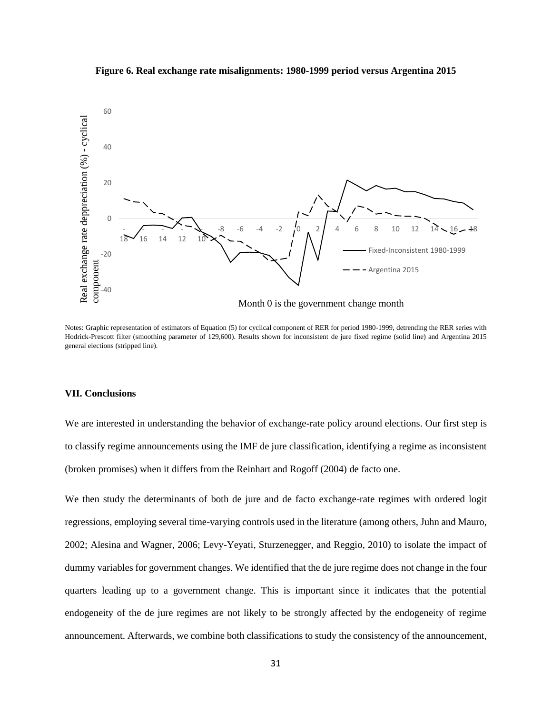



Notes: Graphic representation of estimators of Equation (5) for cyclical component of RER for period 1980-1999, detrending the RER series with Hodrick-Prescott filter (smoothing parameter of 129,600). Results shown for inconsistent de jure fixed regime (solid line) and Argentina 2015 general elections (stripped line).

### **VII. Conclusions**

We are interested in understanding the behavior of exchange-rate policy around elections. Our first step is to classify regime announcements using the IMF de jure classification, identifying a regime as inconsistent (broken promises) when it differs from the Reinhart and Rogoff (2004) de facto one.

We then study the determinants of both de jure and de facto exchange-rate regimes with ordered logit regressions, employing several time-varying controls used in the literature (among others, Juhn and Mauro, 2002; Alesina and Wagner, 2006; Levy-Yeyati, Sturzenegger, and Reggio, 2010) to isolate the impact of dummy variables for government changes. We identified that the de jure regime does not change in the four quarters leading up to a government change. This is important since it indicates that the potential endogeneity of the de jure regimes are not likely to be strongly affected by the endogeneity of regime announcement. Afterwards, we combine both classifications to study the consistency of the announcement,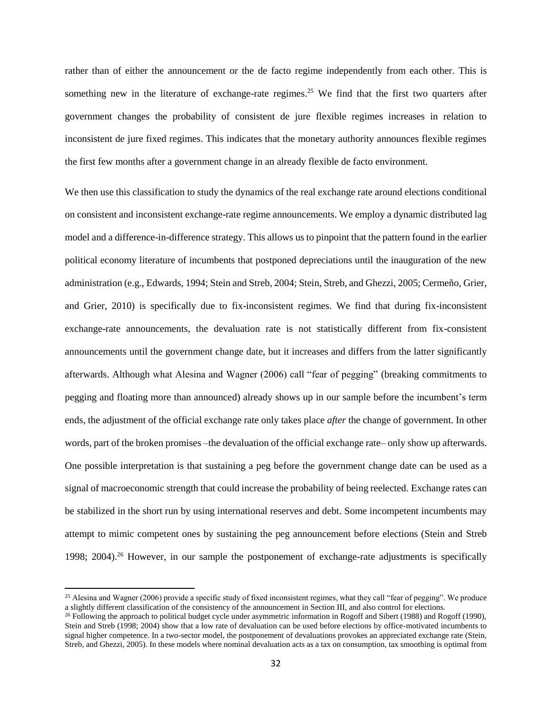rather than of either the announcement or the de facto regime independently from each other. This is something new in the literature of exchange-rate regimes.<sup>25</sup> We find that the first two quarters after government changes the probability of consistent de jure flexible regimes increases in relation to inconsistent de jure fixed regimes. This indicates that the monetary authority announces flexible regimes the first few months after a government change in an already flexible de facto environment.

We then use this classification to study the dynamics of the real exchange rate around elections conditional on consistent and inconsistent exchange-rate regime announcements. We employ a dynamic distributed lag model and a difference-in-difference strategy. This allows us to pinpoint that the pattern found in the earlier political economy literature of incumbents that postponed depreciations until the inauguration of the new administration (e.g., Edwards, 1994; Stein and Streb, 2004; Stein, Streb, and Ghezzi, 2005; Cermeño, Grier, and Grier, 2010) is specifically due to fix-inconsistent regimes. We find that during fix-inconsistent exchange-rate announcements, the devaluation rate is not statistically different from fix-consistent announcements until the government change date, but it increases and differs from the latter significantly afterwards. Although what Alesina and Wagner (2006) call "fear of pegging" (breaking commitments to pegging and floating more than announced) already shows up in our sample before the incumbent's term ends, the adjustment of the official exchange rate only takes place *after* the change of government. In other words, part of the broken promises –the devaluation of the official exchange rate– only show up afterwards. One possible interpretation is that sustaining a peg before the government change date can be used as a signal of macroeconomic strength that could increase the probability of being reelected. Exchange rates can be stabilized in the short run by using international reserves and debt. Some incompetent incumbents may attempt to mimic competent ones by sustaining the peg announcement before elections (Stein and Streb 1998; 2004).<sup>26</sup> However, in our sample the postponement of exchange-rate adjustments is specifically

 $\overline{\phantom{a}}$ 

<sup>&</sup>lt;sup>25</sup> Alesina and Wagner (2006) provide a specific study of fixed inconsistent regimes, what they call "fear of pegging". We produce a slightly different classification of the consistency of the announcement in Section III, and also control for elections.

<sup>&</sup>lt;sup>26</sup> Following the approach to political budget cycle under asymmetric information in Rogoff and Sibert (1988) and Rogoff (1990), Stein and Streb (1998; 2004) show that a low rate of devaluation can be used before elections by office-motivated incumbents to signal higher competence. In a two-sector model, the postponement of devaluations provokes an appreciated exchange rate (Stein, Streb, and Ghezzi, 2005). In these models where nominal devaluation acts as a tax on consumption, tax smoothing is optimal from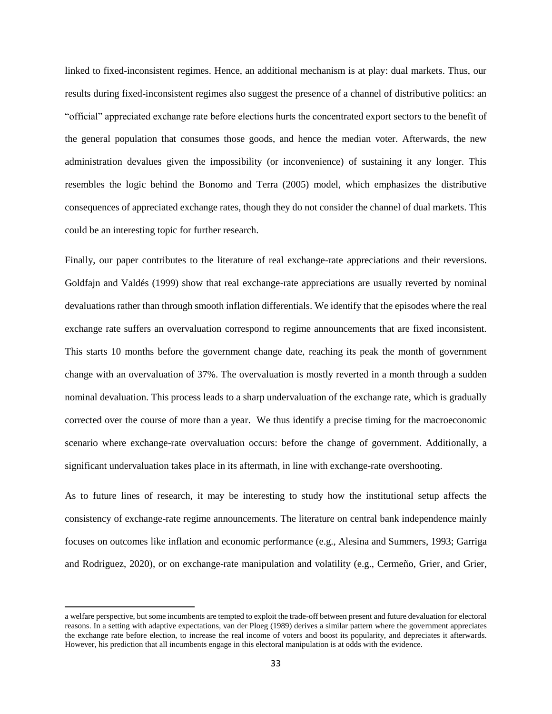linked to fixed-inconsistent regimes. Hence, an additional mechanism is at play: dual markets. Thus, our results during fixed-inconsistent regimes also suggest the presence of a channel of distributive politics: an "official" appreciated exchange rate before elections hurts the concentrated export sectors to the benefit of the general population that consumes those goods, and hence the median voter. Afterwards, the new administration devalues given the impossibility (or inconvenience) of sustaining it any longer. This resembles the logic behind the Bonomo and Terra (2005) model, which emphasizes the distributive consequences of appreciated exchange rates, though they do not consider the channel of dual markets. This could be an interesting topic for further research.

Finally, our paper contributes to the literature of real exchange-rate appreciations and their reversions. Goldfajn and Valdés (1999) show that real exchange-rate appreciations are usually reverted by nominal devaluations rather than through smooth inflation differentials. We identify that the episodes where the real exchange rate suffers an overvaluation correspond to regime announcements that are fixed inconsistent. This starts 10 months before the government change date, reaching its peak the month of government change with an overvaluation of 37%. The overvaluation is mostly reverted in a month through a sudden nominal devaluation. This process leads to a sharp undervaluation of the exchange rate, which is gradually corrected over the course of more than a year. We thus identify a precise timing for the macroeconomic scenario where exchange-rate overvaluation occurs: before the change of government. Additionally, a significant undervaluation takes place in its aftermath, in line with exchange-rate overshooting.

As to future lines of research, it may be interesting to study how the institutional setup affects the consistency of exchange-rate regime announcements. The literature on central bank independence mainly focuses on outcomes like inflation and economic performance (e.g., Alesina and Summers, 1993; Garriga and Rodriguez, 2020), or on exchange-rate manipulation and volatility (e.g., Cermeño, Grier, and Grier,

 $\overline{\phantom{a}}$ 

a welfare perspective, but some incumbents are tempted to exploit the trade-off between present and future devaluation for electoral reasons. In a setting with adaptive expectations, van der Ploeg (1989) derives a similar pattern where the government appreciates the exchange rate before election, to increase the real income of voters and boost its popularity, and depreciates it afterwards. However, his prediction that all incumbents engage in this electoral manipulation is at odds with the evidence.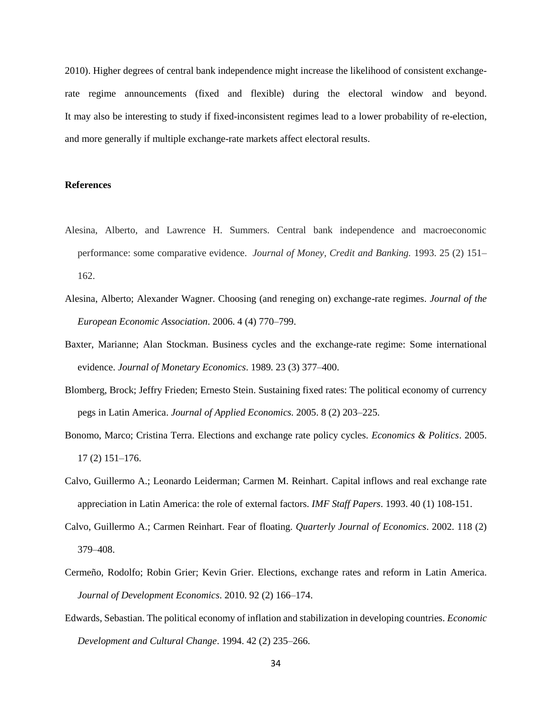2010). Higher degrees of central bank independence might increase the likelihood of consistent exchangerate regime announcements (fixed and flexible) during the electoral window and beyond. It may also be interesting to study if fixed-inconsistent regimes lead to a lower probability of re-election, and more generally if multiple exchange-rate markets affect electoral results.

# **References**

- Alesina, Alberto, and Lawrence H. Summers. Central bank independence and macroeconomic performance: some comparative evidence. *Journal of Money, Credit and Banking.* 1993. 25 (2) 151– 162.
- Alesina, Alberto; Alexander Wagner. Choosing (and reneging on) exchange-rate regimes. *Journal of the European Economic Association*. 2006. 4 (4) 770–799.
- Baxter, Marianne; Alan Stockman. Business cycles and the exchange-rate regime: Some international evidence. *Journal of Monetary Economics*. 1989. 23 (3) 377–400.
- Blomberg, Brock; Jeffry Frieden; Ernesto Stein. Sustaining fixed rates: The political economy of currency pegs in Latin America. *Journal of Applied Economics.* 2005. 8 (2) 203–225.
- Bonomo, Marco; Cristina Terra. Elections and exchange rate policy cycles. *Economics & Politics*. 2005. 17 (2) 151–176.
- Calvo, Guillermo A.; Leonardo Leiderman; Carmen M. Reinhart. Capital inflows and real exchange rate appreciation in Latin America: the role of external factors. *IMF Staff Papers*. 1993. 40 (1) 108-151.
- Calvo, Guillermo A.; Carmen Reinhart. Fear of floating. *Quarterly Journal of Economics*. 2002. 118 (2) 379–408.
- Cermeño, Rodolfo; Robin Grier; Kevin Grier. Elections, exchange rates and reform in Latin America. *Journal of Development Economics*. 2010. 92 (2) 166–174.
- Edwards, Sebastian. The political economy of inflation and stabilization in developing countries. *Economic Development and Cultural Change*. 1994. 42 (2) 235–266.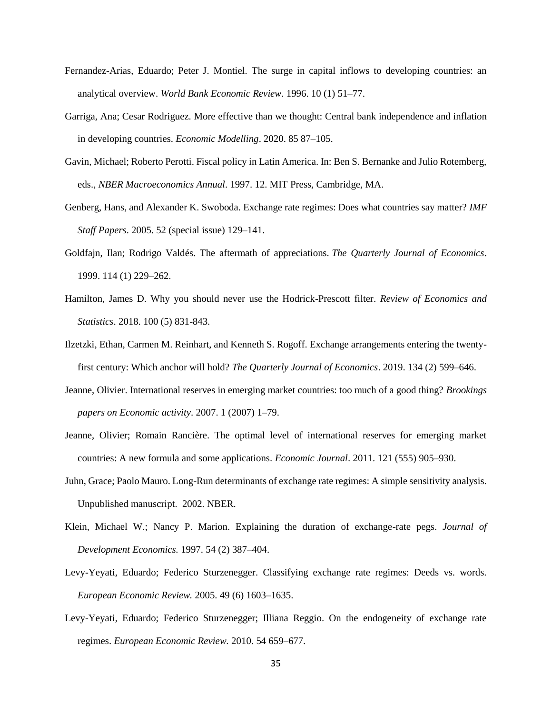- Fernandez-Arias, Eduardo; Peter J. Montiel. The surge in capital inflows to developing countries: an analytical overview. *World Bank Economic Review*. 1996. 10 (1) 51–77.
- Garriga, Ana; Cesar Rodriguez. More effective than we thought: Central bank independence and inflation in developing countries. *Economic Modelling*. 2020. 85 87–105.
- Gavin, Michael; Roberto Perotti. Fiscal policy in Latin America. In: Ben S. Bernanke and Julio Rotemberg, eds., *NBER Macroeconomics Annual*. 1997. 12. MIT Press, Cambridge, MA.
- Genberg, Hans, and Alexander K. Swoboda. Exchange rate regimes: Does what countries say matter? *IMF Staff Papers*. 2005. 52 (special issue) 129–141.
- Goldfajn, Ilan; Rodrigo Valdés. The aftermath of appreciations. *The Quarterly Journal of Economics*. 1999. 114 (1) 229–262.
- Hamilton, James D. Why you should never use the Hodrick-Prescott filter. *Review of Economics and Statistics*. 2018. 100 (5) 831-843.
- Ilzetzki, Ethan, Carmen M. Reinhart, and Kenneth S. Rogoff. Exchange arrangements entering the twentyfirst century: Which anchor will hold? *The Quarterly Journal of Economics*. 2019. 134 (2) 599–646.
- Jeanne, Olivier. International reserves in emerging market countries: too much of a good thing? *Brookings papers on Economic activity*. 2007. 1 (2007) 1–79.
- Jeanne, Olivier; Romain Rancière. The optimal level of international reserves for emerging market countries: A new formula and some applications. *Economic Journal*. 2011. 121 (555) 905–930.
- Juhn, Grace; Paolo Mauro. Long-Run determinants of exchange rate regimes: A simple sensitivity analysis. Unpublished manuscript. 2002. NBER.
- Klein, Michael W.; Nancy P. Marion. Explaining the duration of exchange-rate pegs. *Journal of Development Economics.* 1997. 54 (2) 387–404.
- Levy-Yeyati, Eduardo; Federico Sturzenegger. Classifying exchange rate regimes: Deeds vs. words. *European Economic Review.* 2005. 49 (6) 1603–1635.
- Levy-Yeyati, Eduardo; Federico Sturzenegger; Illiana Reggio. On the endogeneity of exchange rate regimes. *European Economic Review.* 2010. 54 659–677.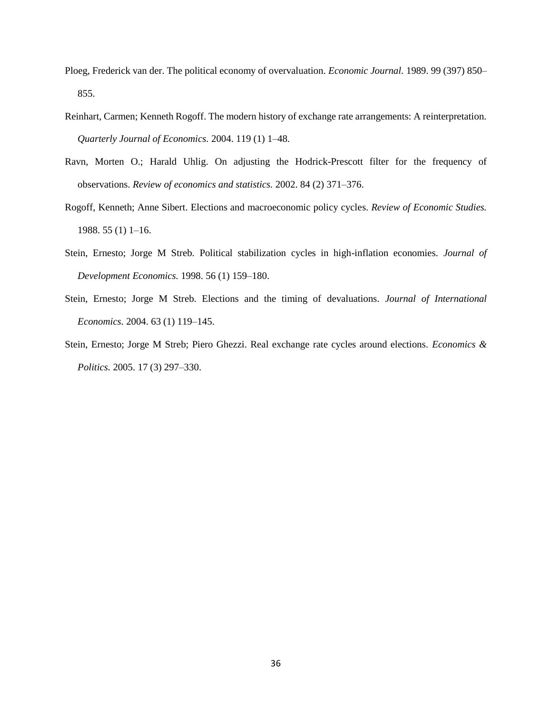- Ploeg, Frederick van der. The political economy of overvaluation. *Economic Journal.* 1989. 99 (397) 850– 855.
- Reinhart, Carmen; Kenneth Rogoff. The modern history of exchange rate arrangements: A reinterpretation. *Quarterly Journal of Economics.* 2004. 119 (1) 1–48.
- Ravn, Morten O.; Harald Uhlig. On adjusting the Hodrick-Prescott filter for the frequency of observations. *Review of economics and statistics.* 2002. 84 (2) 371–376.
- Rogoff, Kenneth; Anne Sibert. Elections and macroeconomic policy cycles. *Review of Economic Studies.* 1988. 55 (1) 1–16.
- Stein, Ernesto; Jorge M Streb. Political stabilization cycles in high-inflation economies. *Journal of Development Economics.* 1998. 56 (1) 159–180.
- Stein, Ernesto; Jorge M Streb. Elections and the timing of devaluations. *Journal of International Economics.* 2004. 63 (1) 119–145.
- Stein, Ernesto; Jorge M Streb; Piero Ghezzi. Real exchange rate cycles around elections. *Economics & Politics.* 2005. 17 (3) 297–330.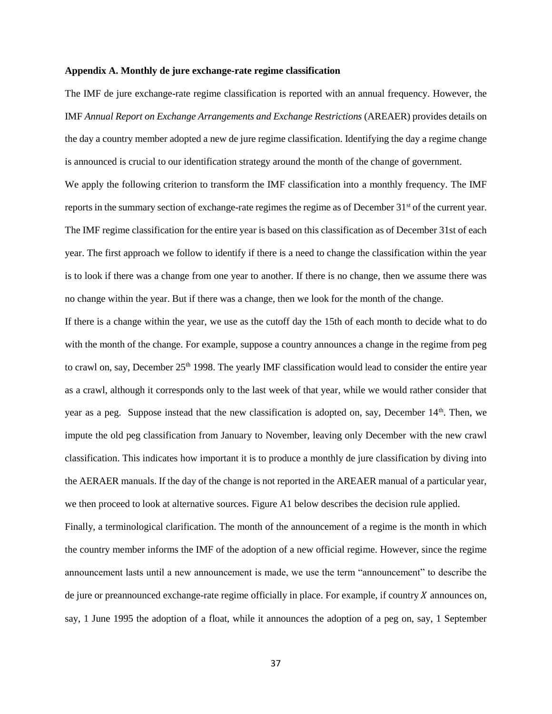#### **Appendix A. Monthly de jure exchange-rate regime classification**

The IMF de jure exchange-rate regime classification is reported with an annual frequency. However, the IMF *Annual Report on Exchange Arrangements and Exchange Restrictions* (AREAER) provides details on the day a country member adopted a new de jure regime classification. Identifying the day a regime change is announced is crucial to our identification strategy around the month of the change of government. We apply the following criterion to transform the IMF classification into a monthly frequency. The IMF reports in the summary section of exchange-rate regimes the regime as of December 31<sup>st</sup> of the current year. The IMF regime classification for the entire year is based on this classification as of December 31st of each year. The first approach we follow to identify if there is a need to change the classification within the year is to look if there was a change from one year to another. If there is no change, then we assume there was no change within the year. But if there was a change, then we look for the month of the change.

If there is a change within the year, we use as the cutoff day the 15th of each month to decide what to do with the month of the change. For example, suppose a country announces a change in the regime from peg to crawl on, say, December 25<sup>th</sup> 1998. The yearly IMF classification would lead to consider the entire year as a crawl, although it corresponds only to the last week of that year, while we would rather consider that year as a peg. Suppose instead that the new classification is adopted on, say, December  $14<sup>th</sup>$ . Then, we impute the old peg classification from January to November, leaving only December with the new crawl classification. This indicates how important it is to produce a monthly de jure classification by diving into the AERAER manuals. If the day of the change is not reported in the AREAER manual of a particular year, we then proceed to look at alternative sources. Figure A1 below describes the decision rule applied.

Finally, a terminological clarification. The month of the announcement of a regime is the month in which the country member informs the IMF of the adoption of a new official regime. However, since the regime announcement lasts until a new announcement is made, we use the term "announcement" to describe the de jure or preannounced exchange-rate regime officially in place. For example, if country  $X$  announces on, say, 1 June 1995 the adoption of a float, while it announces the adoption of a peg on, say, 1 September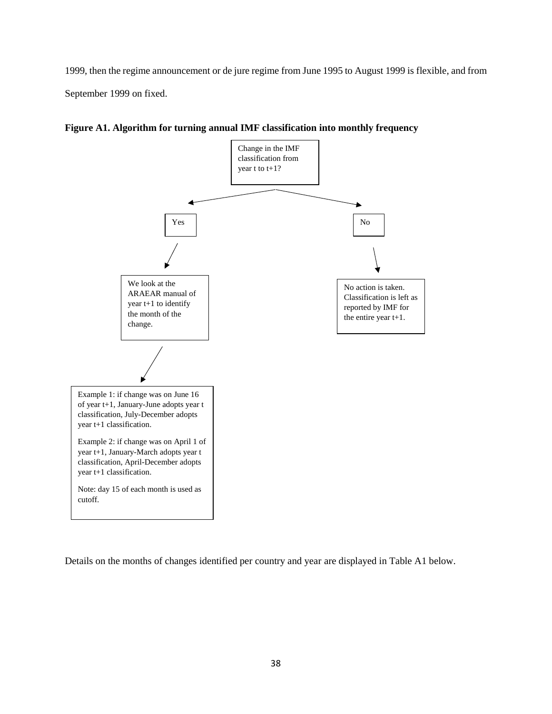1999, then the regime announcement or de jure regime from June 1995 to August 1999 is flexible, and from September 1999 on fixed.



**Figure A1. Algorithm for turning annual IMF classification into monthly frequency** 

Details on the months of changes identified per country and year are displayed in Table A1 below.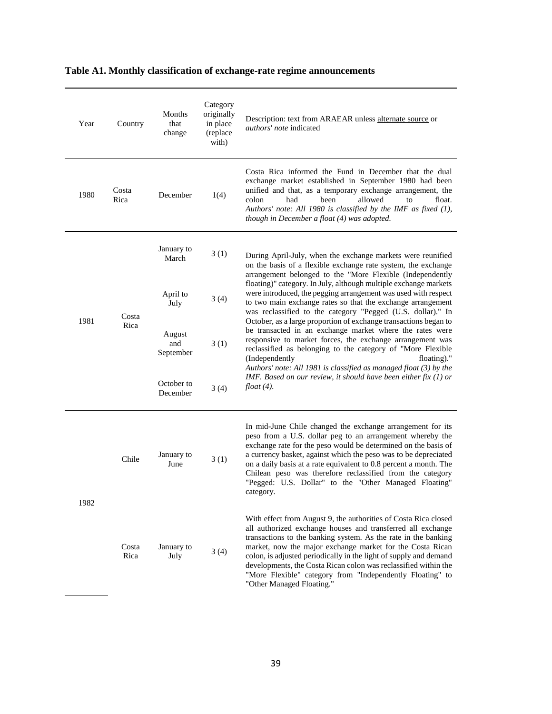| Table A1. Monthly classification of exchange-rate regime announcements |  |  |  |
|------------------------------------------------------------------------|--|--|--|
|                                                                        |  |  |  |

| Year | Country               | Months<br>that<br>change   | Category<br>originally<br>in place<br>(replace<br>with) | Description: text from ARAEAR unless alternate source or<br><i>authors' note</i> indicated                                                                                                                                                                                                                                                                                                                                                                                                      |
|------|-----------------------|----------------------------|---------------------------------------------------------|-------------------------------------------------------------------------------------------------------------------------------------------------------------------------------------------------------------------------------------------------------------------------------------------------------------------------------------------------------------------------------------------------------------------------------------------------------------------------------------------------|
| 1980 | Costa<br>Rica         | December                   | 1(4)                                                    | Costa Rica informed the Fund in December that the dual<br>exchange market established in September 1980 had been<br>unified and that, as a temporary exchange arrangement, the<br>been<br>allowed<br>float.<br>colon<br>had<br>to<br>Authors' note: All 1980 is classified by the IMF as fixed (1),<br>though in December a float (4) was adopted.                                                                                                                                              |
|      | Costa<br>1981<br>Rica | January to<br>March        | 3(1)                                                    | During April-July, when the exchange markets were reunified<br>on the basis of a flexible exchange rate system, the exchange<br>arrangement belonged to the "More Flexible (Independently<br>floating)" category. In July, although multiple exchange markets                                                                                                                                                                                                                                   |
|      |                       | April to<br>July           | 3(4)                                                    | were introduced, the pegging arrangement was used with respect<br>to two main exchange rates so that the exchange arrangement<br>was reclassified to the category "Pegged (U.S. dollar)." In                                                                                                                                                                                                                                                                                                    |
|      |                       | August<br>and<br>September | 3(1)                                                    | October, as a large proportion of exchange transactions began to<br>be transacted in an exchange market where the rates were<br>responsive to market forces, the exchange arrangement was<br>reclassified as belonging to the category of "More Flexible<br>(Independently<br>floating)."<br>Authors' note: All 1981 is classified as managed float (3) by the                                                                                                                                  |
|      |                       | October to<br>December     | 3(4)                                                    | IMF. Based on our review, it should have been either fix $(1)$ or<br>$float(4)$ .                                                                                                                                                                                                                                                                                                                                                                                                               |
| 1982 | Chile                 | January to<br>June         | 3(1)                                                    | In mid-June Chile changed the exchange arrangement for its<br>peso from a U.S. dollar peg to an arrangement whereby the<br>exchange rate for the peso would be determined on the basis of<br>a currency basket, against which the peso was to be depreciated<br>on a daily basis at a rate equivalent to 0.8 percent a month. The<br>Chilean peso was therefore reclassified from the category<br>"Pegged: U.S. Dollar" to the "Other Managed Floating"<br>category.                            |
|      | Costa<br>Rica         | January to<br>July         | 3(4)                                                    | With effect from August 9, the authorities of Costa Rica closed<br>all authorized exchange houses and transferred all exchange<br>transactions to the banking system. As the rate in the banking<br>market, now the major exchange market for the Costa Rican<br>colon, is adjusted periodically in the light of supply and demand<br>developments, the Costa Rican colon was reclassified within the<br>"More Flexible" category from "Independently Floating" to<br>"Other Managed Floating." |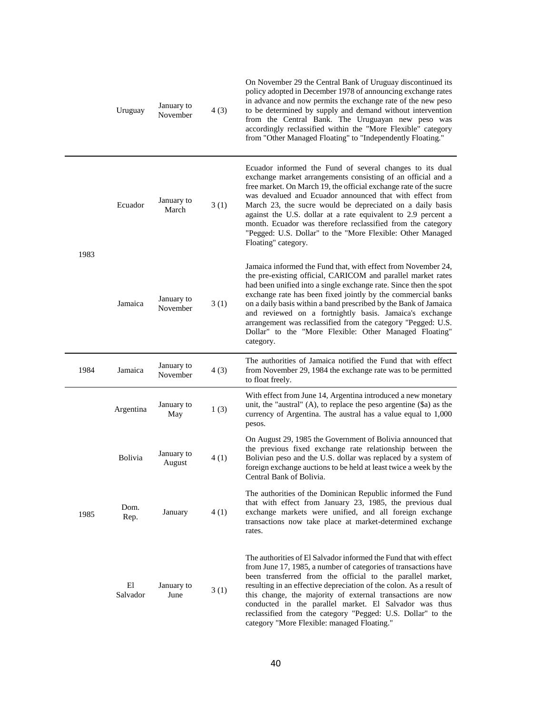|      | Uruguay        | January to<br>November | 4(3) | On November 29 the Central Bank of Uruguay discontinued its<br>policy adopted in December 1978 of announcing exchange rates<br>in advance and now permits the exchange rate of the new peso<br>to be determined by supply and demand without intervention<br>from the Central Bank. The Uruguayan new peso was<br>accordingly reclassified within the "More Flexible" category<br>from "Other Managed Floating" to "Independently Floating."                                                                                                |
|------|----------------|------------------------|------|---------------------------------------------------------------------------------------------------------------------------------------------------------------------------------------------------------------------------------------------------------------------------------------------------------------------------------------------------------------------------------------------------------------------------------------------------------------------------------------------------------------------------------------------|
| 1983 | Ecuador        | January to<br>March    | 3(1) | Ecuador informed the Fund of several changes to its dual<br>exchange market arrangements consisting of an official and a<br>free market. On March 19, the official exchange rate of the sucre<br>was devalued and Ecuador announced that with effect from<br>March 23, the sucre would be depreciated on a daily basis<br>against the U.S. dollar at a rate equivalent to 2.9 percent a<br>month. Ecuador was therefore reclassified from the category<br>"Pegged: U.S. Dollar" to the "More Flexible: Other Managed<br>Floating" category. |
|      | Jamaica        | January to<br>November | 3(1) | Jamaica informed the Fund that, with effect from November 24,<br>the pre-existing official, CARICOM and parallel market rates<br>had been unified into a single exchange rate. Since then the spot<br>exchange rate has been fixed jointly by the commercial banks<br>on a daily basis within a band prescribed by the Bank of Jamaica<br>and reviewed on a fortnightly basis. Jamaica's exchange<br>arrangement was reclassified from the category "Pegged: U.S.<br>Dollar" to the "More Flexible: Other Managed Floating"<br>category.    |
| 1984 | Jamaica        | January to<br>November | 4(3) | The authorities of Jamaica notified the Fund that with effect<br>from November 29, 1984 the exchange rate was to be permitted<br>to float freely.                                                                                                                                                                                                                                                                                                                                                                                           |
|      | Argentina      | January to<br>May      | 1(3) | With effect from June 14, Argentina introduced a new monetary<br>unit, the "austral" $(A)$ , to replace the peso argentine $(\$a)$ as the<br>currency of Argentina. The austral has a value equal to 1,000<br>pesos.                                                                                                                                                                                                                                                                                                                        |
|      | <b>Bolivia</b> | January to<br>August   | 4(1) | On August 29, 1985 the Government of Bolivia announced that<br>the previous fixed exchange rate relationship between the<br>Bolivian peso and the U.S. dollar was replaced by a system of<br>foreign exchange auctions to be held at least twice a week by the<br>Central Bank of Bolivia.                                                                                                                                                                                                                                                  |
| 1985 | Dom.<br>Rep.   | January                | 4(1) | The authorities of the Dominican Republic informed the Fund<br>that with effect from January 23, 1985, the previous dual<br>exchange markets were unified, and all foreign exchange<br>transactions now take place at market-determined exchange<br>rates.                                                                                                                                                                                                                                                                                  |
|      | El<br>Salvador | January to<br>June     | 3(1) | The authorities of El Salvador informed the Fund that with effect<br>from June 17, 1985, a number of categories of transactions have<br>been transferred from the official to the parallel market,<br>resulting in an effective depreciation of the colon. As a result of<br>this change, the majority of external transactions are now<br>conducted in the parallel market. El Salvador was thus<br>reclassified from the category "Pegged: U.S. Dollar" to the<br>category "More Flexible: managed Floating."                             |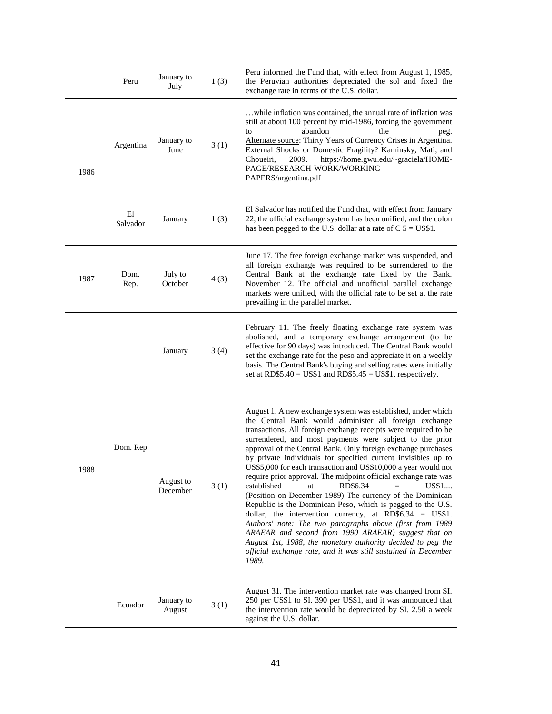|      | Peru           | January to<br>July    | 1(3) | Peru informed the Fund that, with effect from August 1, 1985,<br>the Peruvian authorities depreciated the sol and fixed the<br>exchange rate in terms of the U.S. dollar.                                                                                                                                                                                                                                                                                                                                                                                                                                                                                                                                                                                                                                                                                                                                                                                                                                                     |
|------|----------------|-----------------------|------|-------------------------------------------------------------------------------------------------------------------------------------------------------------------------------------------------------------------------------------------------------------------------------------------------------------------------------------------------------------------------------------------------------------------------------------------------------------------------------------------------------------------------------------------------------------------------------------------------------------------------------------------------------------------------------------------------------------------------------------------------------------------------------------------------------------------------------------------------------------------------------------------------------------------------------------------------------------------------------------------------------------------------------|
| 1986 | Argentina      | January to<br>June    | 3(1) | while inflation was contained, the annual rate of inflation was<br>still at about 100 percent by mid-1986, forcing the government<br>abandon<br>the<br>to<br>peg.<br>Alternate source: Thirty Years of Currency Crises in Argentina.<br>External Shocks or Domestic Fragility? Kaminsky, Mati, and<br>https://home.gwu.edu/~graciela/HOME-<br>Choueiri,<br>2009.<br>PAGE/RESEARCH-WORK/WORKING-<br>PAPERS/argentina.pdf                                                                                                                                                                                                                                                                                                                                                                                                                                                                                                                                                                                                       |
|      | El<br>Salvador | January               | 1(3) | El Salvador has notified the Fund that, with effect from January<br>22, the official exchange system has been unified, and the colon<br>has been pegged to the U.S. dollar at a rate of $C$ 5 = US\$1.                                                                                                                                                                                                                                                                                                                                                                                                                                                                                                                                                                                                                                                                                                                                                                                                                        |
| 1987 | Dom.<br>Rep.   | July to<br>October    | 4(3) | June 17. The free foreign exchange market was suspended, and<br>all foreign exchange was required to be surrendered to the<br>Central Bank at the exchange rate fixed by the Bank.<br>November 12. The official and unofficial parallel exchange<br>markets were unified, with the official rate to be set at the rate<br>prevailing in the parallel market.                                                                                                                                                                                                                                                                                                                                                                                                                                                                                                                                                                                                                                                                  |
|      |                | January               | 3(4) | February 11. The freely floating exchange rate system was<br>abolished, and a temporary exchange arrangement (to be<br>effective for 90 days) was introduced. The Central Bank would<br>set the exchange rate for the peso and appreciate it on a weekly<br>basis. The Central Bank's buying and selling rates were initially<br>set at $RDS5.40 = US$1$ and $RDS5.45 = US$1$ , respectively.                                                                                                                                                                                                                                                                                                                                                                                                                                                                                                                                                                                                                                 |
| 1988 | Dom. Rep       | August to<br>December | 3(1) | August 1. A new exchange system was established, under which<br>the Central Bank would administer all foreign exchange<br>transactions. All foreign exchange receipts were required to be<br>surrendered, and most payments were subject to the prior<br>approval of the Central Bank. Only foreign exchange purchases<br>by private individuals for specified current invisibles up to<br>US\$5,000 for each transaction and US\$10,000 a year would not<br>require prior approval. The midpoint official exchange rate was<br>RD\$6.34<br>established<br>US\$1<br>at.<br>(Position on December 1989) The currency of the Dominican<br>Republic is the Dominican Peso, which is pegged to the U.S.<br>dollar, the intervention currency, at RD\$6.34 = $US$1$ .<br>Authors' note: The two paragraphs above (first from 1989<br>ARAEAR and second from 1990 ARAEAR) suggest that on<br>August 1st, 1988, the monetary authority decided to peg the<br>official exchange rate, and it was still sustained in December<br>1989. |
|      | Ecuador        | January to<br>August  | 3(1) | August 31. The intervention market rate was changed from SI.<br>250 per US\$1 to SI. 390 per US\$1, and it was announced that<br>the intervention rate would be depreciated by SI. 2.50 a week<br>against the U.S. dollar.                                                                                                                                                                                                                                                                                                                                                                                                                                                                                                                                                                                                                                                                                                                                                                                                    |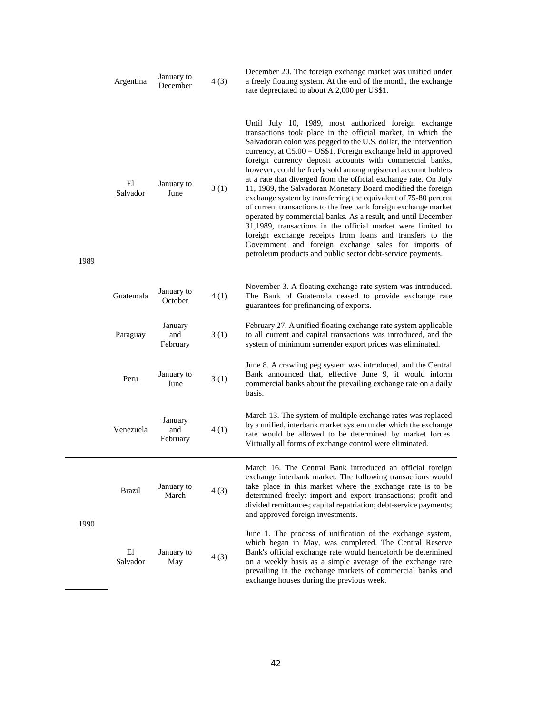|      | Argentina      | January to<br>December     | 4(3) | December 20. The foreign exchange market was unified under<br>a freely floating system. At the end of the month, the exchange<br>rate depreciated to about A 2,000 per US\$1.                                                                                                                                                                                                                                                                                                                                                                                                                                                                                                                                                                                                                                                                                                                                                                                                              |
|------|----------------|----------------------------|------|--------------------------------------------------------------------------------------------------------------------------------------------------------------------------------------------------------------------------------------------------------------------------------------------------------------------------------------------------------------------------------------------------------------------------------------------------------------------------------------------------------------------------------------------------------------------------------------------------------------------------------------------------------------------------------------------------------------------------------------------------------------------------------------------------------------------------------------------------------------------------------------------------------------------------------------------------------------------------------------------|
| 1989 | El<br>Salvador | January to<br>June         | 3(1) | Until July 10, 1989, most authorized foreign exchange<br>transactions took place in the official market, in which the<br>Salvadoran colon was pegged to the U.S. dollar, the intervention<br>currency, at $C5.00 = US$1$ . Foreign exchange held in approved<br>foreign currency deposit accounts with commercial banks,<br>however, could be freely sold among registered account holders<br>at a rate that diverged from the official exchange rate. On July<br>11, 1989, the Salvadoran Monetary Board modified the foreign<br>exchange system by transferring the equivalent of 75-80 percent<br>of current transactions to the free bank foreign exchange market<br>operated by commercial banks. As a result, and until December<br>31,1989, transactions in the official market were limited to<br>foreign exchange receipts from loans and transfers to the<br>Government and foreign exchange sales for imports of<br>petroleum products and public sector debt-service payments. |
|      | Guatemala      | January to<br>October      | 4(1) | November 3. A floating exchange rate system was introduced.<br>The Bank of Guatemala ceased to provide exchange rate<br>guarantees for prefinancing of exports.                                                                                                                                                                                                                                                                                                                                                                                                                                                                                                                                                                                                                                                                                                                                                                                                                            |
|      | Paraguay       | January<br>and<br>February | 3(1) | February 27. A unified floating exchange rate system applicable<br>to all current and capital transactions was introduced, and the<br>system of minimum surrender export prices was eliminated.                                                                                                                                                                                                                                                                                                                                                                                                                                                                                                                                                                                                                                                                                                                                                                                            |
|      | Peru           | January to<br>June         | 3(1) | June 8. A crawling peg system was introduced, and the Central<br>Bank announced that, effective June 9, it would inform<br>commercial banks about the prevailing exchange rate on a daily<br>basis.                                                                                                                                                                                                                                                                                                                                                                                                                                                                                                                                                                                                                                                                                                                                                                                        |
|      | Venezuela      | January<br>and<br>February | 4(1) | March 13. The system of multiple exchange rates was replaced<br>by a unified, interbank market system under which the exchange<br>rate would be allowed to be determined by market forces.<br>Virtually all forms of exchange control were eliminated.                                                                                                                                                                                                                                                                                                                                                                                                                                                                                                                                                                                                                                                                                                                                     |
|      | <b>Brazil</b>  | January to<br>March        | 4(3) | March 16. The Central Bank introduced an official foreign<br>exchange interbank market. The following transactions would<br>take place in this market where the exchange rate is to be<br>determined freely: import and export transactions; profit and<br>divided remittances; capital repatriation; debt-service payments;<br>and approved foreign investments.                                                                                                                                                                                                                                                                                                                                                                                                                                                                                                                                                                                                                          |
| 1990 | El<br>Salvador | January to<br>May          | 4(3) | June 1. The process of unification of the exchange system,<br>which began in May, was completed. The Central Reserve<br>Bank's official exchange rate would henceforth be determined<br>on a weekly basis as a simple average of the exchange rate<br>prevailing in the exchange markets of commercial banks and<br>exchange houses during the previous week.                                                                                                                                                                                                                                                                                                                                                                                                                                                                                                                                                                                                                              |

42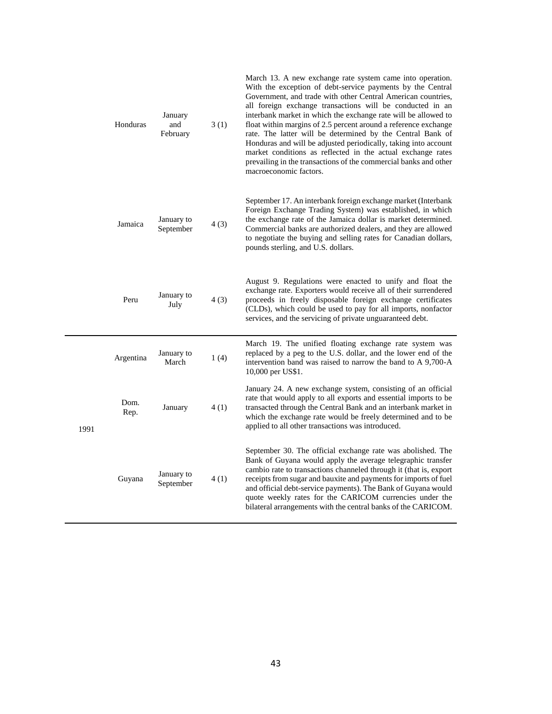|      | Honduras     | January<br>and<br>February | 3(1) | March 13. A new exchange rate system came into operation.<br>With the exception of debt-service payments by the Central<br>Government, and trade with other Central American countries,<br>all foreign exchange transactions will be conducted in an<br>interbank market in which the exchange rate will be allowed to<br>float within margins of 2.5 percent around a reference exchange<br>rate. The latter will be determined by the Central Bank of<br>Honduras and will be adjusted periodically, taking into account<br>market conditions as reflected in the actual exchange rates<br>prevailing in the transactions of the commercial banks and other<br>macroeconomic factors. |
|------|--------------|----------------------------|------|-----------------------------------------------------------------------------------------------------------------------------------------------------------------------------------------------------------------------------------------------------------------------------------------------------------------------------------------------------------------------------------------------------------------------------------------------------------------------------------------------------------------------------------------------------------------------------------------------------------------------------------------------------------------------------------------|
|      | Jamaica      | January to<br>September    | 4(3) | September 17. An interbank foreign exchange market (Interbank<br>Foreign Exchange Trading System) was established, in which<br>the exchange rate of the Jamaica dollar is market determined.<br>Commercial banks are authorized dealers, and they are allowed<br>to negotiate the buying and selling rates for Canadian dollars,<br>pounds sterling, and U.S. dollars.                                                                                                                                                                                                                                                                                                                  |
|      | Peru         | January to<br>July         | 4(3) | August 9. Regulations were enacted to unify and float the<br>exchange rate. Exporters would receive all of their surrendered<br>proceeds in freely disposable foreign exchange certificates<br>(CLDs), which could be used to pay for all imports, nonfactor<br>services, and the servicing of private unguaranteed debt.                                                                                                                                                                                                                                                                                                                                                               |
|      | Argentina    | January to<br>March        | 1(4) | March 19. The unified floating exchange rate system was<br>replaced by a peg to the U.S. dollar, and the lower end of the<br>intervention band was raised to narrow the band to A 9,700-A<br>10,000 per US\$1.                                                                                                                                                                                                                                                                                                                                                                                                                                                                          |
| 1991 | Dom.<br>Rep. | January                    | 4(1) | January 24. A new exchange system, consisting of an official<br>rate that would apply to all exports and essential imports to be<br>transacted through the Central Bank and an interbank market in<br>which the exchange rate would be freely determined and to be<br>applied to all other transactions was introduced.                                                                                                                                                                                                                                                                                                                                                                 |
|      | Guyana       | January to<br>September    | 4(1) | September 30. The official exchange rate was abolished. The<br>Bank of Guyana would apply the average telegraphic transfer<br>cambio rate to transactions channeled through it (that is, export<br>receipts from sugar and bauxite and payments for imports of fuel<br>and official debt-service payments). The Bank of Guyana would<br>quote weekly rates for the CARICOM currencies under the<br>bilateral arrangements with the central banks of the CARICOM.                                                                                                                                                                                                                        |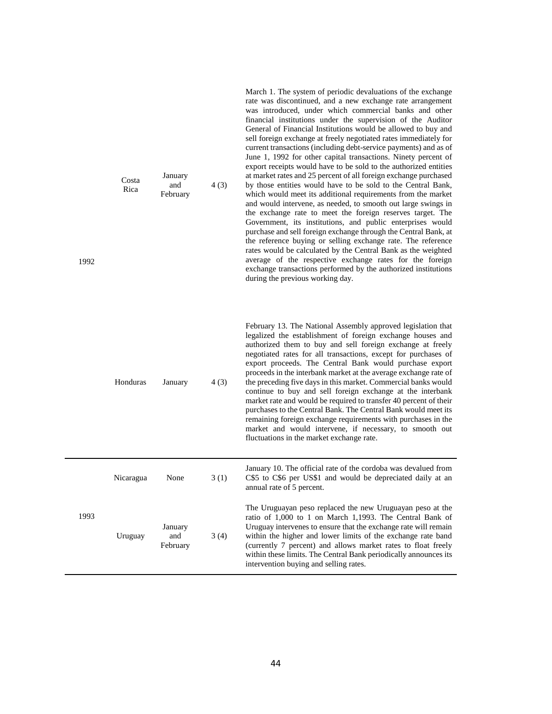| 1992 | Costa<br>Rica | January<br>and<br>February | 4(3) | rate was discontinued, and a new exchange rate arrangement<br>was introduced, under which commercial banks and other<br>financial institutions under the supervision of the Auditor<br>General of Financial Institutions would be allowed to buy and<br>sell foreign exchange at freely negotiated rates immediately for<br>current transactions (including debt-service payments) and as of<br>June 1, 1992 for other capital transactions. Ninety percent of<br>export receipts would have to be sold to the authorized entities<br>at market rates and 25 percent of all foreign exchange purchased<br>by those entities would have to be sold to the Central Bank,<br>which would meet its additional requirements from the market<br>and would intervene, as needed, to smooth out large swings in<br>the exchange rate to meet the foreign reserves target. The<br>Government, its institutions, and public enterprises would<br>purchase and sell foreign exchange through the Central Bank, at<br>the reference buying or selling exchange rate. The reference<br>rates would be calculated by the Central Bank as the weighted<br>average of the respective exchange rates for the foreign<br>exchange transactions performed by the authorized institutions<br>during the previous working day. |
|------|---------------|----------------------------|------|-----------------------------------------------------------------------------------------------------------------------------------------------------------------------------------------------------------------------------------------------------------------------------------------------------------------------------------------------------------------------------------------------------------------------------------------------------------------------------------------------------------------------------------------------------------------------------------------------------------------------------------------------------------------------------------------------------------------------------------------------------------------------------------------------------------------------------------------------------------------------------------------------------------------------------------------------------------------------------------------------------------------------------------------------------------------------------------------------------------------------------------------------------------------------------------------------------------------------------------------------------------------------------------------------------------|
|      | Honduras      | January                    | 4(3) | February 13. The National Assembly approved legislation that<br>legalized the establishment of foreign exchange houses and<br>authorized them to buy and sell foreign exchange at freely<br>negotiated rates for all transactions, except for purchases of<br>export proceeds. The Central Bank would purchase export<br>proceeds in the interbank market at the average exchange rate of<br>the preceding five days in this market. Commercial banks would<br>continue to buy and sell foreign exchange at the interbank<br>market rate and would be required to transfer 40 percent of their<br>purchases to the Central Bank. The Central Bank would meet its<br>remaining foreign exchange requirements with purchases in the<br>market and would intervene, if necessary, to smooth out<br>fluctuations in the market exchange rate.                                                                                                                                                                                                                                                                                                                                                                                                                                                                 |
|      | Nicaragua     | None                       | 3(1) | January 10. The official rate of the cordoba was devalued from<br>C\$5 to C\$6 per US\$1 and would be depreciated daily at an<br>annual rate of 5 percent.                                                                                                                                                                                                                                                                                                                                                                                                                                                                                                                                                                                                                                                                                                                                                                                                                                                                                                                                                                                                                                                                                                                                                |
| 1993 | Uruguay       | January<br>and<br>February | 3(4) | The Uruguayan peso replaced the new Uruguayan peso at the<br>ratio of 1,000 to 1 on March 1,1993. The Central Bank of<br>Uruguay intervenes to ensure that the exchange rate will remain<br>within the higher and lower limits of the exchange rate band<br>(currently 7 percent) and allows market rates to float freely<br>within these limits. The Central Bank periodically announces its<br>intervention buying and selling rates.                                                                                                                                                                                                                                                                                                                                                                                                                                                                                                                                                                                                                                                                                                                                                                                                                                                                   |

March 1. The system of periodic devaluations of the exchange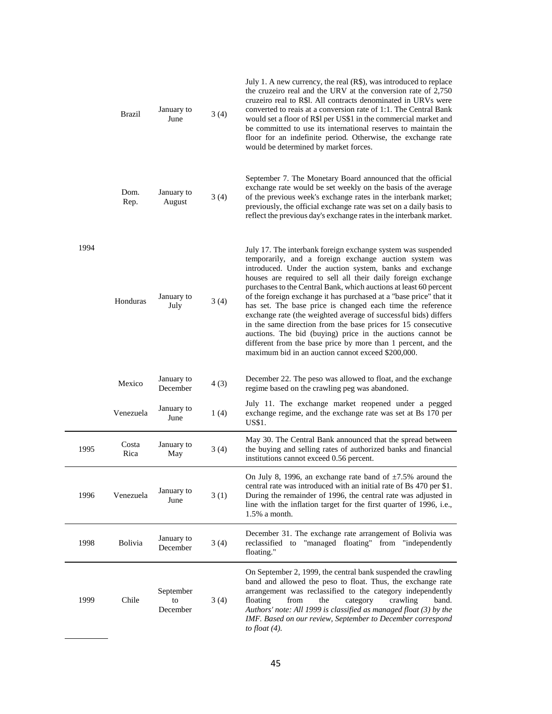|      | Brazil         | January to<br>June          | 3(4) | July 1. A new currency, the real (R\$), was introduced to replace<br>the cruzeiro real and the URV at the conversion rate of 2,750<br>cruzeiro real to R\$1. All contracts denominated in URVs were<br>converted to reais at a conversion rate of 1:1. The Central Bank<br>would set a floor of R\$1 per US\$1 in the commercial market and<br>be committed to use its international reserves to maintain the<br>floor for an indefinite period. Otherwise, the exchange rate<br>would be determined by market forces.                                                                                                                                                                                                                                                               |
|------|----------------|-----------------------------|------|--------------------------------------------------------------------------------------------------------------------------------------------------------------------------------------------------------------------------------------------------------------------------------------------------------------------------------------------------------------------------------------------------------------------------------------------------------------------------------------------------------------------------------------------------------------------------------------------------------------------------------------------------------------------------------------------------------------------------------------------------------------------------------------|
|      | Dom.<br>Rep.   | January to<br>August        | 3(4) | September 7. The Monetary Board announced that the official<br>exchange rate would be set weekly on the basis of the average<br>of the previous week's exchange rates in the interbank market;<br>previously, the official exchange rate was set on a daily basis to<br>reflect the previous day's exchange rates in the interbank market.                                                                                                                                                                                                                                                                                                                                                                                                                                           |
| 1994 | Honduras       | January to<br>July          | 3(4) | July 17. The interbank foreign exchange system was suspended<br>temporarily, and a foreign exchange auction system was<br>introduced. Under the auction system, banks and exchange<br>houses are required to sell all their daily foreign exchange<br>purchases to the Central Bank, which auctions at least 60 percent<br>of the foreign exchange it has purchased at a "base price" that it<br>has set. The base price is changed each time the reference<br>exchange rate (the weighted average of successful bids) differs<br>in the same direction from the base prices for 15 consecutive<br>auctions. The bid (buying) price in the auctions cannot be<br>different from the base price by more than 1 percent, and the<br>maximum bid in an auction cannot exceed \$200,000. |
|      | Mexico         | January to<br>December      | 4(3) | December 22. The peso was allowed to float, and the exchange<br>regime based on the crawling peg was abandoned.                                                                                                                                                                                                                                                                                                                                                                                                                                                                                                                                                                                                                                                                      |
|      | Venezuela      | January to<br>June          | 1(4) | July 11. The exchange market reopened under a pegged<br>exchange regime, and the exchange rate was set at Bs 170 per<br>US\$1.                                                                                                                                                                                                                                                                                                                                                                                                                                                                                                                                                                                                                                                       |
| 1995 | Costa<br>Rica  | January to<br>May           | 3(4) | May 30. The Central Bank announced that the spread between<br>the buying and selling rates of authorized banks and financial<br>institutions cannot exceed 0.56 percent.                                                                                                                                                                                                                                                                                                                                                                                                                                                                                                                                                                                                             |
| 1996 | Venezuela      | January to<br>June          | 3(1) | On July 8, 1996, an exchange rate band of $\pm 7.5\%$ around the<br>central rate was introduced with an initial rate of Bs 470 per \$1.<br>During the remainder of 1996, the central rate was adjusted in<br>line with the inflation target for the first quarter of 1996, i.e.,<br>$1.5\%$ a month.                                                                                                                                                                                                                                                                                                                                                                                                                                                                                 |
| 1998 | <b>Bolivia</b> | January to<br>December      | 3(4) | December 31. The exchange rate arrangement of Bolivia was<br>reclassified to "managed floating" from "independently<br>floating."                                                                                                                                                                                                                                                                                                                                                                                                                                                                                                                                                                                                                                                    |
| 1999 | Chile          | September<br>to<br>December | 3(4) | On September 2, 1999, the central bank suspended the crawling<br>band and allowed the peso to float. Thus, the exchange rate<br>arrangement was reclassified to the category independently<br>floating<br>from<br>crawling<br>the<br>category<br>band.<br>Authors' note: All 1999 is classified as managed float (3) by the<br>IMF. Based on our review, September to December correspond<br>to float $(4)$ .                                                                                                                                                                                                                                                                                                                                                                        |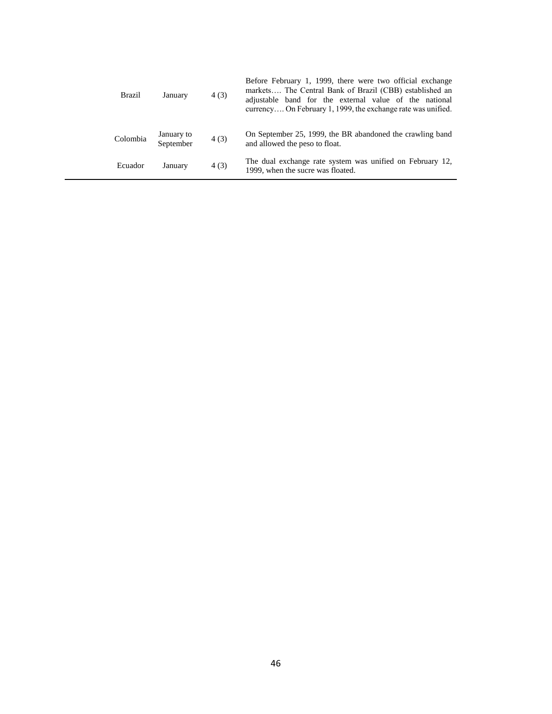| Brazil   | January                 | 4(3) | Before February 1, 1999, there were two official exchange<br>markets The Central Bank of Brazil (CBB) established an<br>adjustable band for the external value of the national<br>currency On February 1, 1999, the exchange rate was unified. |
|----------|-------------------------|------|------------------------------------------------------------------------------------------------------------------------------------------------------------------------------------------------------------------------------------------------|
| Colombia | January to<br>September | 4(3) | On September 25, 1999, the BR abandoned the crawling band<br>and allowed the peso to float.                                                                                                                                                    |
| Ecuador  | January                 | 4(3) | The dual exchange rate system was unified on February 12,<br>1999, when the sucre was floated.                                                                                                                                                 |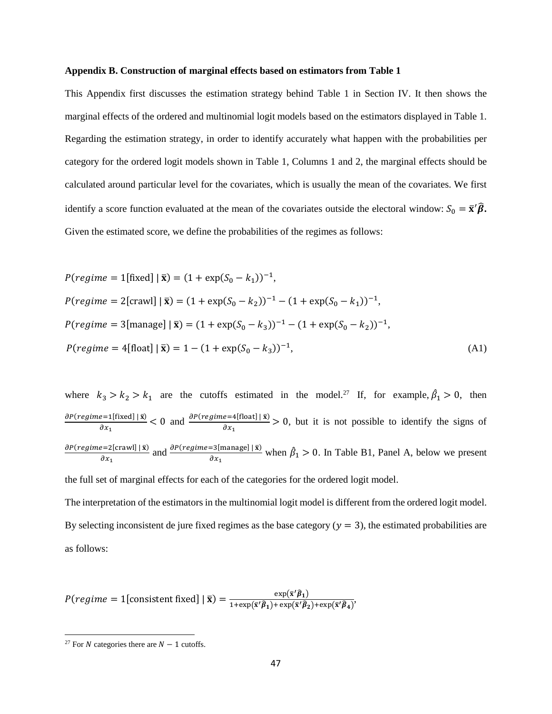#### **Appendix B. Construction of marginal effects based on estimators from Table 1**

This Appendix first discusses the estimation strategy behind Table 1 in Section IV. It then shows the marginal effects of the ordered and multinomial logit models based on the estimators displayed in Table 1. Regarding the estimation strategy, in order to identify accurately what happen with the probabilities per category for the ordered logit models shown in Table 1, Columns 1 and 2, the marginal effects should be calculated around particular level for the covariates, which is usually the mean of the covariates. We first identify a score function evaluated at the mean of the covariates outside the electoral window:  $S_0 = \bar{\mathbf{x}}' \hat{\beta}$ . Given the estimated score, we define the probabilities of the regimes as follows:

$$
P(regime = 1[\text{fixed}] | \bar{\mathbf{x}}) = (1 + \exp(S_0 - k_1))^{-1},
$$
  
\n
$$
P(regime = 2[\text{crav}] | \bar{\mathbf{x}}) = (1 + \exp(S_0 - k_2))^{-1} - (1 + \exp(S_0 - k_1))^{-1},
$$
  
\n
$$
P(regime = 3[\text{manage}] | \bar{\mathbf{x}}) = (1 + \exp(S_0 - k_3))^{-1} - (1 + \exp(S_0 - k_2))^{-1},
$$
  
\n
$$
P(regime = 4[\text{float}] | \bar{\mathbf{x}}) = 1 - (1 + \exp(S_0 - k_3))^{-1},
$$
\n(A1)

where  $k_3 > k_2 > k_1$  are the cutoffs estimated in the model.<sup>27</sup> If, for example,  $\hat{\beta}_1 > 0$ , then  $\partial P(\text{regime}=1[\text{fixed}] | \bar{x})$  $\frac{e=1[\text{fixed}] | \bar{x}}{\partial x_1}$  < 0 and  $\frac{\partial P(\text{regime}=4[\text{float}] | \bar{x})}{\partial x_1}$  > 0, but it is not possible to identify the signs of  $\partial P(\text{regime}=2[\text{crawl}] | \bar{x})$  $\frac{\partial P(\text{regime=3}[\text{manage}]\mid \bar{x})}{\partial x_1}$  and  $\frac{\partial P(\text{regime=3}[\text{manage}]\mid \bar{x})}{\partial x_1}$  when  $\hat{\beta}_1 > 0$ . In Table B1, Panel A, below we present

the full set of marginal effects for each of the categories for the ordered logit model.

The interpretation of the estimators in the multinomial logit model is different from the ordered logit model. By selecting inconsistent de jure fixed regimes as the base category  $(y = 3)$ , the estimated probabilities are as follows:

$$
P(\text{regime} = 1[\text{consistent fixed}] \mid \bar{\mathbf{x}}) = \frac{\exp(\bar{\mathbf{x}}'\hat{\boldsymbol{\beta}}_1)}{1 + \exp(\bar{\mathbf{x}}'\hat{\boldsymbol{\beta}}_1) + \exp(\bar{\mathbf{x}}'\hat{\boldsymbol{\beta}}_2) + \exp(\bar{\mathbf{x}}'\hat{\boldsymbol{\beta}}_4)},
$$

 $\overline{a}$ 

<sup>&</sup>lt;sup>27</sup> For *N* categories there are  $N - 1$  cutoffs.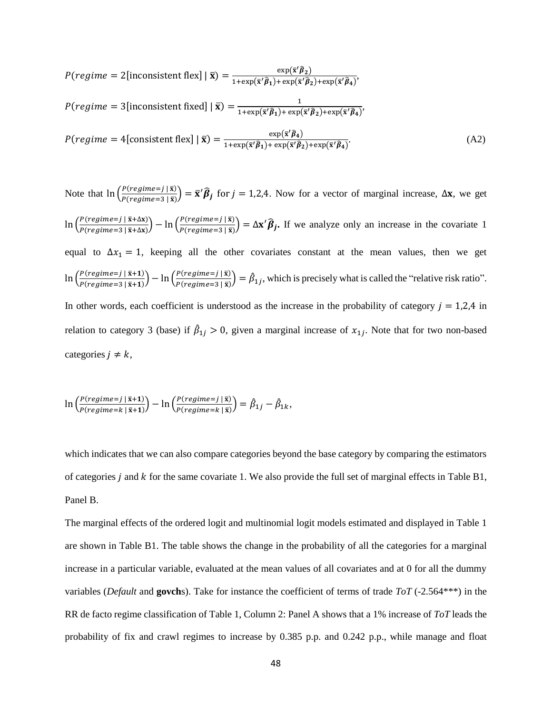$$
P(regime = 2[\text{inconsistent flex}] | \overline{\mathbf{x}} \rangle = \frac{\exp(\overline{\mathbf{x}}'\hat{\boldsymbol{\beta}}_2)}{1 + \exp(\overline{\mathbf{x}}'\hat{\boldsymbol{\beta}}_1) + \exp(\overline{\mathbf{x}}'\hat{\boldsymbol{\beta}}_2) + \exp(\overline{\mathbf{x}}'\hat{\boldsymbol{\beta}}_4)},
$$
  

$$
P(regime = 3[\text{inconsistent fixed}] | \overline{\mathbf{x}} \rangle = \frac{1}{1 + \exp(\overline{\mathbf{x}}'\hat{\boldsymbol{\beta}}_1) + \exp(\overline{\mathbf{x}}'\hat{\boldsymbol{\beta}}_2) + \exp(\overline{\mathbf{x}}'\hat{\boldsymbol{\beta}}_4)},
$$
  

$$
P(regime = 4[\text{consistent flex}] | \overline{\mathbf{x}} \rangle = \frac{\exp(\overline{\mathbf{x}}'\hat{\boldsymbol{\beta}}_4)}{1 + \exp(\overline{\mathbf{x}}'\hat{\boldsymbol{\beta}}_1) + \exp(\overline{\mathbf{x}}'\hat{\boldsymbol{\beta}}_2) + \exp(\overline{\mathbf{x}}'\hat{\boldsymbol{\beta}}_4)}.
$$
(A2)

Note that  $\ln \left( \frac{P(regime=j \mid \bar{x})}{P(reigime=j \mid \bar{x})} \right)$  $\left(\frac{P(regime=j|\vec{x})}{P(regime=3|\vec{x})}\right) = \vec{x}'\hat{\beta}_j$  for  $j = 1,2,4$ . Now for a vector of marginal increase,  $\Delta x$ , we get  $\ln \left( \frac{P(\text{regime}=j \mid \bar{x} + \Delta x)}{P(\text{resimes}=2 \mid \bar{x} + \Delta x)} \right)$  $\frac{P(\text{regime}=j \mid \bar{x} + \Delta x)}{P(\text{regime}=3 \mid \bar{x} + \Delta x)} - \ln \left( \frac{P(\text{regime}=j \mid \bar{x})}{P(\text{regime}=3 \mid \bar{x})} \right)$  $\frac{P(regame=J|\vec{x})}{P(regime=3|\vec{x})} = \Delta \mathbf{x'} \hat{\beta}_j$ . If we analyze only an increase in the covariate 1 equal to  $\Delta x_1 = 1$ , keeping all the other covariates constant at the mean values, then we get  $\ln \left( \frac{P(regime=j \mid \bar{x}+1)}{P(reigime=0 \mid \bar{x}+1)} \right)$  $\frac{P(\text{regime}=j \mid \bar{x}+1)}{P(\text{regime}=3 \mid \bar{x}+1)} - \ln \left( \frac{P(\text{regime}=j \mid \bar{x})}{P(\text{regime}=3 \mid \bar{x})} \right)$  $\frac{P(regime=j|\bar{x})}{P(regime=3|\bar{x})} = \hat{\beta}_{1j}$ , which is precisely what is called the "relative risk ratio". In other words, each coefficient is understood as the increase in the probability of category  $j = 1,2,4$  in relation to category 3 (base) if  $\hat{\beta}_{1j} > 0$ , given a marginal increase of  $x_{1j}$ . Note that for two non-based categories  $j \neq k$ ,

$$
\ln\left(\frac{P(\text{regime}=j\mid\bar{x}+1)}{P(\text{regime}=k\mid\bar{x}+1)}\right) - \ln\left(\frac{P(\text{regime}=j\mid\bar{x})}{P(\text{regime}=k\mid\bar{x})}\right) = \hat{\beta}_{1j} - \hat{\beta}_{1k},
$$

which indicates that we can also compare categories beyond the base category by comparing the estimators of categories *j* and  $k$  for the same covariate 1. We also provide the full set of marginal effects in Table B1, Panel B.

The marginal effects of the ordered logit and multinomial logit models estimated and displayed in Table 1 are shown in Table B1. The table shows the change in the probability of all the categories for a marginal increase in a particular variable, evaluated at the mean values of all covariates and at 0 for all the dummy variables (*Default* and **govch**s). Take for instance the coefficient of terms of trade *ToT* (-2.564\*\*\*) in the RR de facto regime classification of Table 1, Column 2: Panel A shows that a 1% increase of *ToT* leads the probability of fix and crawl regimes to increase by 0.385 p.p. and 0.242 p.p., while manage and float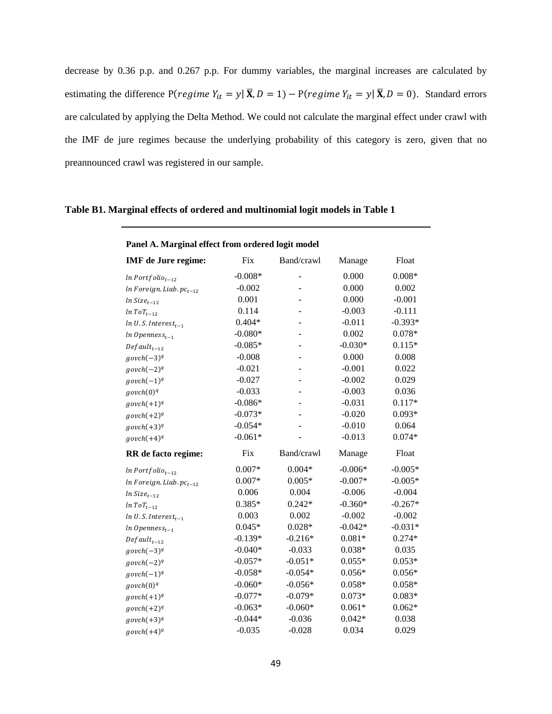decrease by 0.36 p.p. and 0.267 p.p. For dummy variables, the marginal increases are calculated by estimating the difference P(*regime*  $Y_{it} = y | \overline{\mathbf{X}}, D = 1) - P(regime Y_{it} = y | \overline{\mathbf{X}}, D = 0)$ . Standard errors are calculated by applying the Delta Method. We could not calculate the marginal effect under crawl with the IMF de jure regimes because the underlying probability of this category is zero, given that no preannounced crawl was registered in our sample.

| Panel A. Marginal effect from ordered logit model |           |            |           |           |  |  |  |  |  |
|---------------------------------------------------|-----------|------------|-----------|-----------|--|--|--|--|--|
| <b>IMF</b> de Jure regime:                        | Fix       | Band/crawl | Manage    | Float     |  |  |  |  |  |
| $ln$ Portfolio <sub>t-12</sub>                    | $-0.008*$ |            | 0.000     | $0.008*$  |  |  |  |  |  |
| $ln$ Foreign. Liab. $pc_{t-12}$                   | $-0.002$  |            | 0.000     | 0.002     |  |  |  |  |  |
| $ln Size_{t-12}$                                  | 0.001     |            | 0.000     | $-0.001$  |  |  |  |  |  |
| $ln\;ToT_{t-12}$                                  | 0.114     |            | $-0.003$  | $-0.111$  |  |  |  |  |  |
| $ln U.S. Interest_{t-1}$                          | $0.404*$  |            | $-0.011$  | $-0.393*$ |  |  |  |  |  |
| $ln\,Opennes_{t-1}$                               | $-0.080*$ |            | 0.002     | $0.078*$  |  |  |  |  |  |
| $Default_{t-12}$                                  | $-0.085*$ |            | $-0.030*$ | $0.115*$  |  |  |  |  |  |
| $govch(-3)^q$                                     | $-0.008$  |            | 0.000     | 0.008     |  |  |  |  |  |
| $govch(-2)^q$                                     | $-0.021$  |            | $-0.001$  | 0.022     |  |  |  |  |  |
| $govch(-1)^q$                                     | $-0.027$  |            | $-0.002$  | 0.029     |  |  |  |  |  |
| govch(0) <sup>q</sup>                             | $-0.033$  |            | $-0.003$  | 0.036     |  |  |  |  |  |
| $govch(+1)^q$                                     | $-0.086*$ |            | $-0.031$  | $0.117*$  |  |  |  |  |  |
| $govch(+2)^q$                                     | $-0.073*$ |            | $-0.020$  | $0.093*$  |  |  |  |  |  |
| $govch(+3)^q$                                     | $-0.054*$ |            | $-0.010$  | 0.064     |  |  |  |  |  |
| $govch(+4)^q$                                     | $-0.061*$ |            | $-0.013$  | $0.074*$  |  |  |  |  |  |
| RR de facto regime:                               | Fix       | Band/crawl | Manage    | Float     |  |  |  |  |  |
| $ln$ Portfolio <sub>t-12</sub>                    | $0.007*$  | $0.004*$   | $-0.006*$ | $-0.005*$ |  |  |  |  |  |
| $ln$ Foreign. Liab. $pc_{t-12}$                   | $0.007*$  | $0.005*$   | $-0.007*$ | $-0.005*$ |  |  |  |  |  |
| $ln Size_{t-12}$                                  | 0.006     | 0.004      | $-0.006$  | $-0.004$  |  |  |  |  |  |
| $ln\;ToT_{t-12}$                                  | $0.385*$  | $0.242*$   | $-0.360*$ | $-0.267*$ |  |  |  |  |  |
| $ln U.S. Interest_{t-1}$                          | 0.003     | 0.002      | $-0.002$  | $-0.002$  |  |  |  |  |  |
| $ln$ Openness <sub>t-1</sub>                      | $0.045*$  | $0.028*$   | $-0.042*$ | $-0.031*$ |  |  |  |  |  |
| $Default_{t-12}$                                  | $-0.139*$ | $-0.216*$  | $0.081*$  | $0.274*$  |  |  |  |  |  |
| $govch(-3)^q$                                     | $-0.040*$ | $-0.033$   | $0.038*$  | 0.035     |  |  |  |  |  |
| $govch(-2)^q$                                     | $-0.057*$ | $-0.051*$  | $0.055*$  | $0.053*$  |  |  |  |  |  |
| $govch(-1)^q$                                     | $-0.058*$ | $-0.054*$  | $0.056*$  | $0.056*$  |  |  |  |  |  |
| govch(0) <sup>q</sup>                             | $-0.060*$ | $-0.056*$  | $0.058*$  | $0.058*$  |  |  |  |  |  |
| $govch(+1)^q$                                     | $-0.077*$ | $-0.079*$  | $0.073*$  | $0.083*$  |  |  |  |  |  |
| $govch(+2)^q$                                     | $-0.063*$ | $-0.060*$  | $0.061*$  | $0.062*$  |  |  |  |  |  |
| $govch(+3)^q$                                     | $-0.044*$ | $-0.036$   | $0.042*$  | 0.038     |  |  |  |  |  |
| $govch(+4)^q$                                     | $-0.035$  | $-0.028$   | 0.034     | 0.029     |  |  |  |  |  |

# **Table B1. Marginal effects of ordered and multinomial logit models in Table 1**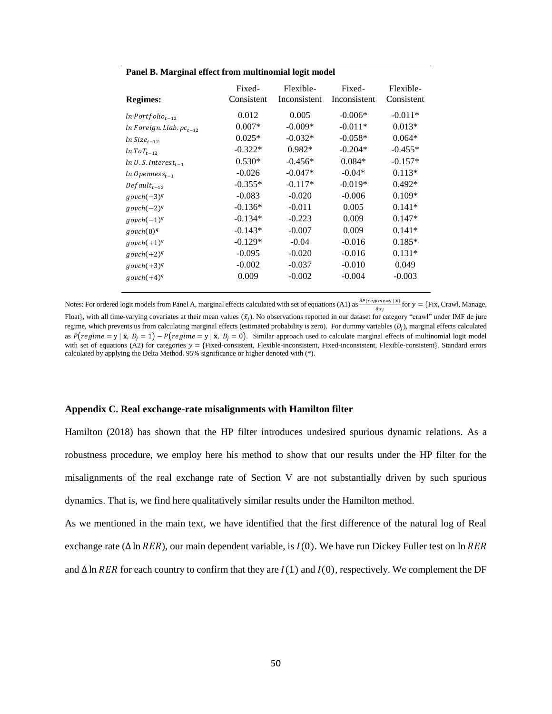| <b>Regimes:</b>                   | Fixed-<br>Consistent | Flexible-<br>Inconsistent | Fixed-<br>Inconsistent | Flexible-<br>Consistent |
|-----------------------------------|----------------------|---------------------------|------------------------|-------------------------|
| $ln$ Portfolio <sub>t-12</sub>    | 0.012                | 0.005                     | $-0.006*$              | $-0.011*$               |
| $ln$ Foreign. Liab. $pc_{t-12}$   | $0.007*$             | $-0.009*$                 | $-0.011*$              | $0.013*$                |
| $ln Size_{t-12}$                  | $0.025*$             | $-0.032*$                 | $-0.058*$              | $0.064*$                |
| $ln\,ToT_{t-12}$                  | $-0.322*$            | $0.982*$                  | $-0.204*$              | $-0.455*$               |
| $ln U.S.$ Interest <sub>t-1</sub> | $0.530*$             | $-0.456*$                 | $0.084*$               | $-0.157*$               |
| $ln\,Opennes_{t-1}$               | $-0.026$             | $-0.047*$                 | $-0.04*$               | $0.113*$                |
| $Default_{t-12}$                  | $-0.355*$            | $-0.117*$                 | $-0.019*$              | $0.492*$                |
| $govch(-3)^q$                     | $-0.083$             | $-0.020$                  | $-0.006$               | $0.109*$                |
| $govch(-2)^q$                     | $-0.136*$            | $-0.011$                  | 0.005                  | $0.141*$                |
| $govch(-1)^q$                     | $-0.134*$            | $-0.223$                  | 0.009                  | $0.147*$                |
| govch(0) <sup>q</sup>             | $-0.143*$            | $-0.007$                  | 0.009                  | $0.141*$                |
| $govch(+1)^q$                     | $-0.129*$            | $-0.04$                   | $-0.016$               | $0.185*$                |
| $govch(+2)^q$                     | $-0.095$             | $-0.020$                  | $-0.016$               | $0.131*$                |
| $govch(+3)^q$                     | $-0.002$             | $-0.037$                  | $-0.010$               | 0.049                   |
| $govch(+4)^q$                     | 0.009                | $-0.002$                  | $-0.004$               | $-0.003$                |

# **Panel B. Marginal effect from multinomial logit model**

Notes: For ordered logit models from Panel A, marginal effects calculated with set of equations (A1) as  $\frac{\partial P(regime=y|\bar{x})}{\partial}$  for  $y = \{Fix, Crawl, Manage, Y\}$  $\partial x_j$ Float}, with all time-varying covariates at their mean values  $(\bar{x}_j)$ . No observations reported in our dataset for category "crawl" under IMF de jure regime, which prevents us from calculating marginal effects (estimated probability is zero). For dummy variables  $(D_i)$ , marginal effects calculated as  $P(\text{regime} = y | \bar{x}, D_i = 1) - P(\text{regime} = y | \bar{x}, D_i = 0)$ . Similar approach used to calculate marginal effects of multinomial logit model with set of equations (A2) for categories  $y = \text{fFixed-consistent, Flexible-inconsistent, Fixed-inconsistent, Flexible-consistent}$ . Standard errors calculated by applying the Delta Method. 95% significance or higher denoted with (\*).

### **Appendix C. Real exchange-rate misalignments with Hamilton filter**

Hamilton (2018) has shown that the HP filter introduces undesired spurious dynamic relations. As a robustness procedure, we employ here his method to show that our results under the HP filter for the misalignments of the real exchange rate of Section V are not substantially driven by such spurious dynamics. That is, we find here qualitatively similar results under the Hamilton method.

As we mentioned in the main text, we have identified that the first difference of the natural log of Real exchange rate ( $\Delta \ln RER$ ), our main dependent variable, is  $I(0)$ . We have run Dickey Fuller test on  $\ln RER$ and  $\Delta$  ln RER for each country to confirm that they are  $I(1)$  and  $I(0)$ , respectively. We complement the DF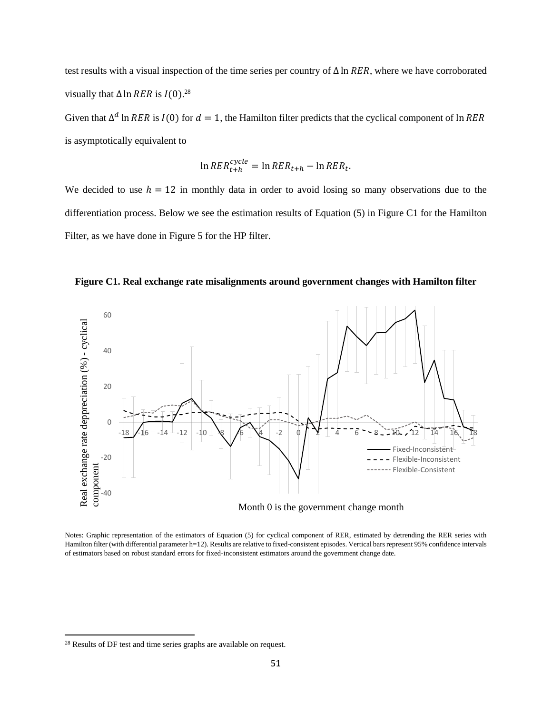test results with a visual inspection of the time series per country of  $\Delta \ln RER$ , where we have corroborated visually that  $\Delta$  ln RER is  $I(0).^{28}$ 

Given that  $\Delta^d$  ln RER is  $I(0)$  for  $d = 1$ , the Hamilton filter predicts that the cyclical component of ln RER is asymptotically equivalent to

$$
\ln RER_{t+h}^{cycle} = \ln RER_{t+h} - \ln RER_t.
$$

We decided to use  $h = 12$  in monthly data in order to avoid losing so many observations due to the differentiation process. Below we see the estimation results of Equation (5) in Figure C1 for the Hamilton Filter, as we have done in Figure 5 for the HP filter.





Notes: Graphic representation of the estimators of Equation (5) for cyclical component of RER, estimated by detrending the RER series with Hamilton filter (with differential parameter h=12). Results are relative to fixed-consistent episodes. Vertical bars represent 95% confidence intervals of estimators based on robust standard errors for fixed-inconsistent estimators around the government change date.

 $\overline{\phantom{a}}$ 

<sup>&</sup>lt;sup>28</sup> Results of DF test and time series graphs are available on request.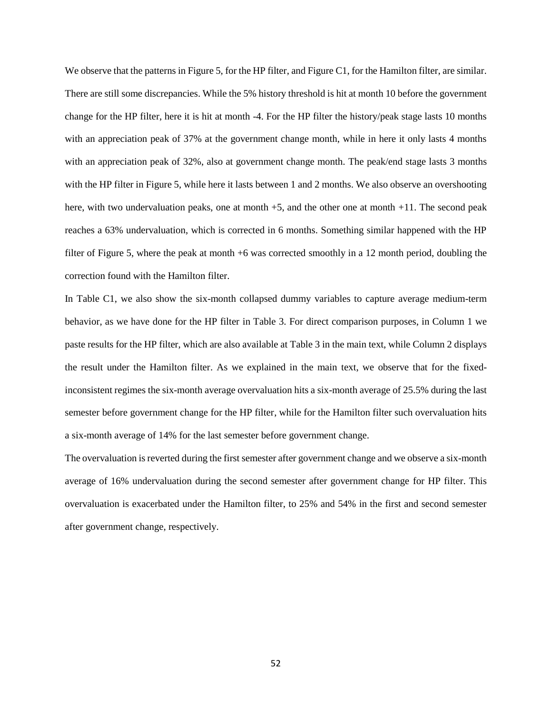We observe that the patterns in Figure 5, for the HP filter, and Figure C1, for the Hamilton filter, are similar. There are still some discrepancies. While the 5% history threshold is hit at month 10 before the government change for the HP filter, here it is hit at month -4. For the HP filter the history/peak stage lasts 10 months with an appreciation peak of 37% at the government change month, while in here it only lasts 4 months with an appreciation peak of 32%, also at government change month. The peak/end stage lasts 3 months with the HP filter in Figure 5, while here it lasts between 1 and 2 months. We also observe an overshooting here, with two undervaluation peaks, one at month  $+5$ , and the other one at month  $+11$ . The second peak reaches a 63% undervaluation, which is corrected in 6 months. Something similar happened with the HP filter of Figure 5, where the peak at month +6 was corrected smoothly in a 12 month period, doubling the correction found with the Hamilton filter.

In Table C1, we also show the six-month collapsed dummy variables to capture average medium-term behavior, as we have done for the HP filter in Table 3. For direct comparison purposes, in Column 1 we paste results for the HP filter, which are also available at Table 3 in the main text, while Column 2 displays the result under the Hamilton filter. As we explained in the main text, we observe that for the fixedinconsistent regimes the six-month average overvaluation hits a six-month average of 25.5% during the last semester before government change for the HP filter, while for the Hamilton filter such overvaluation hits a six-month average of 14% for the last semester before government change.

The overvaluation is reverted during the first semester after government change and we observe a six-month average of 16% undervaluation during the second semester after government change for HP filter. This overvaluation is exacerbated under the Hamilton filter, to 25% and 54% in the first and second semester after government change, respectively.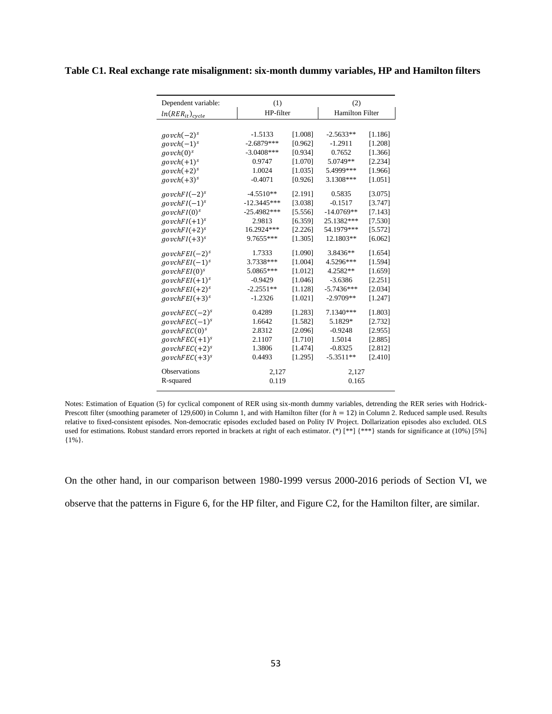|  |  |  |  |  | Table C1. Real exchange rate misalignment: six-month dummy variables, HP and Hamilton filters |  |  |  |  |
|--|--|--|--|--|-----------------------------------------------------------------------------------------------|--|--|--|--|
|  |  |  |  |  |                                                                                               |  |  |  |  |

| Dependent variable:      | (1)           |         | (2)                    |         |  |
|--------------------------|---------------|---------|------------------------|---------|--|
| $ln(RER_{it})_{cycle}$   | HP-filter     |         | <b>Hamilton Filter</b> |         |  |
|                          |               |         |                        |         |  |
| $govch(-2)^s$            | $-1.5133$     | [1.008] | $-2.5633**$            | [1.186] |  |
| $govch(-1)^s$            | $-2.6879***$  | [0.962] | $-1.2911$              | [1.208] |  |
| govch(0) <sup>s</sup>    | $-3.0408***$  | [0.934] | 0.7652                 | [1.366] |  |
| $govch(+1)^s$            | 0.9747        | [1.070] | 5.0749**               | [2.234] |  |
| $govch(+2)^s$            | 1.0024        | [1.035] | 5.4999***              | [1.966] |  |
| $govch(+3)^s$            | $-0.4071$     | [0.926] | 3.1308***              | [1.051] |  |
| $govchFI(-2)^s$          | $-4.5510**$   | [2.191] | 0.5835                 | [3.075] |  |
| $govchFI(-1)^s$          | $-12.3445***$ | [3.038] | $-0.1517$              | [3.747] |  |
| $govchFI(0)^s$           | $-25.4982***$ | [5.556] | $-14.0769**$           | [7.143] |  |
| $govchFI(+1)^s$          | 2.9813        | [6.359] | 25.1382***             | [7.530] |  |
| $govchFI(+2)^s$          | 16.2924***    | [2.226] | 54.1979***             | [5.572] |  |
| $govchFI(+3)^s$          | $9.7655***$   | [1.305] | 12.1803**              | [6.062] |  |
| $govchFEI(-2)^s$         | 1.7333        | [1.090] | 3.8436**               | [1.654] |  |
| $govchFEI(-1)^s$         | 3.7338***     | [1.004] | 4.5296***              | [1.594] |  |
| govchFEI(0) <sup>s</sup> | 5.0865***     | [1.012] | 4.2582**               | [1.659] |  |
| $govchFEI(+1)^s$         | $-0.9429$     | [1.046] | $-3.6386$              | [2.251] |  |
| $govchFEI(+2)^s$         | $-2.2551**$   | [1.128] | $-5.7436***$           | [2.034] |  |
| $govchFEI(+3)^s$         | $-1.2326$     | [1.021] | $-2.9709**$            | [1.247] |  |
| $govchFEC(-2)^s$         | 0.4289        | [1.283] | 7.1340***              | [1.803] |  |
| $govchFEC(-1)^s$         | 1.6642        | [1.582] | 5.1829*                | [2.732] |  |
| govchFEC(0) <sup>s</sup> | 2.8312        | [2.096] | $-0.9248$              | [2.955] |  |
| $govchFEC(+1)^s$         | 2.1107        | [1.710] | 1.5014                 | [2.885] |  |
| $govchFEC(+2)^s$         | 1.3806        | [1.474] | $-0.8325$              | [2.812] |  |
| $govchFEC(+3)^s$         | 0.4493        | [1.295] | $-5.3511**$            | [2.410] |  |
| <b>Observations</b>      | 2,127         |         | 2,127                  |         |  |
| R-squared                | 0.119         |         | 0.165                  |         |  |

Notes: Estimation of Equation (5) for cyclical component of RER using six-month dummy variables, detrending the RER series with Hodrick-Prescott filter (smoothing parameter of 129,600) in Column 1, and with Hamilton filter (for  $h = 12$ ) in Column 2. Reduced sample used. Results relative to fixed-consistent episodes. Non-democratic episodes excluded based on Polity IV Project. Dollarization episodes also excluded. OLS used for estimations. Robust standard errors reported in brackets at right of each estimator. (\*) [\*\*] {\*\*\*} stands for significance at (10%) [5%] {1%}.

On the other hand, in our comparison between 1980-1999 versus 2000-2016 periods of Section VI, we observe that the patterns in Figure 6, for the HP filter, and Figure C2, for the Hamilton filter, are similar.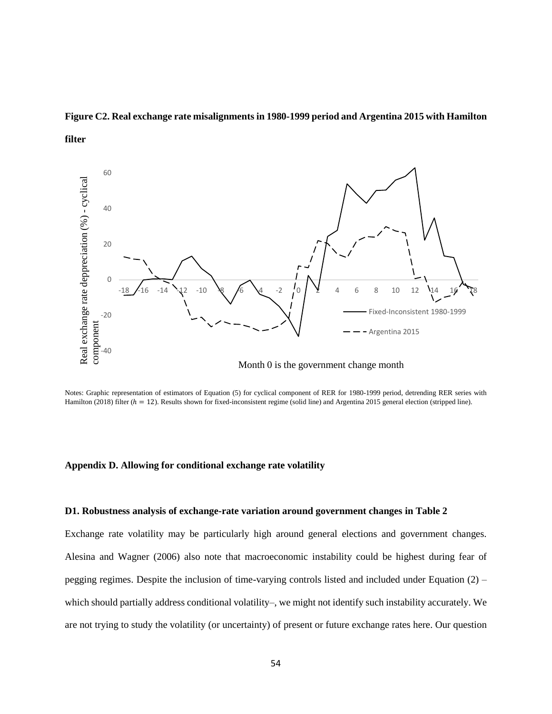# **Figure C2. Real exchange rate misalignments in 1980-1999 period and Argentina 2015 with Hamilton**





Notes: Graphic representation of estimators of Equation (5) for cyclical component of RER for 1980-1999 period, detrending RER series with Hamilton (2018) filter  $(h = 12)$ . Results shown for fixed-inconsistent regime (solid line) and Argentina 2015 general election (stripped line).

### **Appendix D. Allowing for conditional exchange rate volatility**

# **D1. Robustness analysis of exchange-rate variation around government changes in Table 2**

Exchange rate volatility may be particularly high around general elections and government changes. Alesina and Wagner (2006) also note that macroeconomic instability could be highest during fear of pegging regimes. Despite the inclusion of time-varying controls listed and included under Equation (2) – which should partially address conditional volatility–, we might not identify such instability accurately. We are not trying to study the volatility (or uncertainty) of present or future exchange rates here. Our question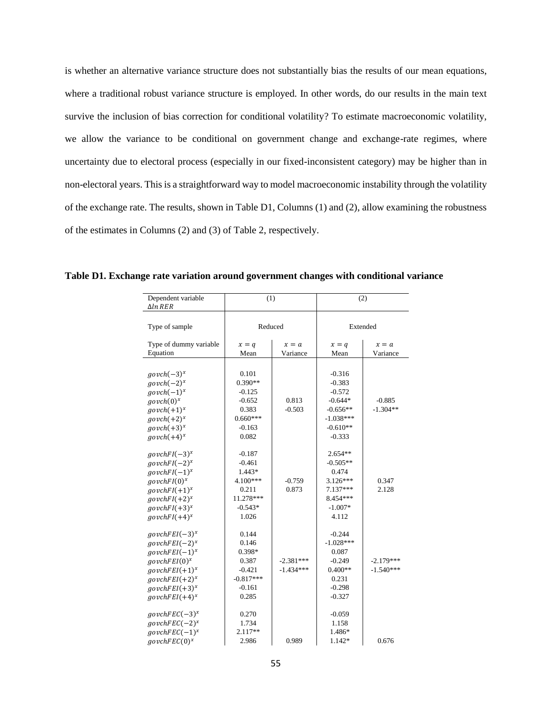is whether an alternative variance structure does not substantially bias the results of our mean equations, where a traditional robust variance structure is employed. In other words, do our results in the main text survive the inclusion of bias correction for conditional volatility? To estimate macroeconomic volatility, we allow the variance to be conditional on government change and exchange-rate regimes, where uncertainty due to electoral process (especially in our fixed-inconsistent category) may be higher than in non-electoral years. This is a straightforward way to model macroeconomic instability through the volatility of the exchange rate. The results, shown in Table D1, Columns (1) and (2), allow examining the robustness of the estimates in Columns (2) and (3) of Table 2, respectively.

| Dependent variable<br>$\Delta ln$ RER | (1)         |             | (2)         |             |  |  |
|---------------------------------------|-------------|-------------|-------------|-------------|--|--|
|                                       |             |             |             |             |  |  |
| Type of sample                        | Reduced     |             | Extended    |             |  |  |
| Type of dummy variable                | $x = q$     | $x = a$     | $x = q$     | $x = a$     |  |  |
| Equation                              | Mean        | Variance    | Mean        | Variance    |  |  |
|                                       |             |             |             |             |  |  |
| $govch(-3)^x$                         | 0.101       |             | $-0.316$    |             |  |  |
| $govch(-2)^x$                         | $0.390**$   |             | $-0.383$    |             |  |  |
| $govch(-1)^x$                         | $-0.125$    |             | $-0.572$    |             |  |  |
| $govch(0)^x$                          | $-0.652$    | 0.813       | $-0.644*$   | $-0.885$    |  |  |
| $govch(+1)^x$                         | 0.383       | $-0.503$    | $-0.656**$  | $-1.304**$  |  |  |
| $govch(+2)^x$                         | $0.660***$  |             | $-1.038***$ |             |  |  |
| $govch(+3)^x$                         | $-0.163$    |             | $-0.610**$  |             |  |  |
| $govch(+4)^x$                         | 0.082       |             | $-0.333$    |             |  |  |
| $govchFI(-3)^{x}$                     | $-0.187$    |             | $2.654**$   |             |  |  |
| $govchFI(-2)^{x}$                     | $-0.461$    |             | $-0.505**$  |             |  |  |
| $govchFI(-1)^{x}$                     | $1.443*$    |             | 0.474       |             |  |  |
| $govchFI(0)^{x}$                      | 4.100***    | $-0.759$    | $3.126***$  | 0.347       |  |  |
| $govchFI(+1)^x$                       | 0.211       | 0.873       | $7.137***$  | 2.128       |  |  |
| $govchFI(+2)^x$                       | 11.278***   |             | 8.454***    |             |  |  |
| $govchFI(+3)^x$                       | $-0.543*$   |             | $-1.007*$   |             |  |  |
| $govchFI(+4)^x$                       | 1.026       |             | 4.112       |             |  |  |
| $govchFEI(-3)^{x}$                    | 0.144       |             | $-0.244$    |             |  |  |
| $govchFEI(-2)^{x}$                    | 0.146       |             | $-1.028***$ |             |  |  |
| $govchFEI(-1)^{x}$                    | 0.398*      |             | 0.087       |             |  |  |
| $govchFEI(0)^x$                       | 0.387       | $-2.381***$ | $-0.249$    | $-2.179***$ |  |  |
| $govchFEI(+1)^x$                      | $-0.421$    | $-1.434***$ | $0.400**$   | $-1.540***$ |  |  |
| $govchFEI(+2)^{x}$                    | $-0.817***$ |             | 0.231       |             |  |  |
| $govchFEI(+3)^{x}$                    | $-0.161$    |             | $-0.298$    |             |  |  |
| $govchFEI(+4)^{x}$                    | 0.285       |             | $-0.327$    |             |  |  |
|                                       |             |             |             |             |  |  |
| $govchFEC(-3)^{x}$                    | 0.270       |             | $-0.059$    |             |  |  |
| $govchFEC(-2)^{x}$                    | 1.734       |             | 1.158       |             |  |  |
| $govchFEC(-1)^x$                      | 2.117**     |             | 1.486*      |             |  |  |
| $govchFEC(0)^{x}$                     | 2.986       | 0.989       | 1.142*      | 0.676       |  |  |

**Table D1. Exchange rate variation around government changes with conditional variance**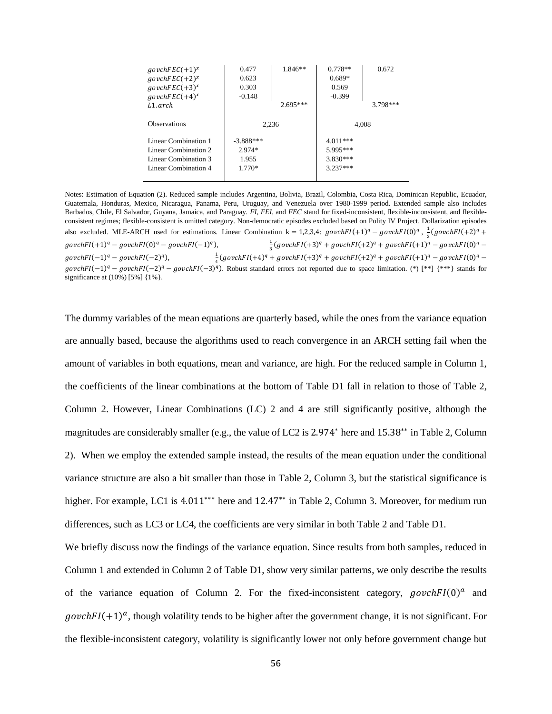| $govchFEC(+1)^{x}$<br>$govchFEC(+2)^{x}$<br>$qovchFEC(+3)^x$<br>$govchFEC(+4)^{x}$<br>$L1$ . arch   | 0.477<br>0.623<br>0.303<br>$-0.148$        | 1.846**<br>$2.695***$ | $0.778**$<br>$0.689*$<br>0.569<br>$-0.399$         | 0.672<br>$3.798***$ |  |
|-----------------------------------------------------------------------------------------------------|--------------------------------------------|-----------------------|----------------------------------------------------|---------------------|--|
| <b>Observations</b>                                                                                 | 2.236                                      |                       | 4.008                                              |                     |  |
| Linear Combination 1<br>Linear Combination 2<br>Linear Combination 3<br><b>Linear Combination 4</b> | $-3.888***$<br>$2.974*$<br>1.955<br>1.770* |                       | $4.011***$<br>5.995***<br>$3.830***$<br>$3.237***$ |                     |  |

Notes: Estimation of Equation (2). Reduced sample includes Argentina, Bolivia, Brazil, Colombia, Costa Rica, Dominican Republic, Ecuador, Guatemala, Honduras, Mexico, Nicaragua, Panama, Peru, Uruguay, and Venezuela over 1980-1999 period. Extended sample also includes Barbados, Chile, El Salvador, Guyana, Jamaica, and Paraguay. *FI*, *FEI*, and *FEC* stand for fixed-inconsistent, flexible-inconsistent, and flexibleconsistent regimes; flexible-consistent is omitted category. Non-democratic episodes excluded based on Polity IV Project. Dollarization episodes also excluded. MLE-ARCH used for estimations. Linear Combination  $k = 1,2,3,4$ : govch $FI(+1)^q - govchFI(0)^q$ ,  $\frac{1}{q}$  $\frac{1}{2}(govchFI(+2)^{q} +$  $govchFI(+1)^q - govchFI(0)^q - govchFI(-1)^q$ 1  $\frac{1}{3}(govchFI(+3)^{q}+govchFI(+2)^{q}+govchFI(+1)^{q}-govchFI(0)^{q}$  $govchFl(-1)<sup>q</sup> - govchFl(-2)<sup>q</sup>$ ), 1  $\frac{1}{4}(govchFI(+4)^{q} + govchFI(+3)^{q} + govchFI(+2)^{q} + govchFI(+1)^{q} - govchFI(0)^{q}$  $govchF I(-1)^q - govchF I(-2)^q - govchF I(-3)^q$ . Robust standard errors not reported due to space limitation. (\*) [\*\*] {\*\*\*} stands for significance at (10%) [5%] {1%}.

The dummy variables of the mean equations are quarterly based, while the ones from the variance equation are annually based, because the algorithms used to reach convergence in an ARCH setting fail when the amount of variables in both equations, mean and variance, are high. For the reduced sample in Column 1, the coefficients of the linear combinations at the bottom of Table D1 fall in relation to those of Table 2, Column 2. However, Linear Combinations (LC) 2 and 4 are still significantly positive, although the magnitudes are considerably smaller (e.g., the value of LC2 is 2.974<sup>∗</sup> here and 15.38∗∗ in Table 2, Column 2). When we employ the extended sample instead, the results of the mean equation under the conditional variance structure are also a bit smaller than those in Table 2, Column 3, but the statistical significance is higher. For example, LC1 is 4.011<sup>\*\*\*</sup> here and 12.47<sup>\*\*</sup> in Table 2, Column 3. Moreover, for medium run differences, such as LC3 or LC4, the coefficients are very similar in both Table 2 and Table D1.

We briefly discuss now the findings of the variance equation. Since results from both samples, reduced in Column 1 and extended in Column 2 of Table D1, show very similar patterns, we only describe the results of the variance equation of Column 2. For the fixed-inconsistent category,  $govchFI(0)^a$  and  $govchFI(+1)^a$ , though volatility tends to be higher after the government change, it is not significant. For the flexible-inconsistent category, volatility is significantly lower not only before government change but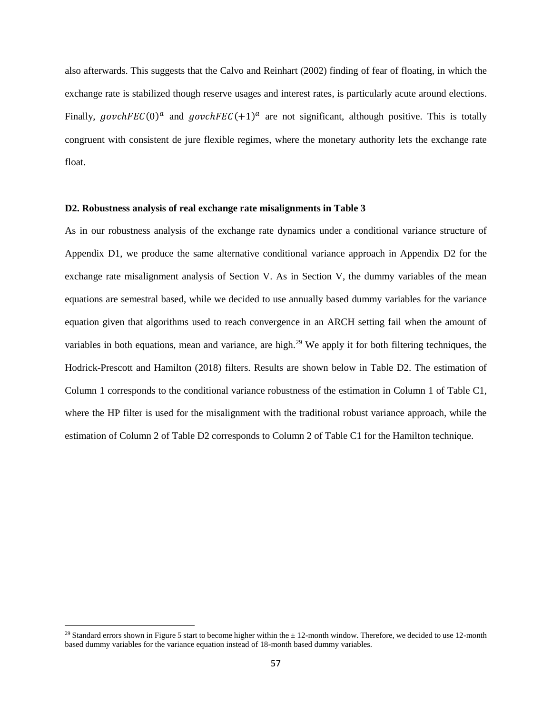also afterwards. This suggests that the Calvo and Reinhart (2002) finding of fear of floating, in which the exchange rate is stabilized though reserve usages and interest rates, is particularly acute around elections. Finally, govchFEC(0)<sup>a</sup> and govchFEC(+1)<sup>a</sup> are not significant, although positive. This is totally congruent with consistent de jure flexible regimes, where the monetary authority lets the exchange rate float.

# **D2. Robustness analysis of real exchange rate misalignments in Table 3**

As in our robustness analysis of the exchange rate dynamics under a conditional variance structure of Appendix D1, we produce the same alternative conditional variance approach in Appendix D2 for the exchange rate misalignment analysis of Section V. As in Section V, the dummy variables of the mean equations are semestral based, while we decided to use annually based dummy variables for the variance equation given that algorithms used to reach convergence in an ARCH setting fail when the amount of variables in both equations, mean and variance, are high.<sup>29</sup> We apply it for both filtering techniques, the Hodrick-Prescott and Hamilton (2018) filters. Results are shown below in Table D2. The estimation of Column 1 corresponds to the conditional variance robustness of the estimation in Column 1 of Table C1, where the HP filter is used for the misalignment with the traditional robust variance approach, while the estimation of Column 2 of Table D2 corresponds to Column 2 of Table C1 for the Hamilton technique.

 $\overline{a}$ 

<sup>&</sup>lt;sup>29</sup> Standard errors shown in Figure 5 start to become higher within the  $\pm$  12-month window. Therefore, we decided to use 12-month based dummy variables for the variance equation instead of 18-month based dummy variables.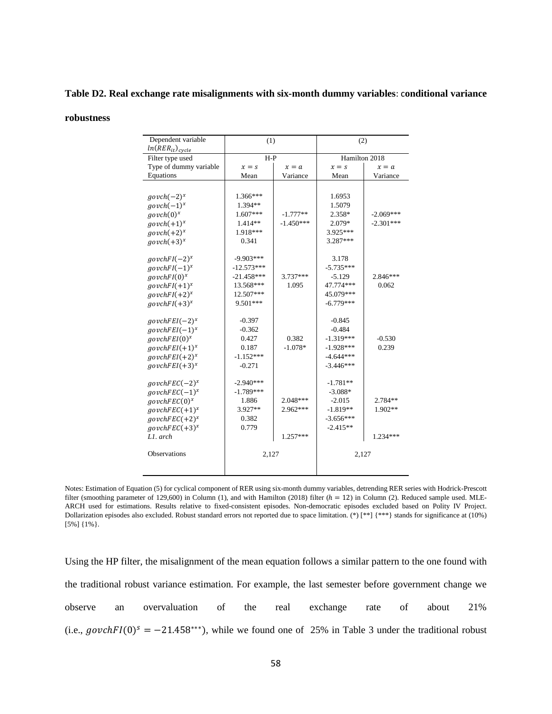# **Table D2. Real exchange rate misalignments with six-month dummy variables**: c**onditional variance**

### **robustness**

| Dependent variable<br>$ln(RER_{it})_{cycle}$ | (1)          |             | (2)           |             |  |
|----------------------------------------------|--------------|-------------|---------------|-------------|--|
| Filter type used                             | $H-P$        |             | Hamilton 2018 |             |  |
| Type of dummy variable                       | $x = s$      | $x = a$     | $x = s$       | $x = a$     |  |
| Equations                                    | Mean         | Variance    | Mean          | Variance    |  |
|                                              |              |             |               |             |  |
| $govch(-2)^x$                                | $1.366***$   |             | 1.6953        |             |  |
| $govch(-1)^x$                                | 1.394**      |             | 1.5079        |             |  |
| $govch(0)^x$                                 | $1.607***$   | $-1.777**$  | 2.358*        | $-2.069***$ |  |
| $govch(+1)^x$                                | $1.414**$    | $-1.450***$ | 2.079*        | $-2.301***$ |  |
| $govch(+2)^x$                                | 1.918***     |             | 3.925***      |             |  |
| $govch(+3)^x$                                | 0.341        |             | 3.287***      |             |  |
|                                              |              |             |               |             |  |
| $govchFI(-2)^{x}$                            | $-9.903***$  |             | 3.178         |             |  |
| $govchFI(-1)^{x}$                            | $-12.573***$ |             | $-5.735***$   |             |  |
| $govchFI(0)^{x}$                             | $-21.458***$ | 3.737***    | $-5.129$      | $2.846***$  |  |
| $govchFI(+1)^{x}$                            | 13.568***    | 1.095       | 47.774***     | 0.062       |  |
| $govchFI(+2)^{x}$                            | 12.507***    |             | 45.079***     |             |  |
| $govchFI(+3)^x$                              | 9.501***     |             | $-6.779***$   |             |  |
|                                              |              |             |               |             |  |
| $govchFEI(-2)^{x}$                           | $-0.397$     |             | $-0.845$      |             |  |
| $govchFEI(-1)^x$                             | $-0.362$     |             | $-0.484$      |             |  |
| $govchFEI(0)^x$                              | 0.427        | 0.382       | $-1.319***$   | $-0.530$    |  |
| $govchFEI(+1)^x$                             | 0.187        | $-1.078*$   | $-1.928***$   | 0.239       |  |
| $govchFEI(+2)^{x}$                           | $-1.152***$  |             | $-4.644***$   |             |  |
| $govchFEI(+3)^x$                             | $-0.271$     |             | $-3.446***$   |             |  |
|                                              |              |             |               |             |  |
| $govchFEC(-2)^{x}$                           | $-2.940***$  |             | -1.781**      |             |  |
| $govchFEC(-1)^{x}$                           | $-1.789***$  |             | $-3.088*$     |             |  |
| govchFEC(0) <sup>x</sup>                     | 1.886        | $2.048***$  | $-2.015$      | 2.784**     |  |
| $govchFEC(+1)^{x}$                           | $3.927**$    | 2.962***    | $-1.819**$    | $1.902**$   |  |
| $govchFEC(+2)^{x}$                           | 0.382        |             | $-3.656***$   |             |  |
| $govchFEC(+3)^x$                             | 0.779        |             | $-2.415**$    |             |  |
| L1. arch                                     |              | 1.257***    |               | 1.234***    |  |
|                                              |              |             |               |             |  |
| <b>Observations</b>                          | 2,127        |             | 2,127         |             |  |
|                                              |              |             |               |             |  |
|                                              |              |             |               |             |  |

Notes: Estimation of Equation (5) for cyclical component of RER using six-month dummy variables, detrending RER series with Hodrick-Prescott filter (smoothing parameter of 129,600) in Column (1), and with Hamilton (2018) filter  $(h = 12)$  in Column (2). Reduced sample used. MLE-ARCH used for estimations. Results relative to fixed-consistent episodes. Non-democratic episodes excluded based on Polity IV Project. Dollarization episodes also excluded. Robust standard errors not reported due to space limitation. (\*) [\*\*] {\*\*\*} stands for significance at (10%) [5%] {1%}.

Using the HP filter, the misalignment of the mean equation follows a similar pattern to the one found with the traditional robust variance estimation. For example, the last semester before government change we observe an overvaluation of the real exchange rate of about 21% (i.e.,  $govchFl(0)^s = -21.458^{***}$ ), while we found one of 25% in Table 3 under the traditional robust